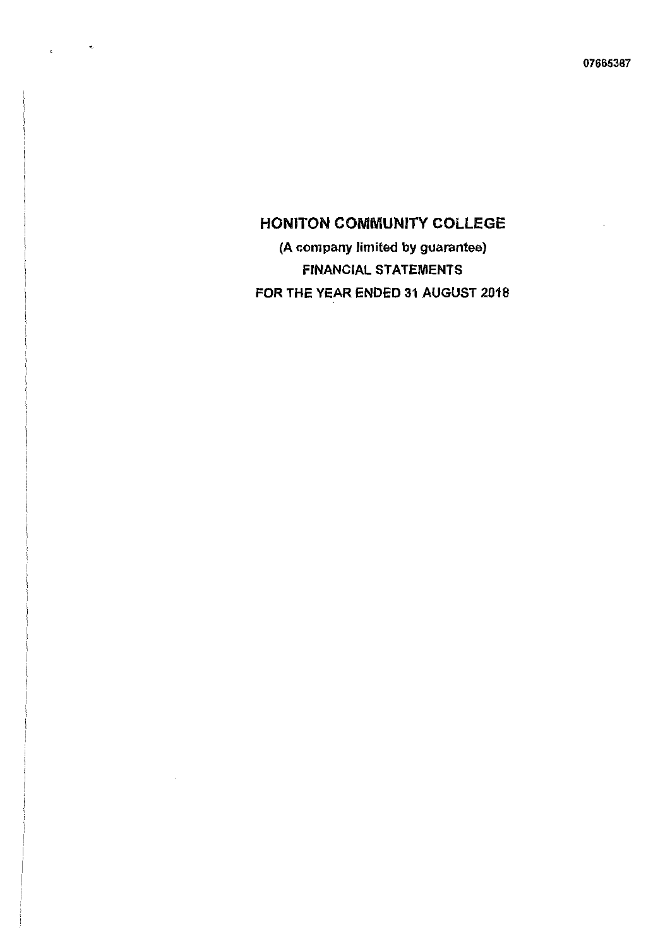$\sim$   $\sim$ 

 $\overline{a}$ 

(A company limited by guarantee) FINANCIAL STATEMENTS FOR THE YEAR ENDED 31 AUGUST 2018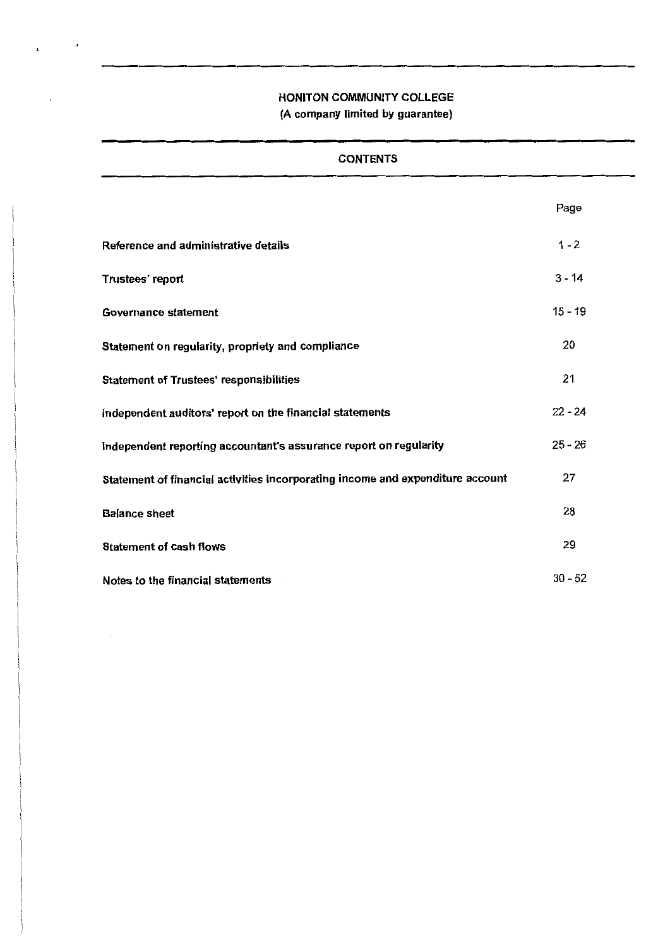$\mathbf{r}$ 

 $\cdot$ 

| <b>CONTENTS</b>                                                                |           |
|--------------------------------------------------------------------------------|-----------|
|                                                                                | Page      |
| Reference and administrative details                                           | $1 - 2$   |
| Trustees' report                                                               | $3 - 14$  |
| Governance statement                                                           | $15 - 19$ |
| Statement on regularity, propriety and compliance                              | 20        |
| <b>Statement of Trustees' responsibilities</b>                                 | 21        |
| Independent auditors' report on the financial statements                       | $22 - 24$ |
| Independent reporting accountant's assurance report on regularity              | $25 - 26$ |
| Statement of financial activities incorporating income and expenditure account | 27        |
| <b>Balance sheet</b>                                                           | 28        |
| <b>Statement of cash flows</b>                                                 | 29        |
| Notes to the financial statements                                              | $30 - 52$ |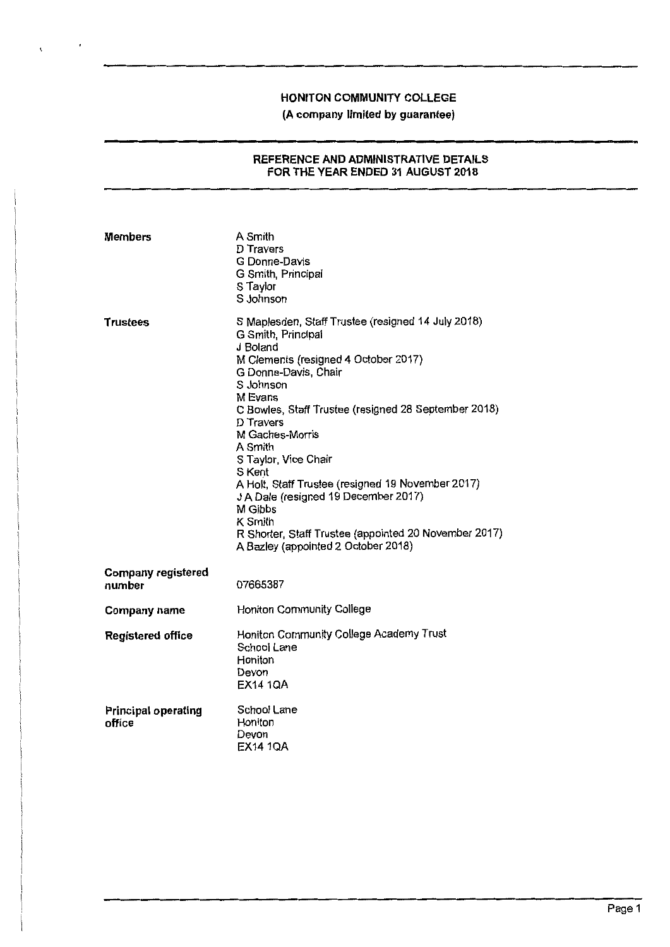$\chi^2$  and  $\chi^2$ 

# **(A company limited by guarantee)**

#### **REFERENCE AND ADMINISTRATIVE DETAILS FOR THE YEAR ENDED 31 AUGUST 2018**

| <b>Members</b>                       | A Smith<br>D Travers<br>G Donne-Davis<br>G Smith, Principal<br>S Taylor<br>S Johnson                                                                                                                                                                                                                                                                                                                                                                                                                                                 |
|--------------------------------------|--------------------------------------------------------------------------------------------------------------------------------------------------------------------------------------------------------------------------------------------------------------------------------------------------------------------------------------------------------------------------------------------------------------------------------------------------------------------------------------------------------------------------------------|
| Trustees                             | S Maplesden, Staff Trustee (resigned 14 July 2018)<br>G Smith, Principal<br>J Boland<br>M Clements (resigned 4 October 2017)<br>G Donne-Davis, Chair<br>S Johnson<br>M Evans<br>C Bowles, Staff Trustee (resigned 28 September 2018)<br>D Travers<br>M Gaches-Morris<br>A Smith<br>S Taylor, Vice Chair<br>S Kent<br>A Holt, Staff Trustee (resigned 19 November 2017)<br>J A Dale (resigned 19 December 2017)<br>M Gibbs<br>K Smith<br>R Shorter, Staff Trustee (appointed 20 November 2017)<br>A Bazley (appointed 2 October 2018) |
| <b>Company registered</b><br>number  | 07665387                                                                                                                                                                                                                                                                                                                                                                                                                                                                                                                             |
| Company name                         | Honiton Community College                                                                                                                                                                                                                                                                                                                                                                                                                                                                                                            |
| <b>Registered office</b>             | Honiton Community College Academy Trust<br>School Lane<br>Honiton<br>Devon<br>EX14 1QA                                                                                                                                                                                                                                                                                                                                                                                                                                               |
| <b>Principal operating</b><br>office | School Lane<br>Honiton<br>Devon<br><b>EX14 1QA</b>                                                                                                                                                                                                                                                                                                                                                                                                                                                                                   |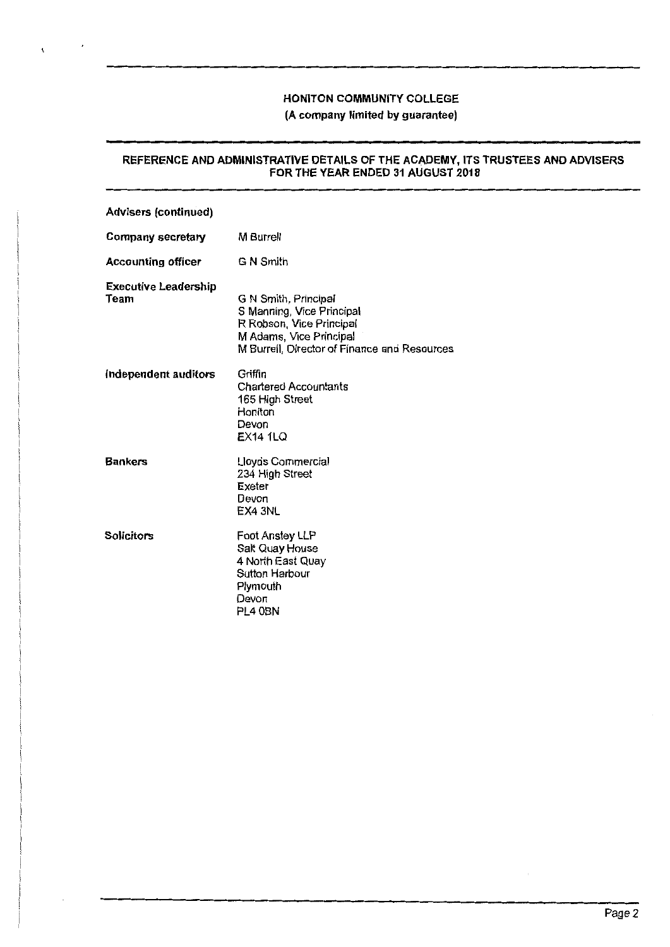## **(A** company limited by guarantee)

#### REFERENCE AND ADMINISTRATIVE DETAILS OF THE ACADEMY, ITS TRUSTEES AND ADVISERS FOR THE YEAR ENDED 31 AUGUST 2018

| <b>Advisers (continued)</b>         |                                                                                                                                                          |
|-------------------------------------|----------------------------------------------------------------------------------------------------------------------------------------------------------|
| <b>Company secretary</b>            | M Burrell                                                                                                                                                |
| <b>Accounting officer</b>           | G N Smith                                                                                                                                                |
| <b>Executive Leadership</b><br>Team | G N Smith, Principal<br>S Manning, Vice Principal<br>R Robson, Vice Principal<br>M Adams, Vice Principal<br>M Burrell, Director of Finance and Resources |
| Independent auditors                | Griffin<br>Chartered Accountants<br>165 High Street<br>Honiton<br>Devon<br><b>EX14 1LQ</b>                                                               |
| <b>Bankers</b>                      | Lloyds Commercial<br>234 High Street<br>Exeter<br>Devon<br>EX4 3NL                                                                                       |
| <b>Solicitors</b>                   | Foot Anstey LLP<br>Salt Quay House<br>4 North East Quay<br>Sutton Harbour<br>Plymouth<br>Devon<br>PL4 0BN                                                |

 $\overline{\phantom{a}}$ 

 $\mathbf{I}$ 

 $\epsilon$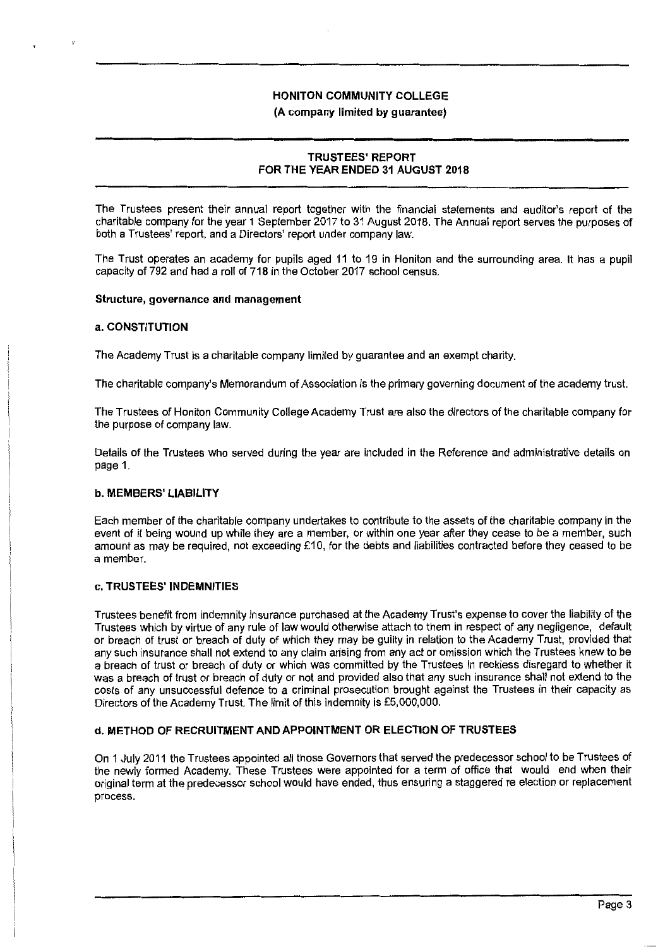## **(A company limited by guarantee)**

# **TRUSTEES' REPORT FOR THE YEAR ENDED 31 AUGUST 2018**

The Trustees present their annual report together with the financial statements and auditor's report of the charitable company for the year 1 September 2017 to 31 August 2018. The Annual report serves the purposes of both a Trustees' report, and a Directors' report under company law.

The Trust operates an academy for pupils aged 11 to 19 in Honiton and the surrounding area. It has a pupil capacity of 792 and had a roll of 718 in the October 2017 school census.

#### **Structure, governance and management**

#### **a. CONSTITUTION**

The Academy Trust is a charitable company limited by guarantee and an exempt charity.

The charitable company's Memorandum of Association is the primary governing document of the academy trust.

The Trustees of Honiton Community College Academy Trust are also the directors of the charitable company for the purpose of company law.

Details of the Trustees who served during the year are included in the Reference and administrative details on page 1.

#### **b. MEMBERS' LIABILITY**

Each member of the charitable company undertakes to contribute to the assets of the charitable company in the event of it being wound up while they are a member, or within one year after they cease to be a member, such amount as may be required, not exceeding £10, for the debts and liabilities contracted before they ceased to be a member.

#### **c. TRUSTEES' INDEMNITIES**

Trustees benefit from indemnity insurance purchased at the Academy Trust's expense to cover the liability of the Trustees which by virtue of any rule of law would otherwise attach to them in respect of any negligence, default or breach of trust or breach of duty of which they may be guilty in relation to the Academy Trust, provided that any such insurance shall not extend to any claim arising from any act or omission which the Trustees knew to be a breach of trust or breach of duty or which was committed by the Trustees in reckless disregard to whether it was a breach of trust or breach of duty or not and provided also that any such insurance shall not extend to the costs of any unsuccessful defence to a criminal prosecution brought against the Trustees in their capacity as Directors of the Academy Trust. The limit of this indemnity is £5,000,000.

#### **d. METHOD OF RECRUITMENT AND APPOINTMENT OR ELECTION OF TRUSTEES**

On 1 July 2011 the Trustees appointed all those Governors that served the predecessor school to be Trustees of the newly formed Academy. These Trustees were appointed for a term of office that would end when their original term at the predecessor school would have ended, thus ensuring a staggered re election or replacement process.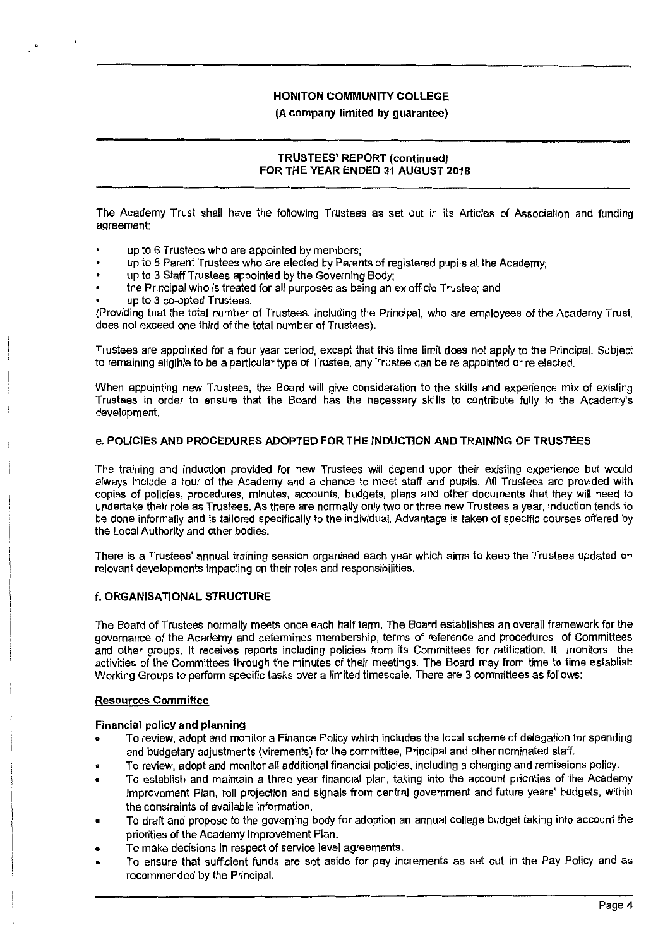#### (A company limited by guarantee)

## **TRUSTEES' REPORT (continued)**  FOR THE **YEAR ENDED 31 AUGUST 2018**

The Academy Trust shall have the following Trustees as set out in its Articles of Association and funding agreement:

- up to 6 Trustees who are appointed by members;
- up to 6 Parent Trustees who are elected by Parents of registered pupils at the Academy;
- up to 3 Staff Trustees appointed by the Governing Body;
- the Principal who is treated for all purposes as being an ex officio Trustee; and
- up to 3 co-opted Trustees.

(Providing that the total number of Trustees, including the Principal, who are employees of the Academy Trust, does not exceed one third of the total number of Trustees).

Trustees are appointed for a four year period, except that this time limit does not apply to the Principal. Subject to remaining eligible to be a particular type of Trustee, any Trustee can be re appointed or re elected.

When appointing new Trustees, the Board **will** give consideration to the skills and experience mix of existing Trustees in order to ensure that the Board has the necessary skills to contribute fully to the Academy's development.

#### **e. POLICIES AND PROCEDURES ADOPTED FOR THE INDUCTION AND TRAINING OF TRUSTEES**

The training and induction provided for new Trustees will depend upon their existing experience but would always include a tour of the Academy and a chance to meet staff and pupils. All Trustees are provided with copies of policies, procedures, minutes, accounts, budgets, plans and other documents that they **will** need to undertake their role as Trustees. As there are normally only two or three new Trustees a year, induction tends to be done informally and is tailored specifically to the individual. Advantage is taken of specific courses offered by the Local Authority and other bodies.

There is a Trustees' annual training session organised each year which aims to keep the Trustees updated on relevant developments impacting on their roles and responsibilities.

#### **f. ORGANISATIONAL STRUCTURE**

The Board of Trustees normally meets once each half term. The Board establishes an overall framework for the governance of the Academy and determines membership, terms of reference and procedures of Committees and other groups. It receives reports including policies from its Committees for ratification. It monitors the activities of the Committees through the minutes of their meetings. The Board may from time to time establish Working Groups to perform specific tasks over a limited timescale. There are 3 committees as follows:

#### **Resources Committee**

#### **Financial policy and planning**

- To review, adopt and monitor a Finance Policy which includes the local scheme of delegation for spending and budgetary adjustments (virements) for the committee, Principal and other nominated staff.
- To review, adopt and monitor all additional financial policies, including a charging and remissions policy.
- To establish and maintain a three year financial plan, taking into the account priorities of the Academy Improvement Plan, roll projection and signals from central government and future years' budgets, within the constraints of available information.
- To draft and propose to the governing body for adoption an annual college budget taking into account the priorities of the Academy Improvement Plan.
- To make decisions in respect of service level agreements.
- To ensure that sufficient funds are set aside for pay increments as set out in the Pay Policy and as recommended by the Principal.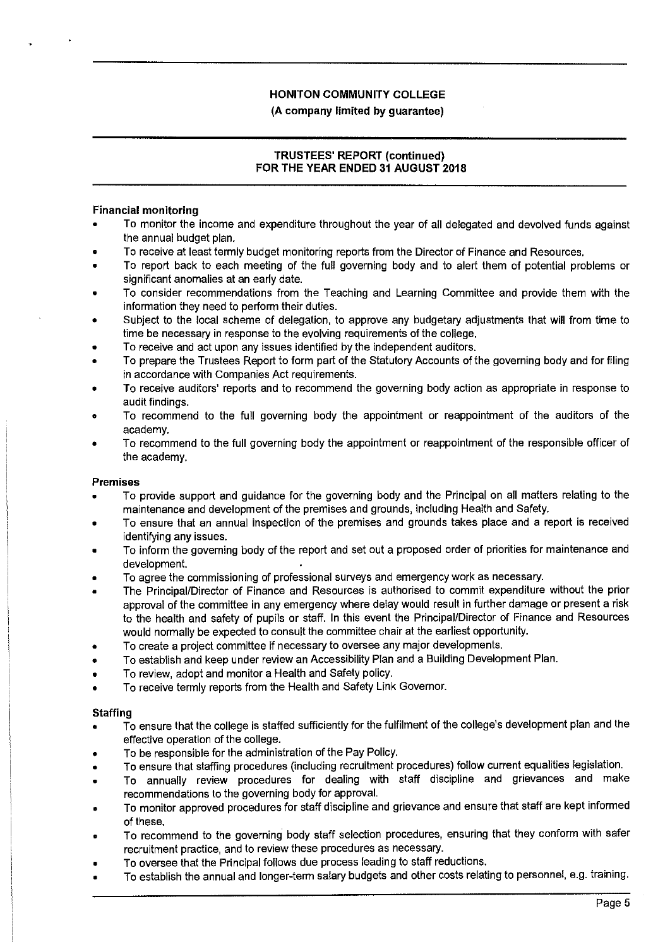# **TRUSTEES' REPORT (continued) FOR THE YEAR ENDED 31 AUGUST 2018**

## **Financial monitoring**

- To monitor the income and expenditure throughout the year of all delegated and devolved funds against the annual budget plan.
- To receive at least termly budget monitoring reports from the Director of Finance and Resources.
- To report back to each meeting of the full governing body and to alert them of potential problems or significant anomalies at an early date.
- To consider recommendations from the Teaching and Learning Committee and provide them with the information they need to perform their duties.
- Subject to the local scheme of delegation, to approve any budgetary adjustments that will from time to time be necessary in response to the evolving requirements of the college.
- To receive and act upon any issues identified by the independent auditors.
- To prepare the Trustees Report to form part of the Statutory Accounts of the governing body and for filing in accordance with Companies Act requirements.
- To receive auditors' reports and to recommend the governing body action as appropriate in response to audit findings.
- To recommend to the full governing body the appointment or reappointment of the auditors of the academy.
- To recommend to the full governing body the appointment or reappointment of the responsible officer of the academy.

#### **Premises**

- To provide support and guidance for the governing body and the Principal on all matters relating to the maintenance and development of the premises and grounds, including Health and Safety.
- To ensure that an annual inspection of the premises and grounds takes place and a report is received identifying any issues.
- To inform the governing body of the report and set out a proposed order of priorities for maintenance and development.
- To agree the commissioning of professional surveys and emergency work as necessary.
- The Principal/Director of Finance and Resources is authorised to commit expenditure without the prior approval of the committee in any emergency where delay would result in further damage or present a risk to the health and safety of pupils or staff. In this event the Principal/Director of Finance and Resources would normally be expected to consult the committee chair at the earliest opportunity.
- To create a project committee if necessary to oversee any major developments.
- To establish and keep under review an Accessibility Plan and a Building Development Plan.
- To review, adopt and monitor a Health and Safety policy.
- To receive termly reports from the Health and Safety Link Governor.

#### **Staffing**

- To ensure that the college is staffed sufficiently for the fulfilment of the college's development plan and the effective operation of the college.
- To be responsible for the administration of the Pay Policy.
- To ensure that staffing procedures (including recruitment procedures) follow current equalities legislation.
- To annually review procedures for dealing with staff discipline and grievances and make recommendations to the governing body for approval.
- To monitor approved procedures for staff discipline and grievance and ensure that staff are kept informed of these.
- To recommend to the governing body staff selection procedures, ensuring that they conform with safer recruitment practice, and to review these procedures as necessary.
- To oversee that the Principal follows due process leading to staff reductions.
- To establish the annual and longer-term salary budgets and other costs relating to personnel, e.g. training.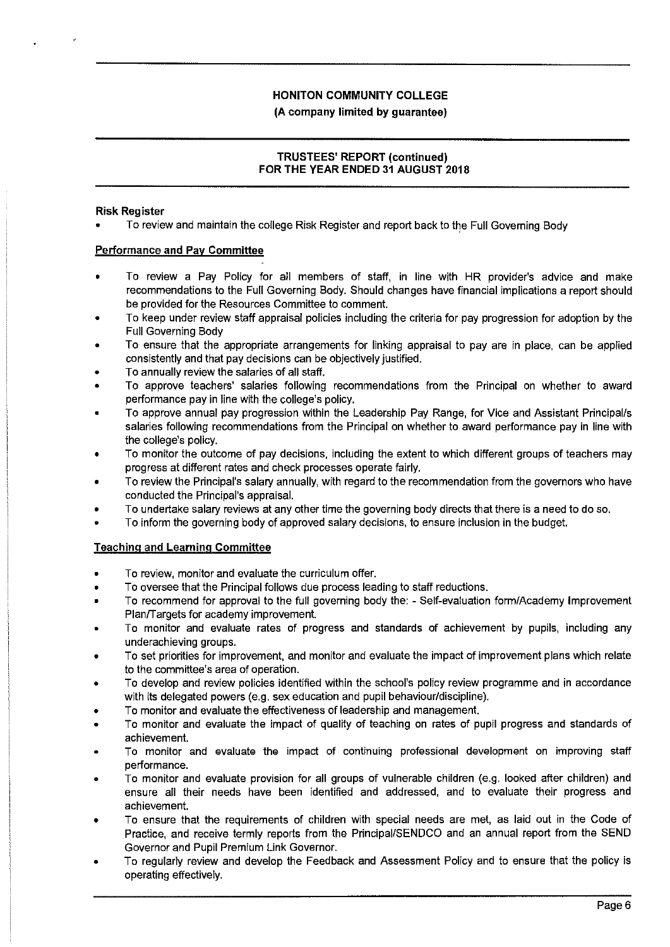**(A company limited by guarantee)** 

# **TRUSTEES' REPORT (continued) FOR THE YEAR ENDED 31 AUGUST 2018**

### **Risk Register**

• To review and maintain the college Risk Register and report back to the Full Governing Body

# **Performance and Pay Committee**

- To review a Pay Policy for all members of staff, in line with HR provider's advice and make recommendations to the Full Governing Body. Should changes have financial implications a report should be provided for the Resources Committee to comment.
- To keep under review staff appraisal policies including the criteria for pay progression for adoption by the Full Governing Body
- To ensure that the appropriate arrangements for linking appraisal to pay are in place, can be applied consistently and that pay decisions can be objectively justified.
- To annually review the salaries of all staff.
- To approve teachers' salaries following recommendations from the Principal on whether to award performance pay in line with the college's policy.
- To approve annual pay progression within the Leadership Pay Range, for Vice and Assistant Principal/s salaries following recommendations from the Principal on whether to award performance pay in line with the college's policy.
- To monitor the outcome of pay decisions, including the extent to which different groups of teachers may progress at different rates and check processes operate fairly.
- To review the Principal's salary annually, with regard to the recommendation from the governors who have conducted the Principal's appraisal.
- To undertake salary reviews at any other time the governing body directs that there is a need to do so.
- To inform the governing body of approved salary decisions, to ensure inclusion in the budget.

# **Teaching and Learning Committee**

- To review, monitor and evaluate the curriculum offer.
- To oversee that the Principal follows due process leading to staff reductions.
- To recommend for approval to the full governing body the: Self-evaluation form/Academy Improvement Plan/Targets for academy improvement.
- To monitor and evaluate rates of progress and standards of achievement by pupils, including any underachieving groups.
- To set priorities for improvement, and monitor and evaluate the impact of improvement plans which relate to the committee's area of operation.
- To develop and review policies identified within the school's policy review programme and in accordance with its delegated powers (e.g. sex education and pupil behaviour/discipline).
- To monitor and evaluate the effectiveness of leadership and management.
- To monitor and evaluate the impact of quality of teaching on rates of pupil progress and standards of achievement.
- To monitor and evaluate the impact of continuing professional development on improving staff performance.
- To monitor and evaluate provision for all groups of vulnerable children (e.g. looked after children) and ensure all their needs have been identified and addressed, and to evaluate their progress and achievement.
- To ensure that the requirements of children with special needs are met, as laid out in the Code of Practice, and receive termly reports from the Principal/SENDCO and an annual report from the SEND Governor and Pupil Premium Link Governor.
- To regularly review and develop the Feedback and Assessment Policy and to ensure that the policy is operating effectively.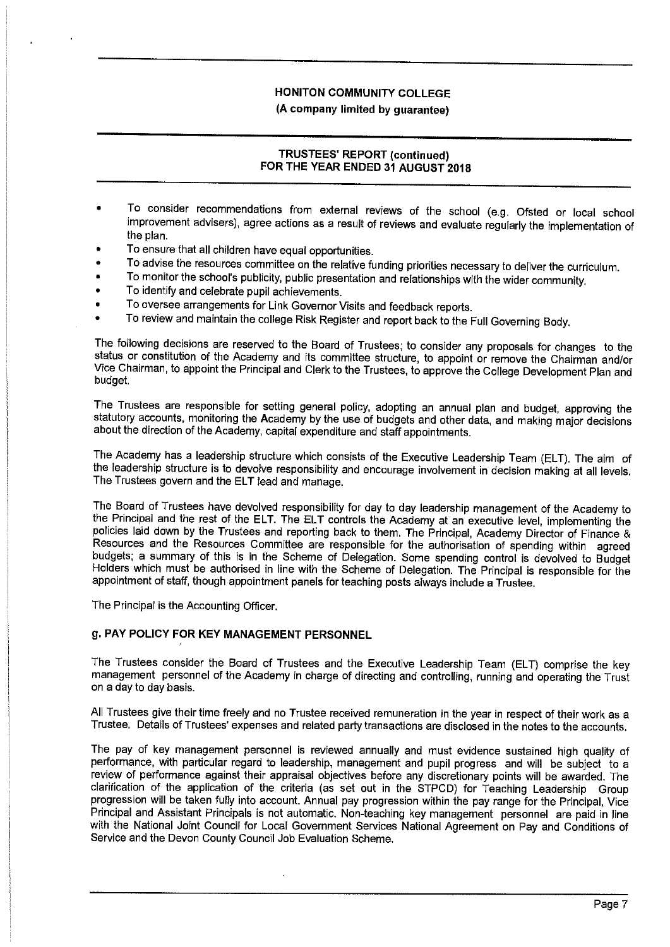**(A company limited by guarantee)** 

# **TRUSTEES' REPORT (continued) FOR THE YEAR ENDED 31 AUGUST 2018**

- To consider recommendations from external reviews of the school (e.g. Ofsted or local school improvement advisers), agree actions as a result of reviews and evaluate regularly the implementation of the plan.
- To ensure that all children have equal opportunities.
- To advise the resources committee on the relative funding priorities necessary to deliver the curriculum.
- To monitor the school's publicity, public presentation and relationships with the wider community.
- To identify and celebrate pupil achievements.
- To oversee arrangements for Link Governor Visits and feedback reports.
- To review and maintain the college Risk Register and report back to the Full Governing Body.

The following decisions are reserved to the Board of Trustees; to consider any proposals for changes to the status or constitution of the Academy and its committee structure, to appoint or remove the Chairman and/or Vice Chairman, to appoint the Principal and Clerk to the Trustees, to approve the College Development Plan and budget.

The Trustees are responsible for setting general policy, adopting an annual plan and budget, approving the statutory accounts, monitoring the Academy by the use of budgets and other data, and making major decisions about the direction of the Academy, capital expenditure and staff appointments.

The Academy has a leadership structure which consists of the Executive Leadership Team (ELT). The aim of the leadership structure is to devolve responsibility and encourage involvement in decision making at all levels. The Trustees govern and the ELT lead and manage.

The Board of Trustees have devolved responsibility for day to day leadership management of the Academy to the Principal and the rest of the ELT. The ELT controls the Academy at an executive level, implementing the policies laid down by the Trustees and reporting back to them. The Principal, Academy Director of Finance & Resources and the Resources Committee are responsible for the authorisation of spending within agreed budgets; a summary of this is in the Scheme of Delegation. Some spending control is devolved to Budget Holders which must be authorised in line with the Scheme of Delegation. The Principal is responsible for the appointment of staff, though appointment panels for teaching posts always include a Trustee.

The Principal is the Accounting Officer.

# **g. PAY POLICY FOR KEY MANAGEMENT PERSONNEL**

The Trustees consider the Board of Trustees and the Executive Leadership Team (ELT) comprise the key management personnel of the Academy in charge of directing and controlling, running and operating the Trust on a day to day basis.

All Trustees give their time freely and no Trustee received remuneration in the year in respect of their work as a Trustee. Details of Trustees' expenses and related party transactions are disclosed in the notes to the accounts.

The pay of key management personnel is reviewed annually and must evidence sustained high quality of performance, with particular regard to leadership, management and pupil progress and will be subject to a review of performance against their appraisal objectives before any discretionary points will be awarded. The clarification of the application of the criteria (as set out in the STPCD) for Teaching Leadership Group progression will be taken fully into account. Annual pay progression within the pay range for the Principal, Vice Principal and Assistant Principals is not automatic. Non-teaching key management personnel are paid in line with the National Joint Council for Local Government Services National Agreement on Pay and Conditions of Service and the Devon County Council Job Evaluation Scheme.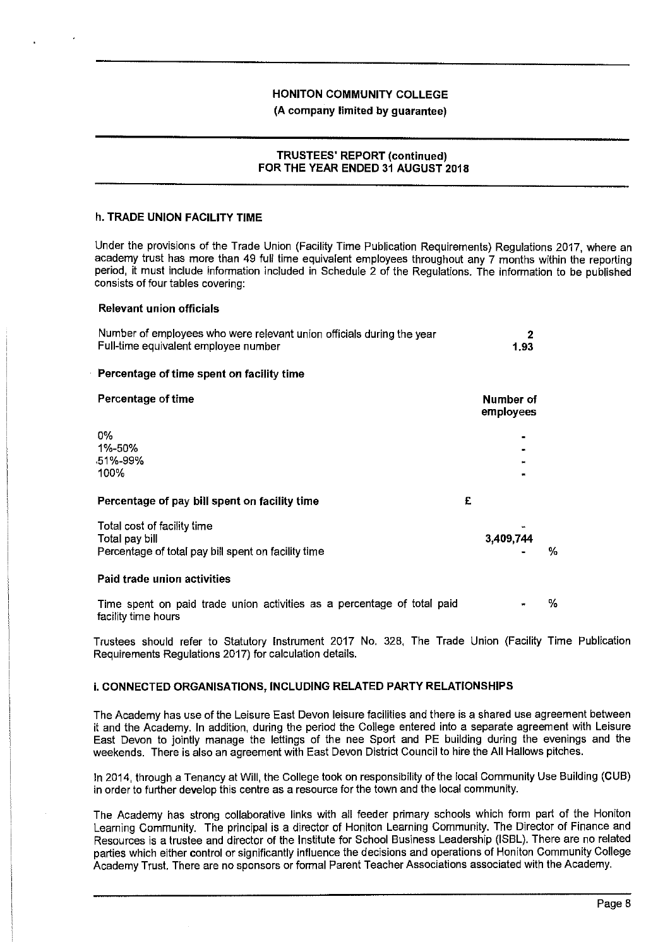**(A company limited by guarantee)** 

### **TRUSTEES' REPORT (continued) FOR THE YEAR ENDED 31 AUGUST 2018**

#### **h. TRADE UNION FACILITY TIME**

Under the provisions of the Trade Union (Facility Time Publication Requirements) Regulations 2017, where an academy trust has more than 49 full time equivalent employees throughout any 7 months within the reporting period, it must include information included in Schedule 2 of the Regulations. The information to be published consists of four tables covering:

#### **Relevant union officials**

| Number of employees who were relevant union officials during the year |      |
|-----------------------------------------------------------------------|------|
| Full-time equivalent employee number                                  | 1.93 |
|                                                                       |      |

### **Percentage of time spent on facility time**

| Percentage of time                                                                                   | Number of<br>employees |  |  |
|------------------------------------------------------------------------------------------------------|------------------------|--|--|
| 0%<br>1%-50%                                                                                         | $\blacksquare$         |  |  |
| .51%-99%<br>100%                                                                                     | $\blacksquare$<br>٠    |  |  |
| Percentage of pay bill spent on facility time                                                        | £                      |  |  |
| Total cost of facility time<br>Total pay bill<br>Percentage of total pay bill spent on facility time | 3,409,744<br>%         |  |  |
| __________                                                                                           |                        |  |  |

#### **Paid trade union activities**

Time spent on paid trade union activities as a percentage of total paid facility time hours %

Trustees should refer to Statutory Instrument 2017 No. 328, The Trade Union (Facility Time Publication Requirements Regulations 2017) for calculation details.

# **i. CONNECTED ORGANISATIONS, INCLUDING RELATED PARTY RELATIONSHIPS**

The Academy has use of the Leisure East Devon leisure facilities and there is a shared use agreement between it and the Academy. In addition, during the period the College entered into a separate agreement with Leisure East Devon to jointly manage the lettings of the nee Sport and PE building during the evenings and the weekends. There is also an agreement with East Devon District Council to hire the All Hallows pitches.

In 2014, through a Tenancy at Will, the College took on responsibility of the local Community Use Building (CUB) in order to further develop this centre as a resource for the town and the local community.

The Academy has strong collaborative links with all feeder primary schools which form part of the Honiton Learning Community. The principal is a director of Honiton Learning Community. The Director of Finance and Resources is a trustee and director of the Institute for School Business Leadership (ISBL). There are no related parties which either control or significantly influence the decisions and operations of Honiton Community College Academy Trust. There are no sponsors or formal Parent Teacher Associations associated with the Academy.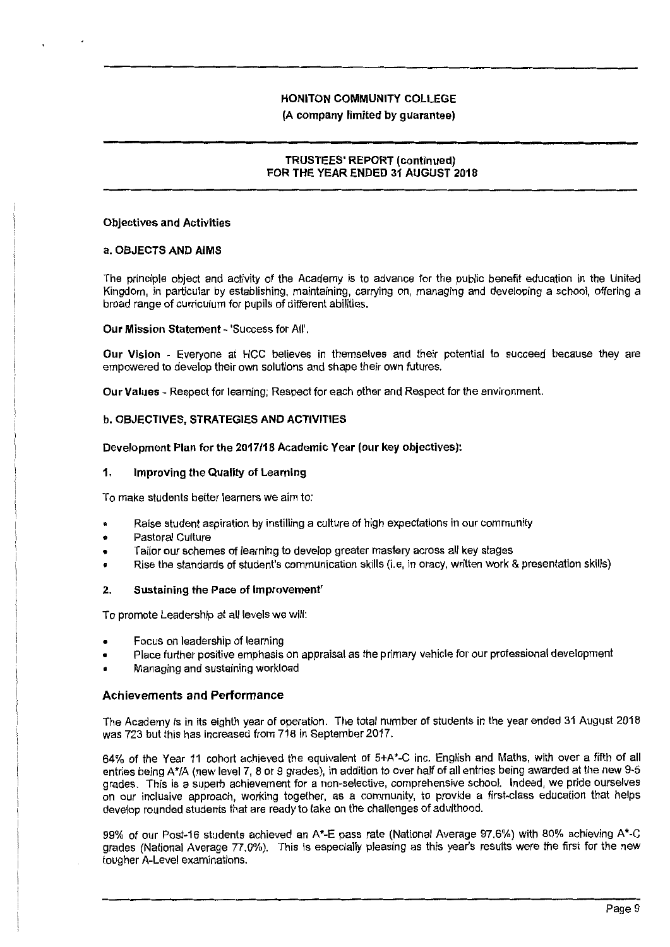#### **(A company limited by guarantee)**

#### **TRUSTEES' REPORT (continued) FOR THE YEAR ENDED 31 AUGUST 2018**

#### **Objectives and Activities**

#### **a. OBJECTS AND AIMS**

The principle object and activity of the Academy is to advance for the public benefit education in the United Kingdom, in particular by establishing, maintaining, carrying on, managing and developing a school, offering a broad range of curriculum for pupils of different abilities.

#### **Our Mission Statement** - 'Success for All'.

**Our Vision** - Everyone at HCC believes in themselves and their potential to succeed because they are empowered to develop their own solutions and shape their own futures.

**Our Values** - Respect for learning; Respect for each other and Respect for the environment.

#### **b. OBJECTIVES, STRATEGIES AND ACTIVITIES**

#### **Development Plan for the 2017/18 Academic Year (our key objectives):**

#### **1. Improving the Quality of Learning**

To make students better learners we aim to:

- Raise student aspiration by instilling a culture of high expectations in our community
- Pastoral Culture
- Tailor our schemes of learning to develop greater mastery across all key stages
- Rise the standards of student's communication skills (i.e, in oracy, written work & presentation skills)

#### **2. Sustaining the Pace of Improvement'**

To promote Leadership at all levels we will:

- Focus on leadership of learning
- Place further positive emphasis on appraisal as the primary vehicle for our professional development
- Managing and sustaining workload

#### **Achievements and Performance**

The Academy is in its eighth year of operation. The total number of students in the year ended 31 August 2018 was 723 but this has increased from 718 in September 2017.

64% of the Year 11 cohort achieved the equivalent of 5+A\*-C inc. English and Maths, with over a fifth of all entries being A\*/A (new level 7, 8 or 9 grades), in addition to over half of all entries being awarded at the new 9-5 grades. This is a superb achievement for a non-selective, comprehensive school. Indeed, we pride ourselves on our inclusive approach, working together, as a community, to provide a first-class education that helps develop rounded students that are ready to take on the challenges of adulthood.

99% of our Post-16 students achieved an A\*-E pass rate (National Average 97.6%) with 80% achieving A'-C grades (National Average 77.0%). This is especially pleasing as this year's results were the first for the new tougher A-Level examinations.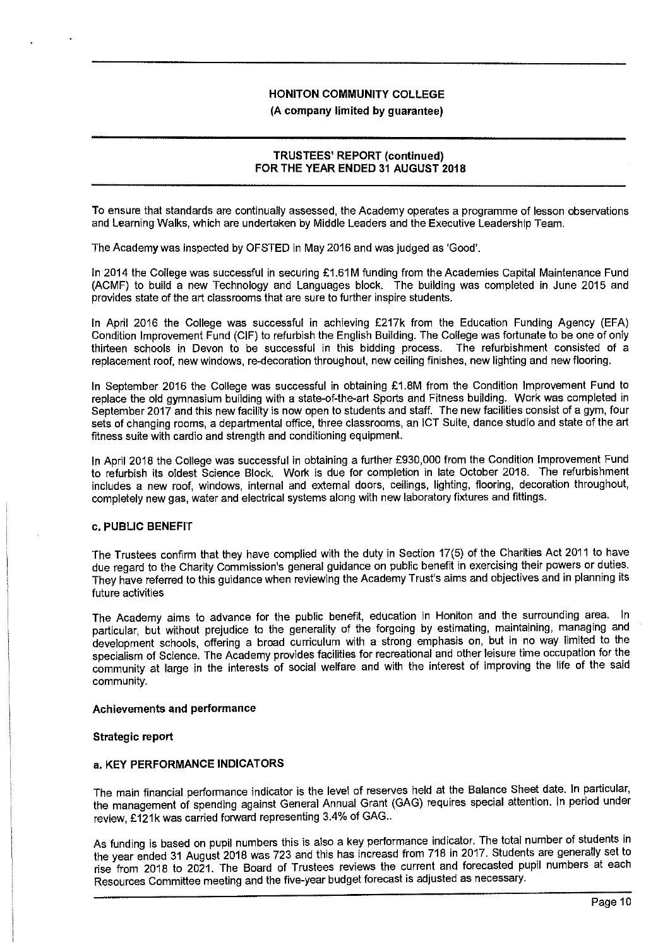# **TRUSTEES' REPORT (continued) FOR THE YEAR ENDED 31 AUGUST 2018**

To ensure that standards are continually assessed, the Academy operates a programme of lesson observations and Learning Walks, which are undertaken by Middle Leaders and the Executive Leadership Team.

The Academy was inspected by OFSTED in May 2016 and was judged as 'Good'.

In 2014 the College was successful in securing £1.61M funding from the Academies Capital Maintenance Fund (ACMF) to build a new Technology and Languages block. The building was completed in June 2015 and provides state of the art classrooms that are sure to further inspire students.

In April 2016 the College was successful in achieving £217k from the Education Funding Agency (EFA) Condition Improvement Fund (CIF) to refurbish the English Building. The College was fortunate to be one of only thirteen schools in Devon to be successful in this bidding process. replacement roof, new windows, re-decoration throughout, new ceiling finishes, new lighting and new flooring.

In September 2016 the College was successful in obtaining £1.8M from the Condition Improvement Fund to replace the old gymnasium building with a state-of-the-art Sports and Fitness building. Work was completed in September 2017 and this new facility is now open to students and staff. The new facilities consist of a gym, four sets of changing rooms, a departmental office, three classrooms, an JCT Suite, dance studio and state of the art fitness suite with cardio and strength and conditioning equipment.

In April 2018 the College was successful in obtaining a further £930,000 from the Condition Improvement Fund to refurbish its oldest Science Block. Work is due for completion in late October 2018. The refurbishment includes a new roof, windows, internal and external doors, ceilings, lighting, flooring, decoration throughout, completely new gas, water and electrical systems along with new laboratory fixtures and fittings.

#### **c. PUBLIC BENEFIT**

The Trustees confirm that they have complied with the duty in Section 17(5) of the Charities Act 2011 to have due regard to the Charity Commission's general guidance on public benefit in exercising their powers or duties. They have referred to this guidance when reviewing the Academy Trust's aims and objectives and in planning its future activities

The Academy aims to advance for the public benefit, education in Honiton and the surrounding area. In particular, but without prejudice to the generality of the forgoing by estimating, maintaining, managing and development schools, offering a broad curriculum with a strong emphasis on, but in no way limited to the specialism of Science. The Academy provides facilities for recreational and other leisure time occupation for the community at large in the interests of social welfare and with the interest of improving the life of the said community.

# **Achievements and performance**

#### **Strategic report**

#### **a. KEY PERFORMANCE INDICATORS**

The main financial performance indicator is the level of reserves held at the Balance Sheet date. In particular, the management of spending against General Annual Grant (GAG) requires special attention. In period under review, £121k was carried forward representing 3.4% of GAG..

As funding is based on pupil numbers this is also a key performance indicator. The total number of students in the year ended 31 August 2018 was 723 and this has increasd from 718 in 2017. Students are generally set to rise from 2018 to 2021. The Board of Trustees reviews the current and forecasted pupil numbers at each Resources Committee meeting and the five-year budget forecast is adjusted as necessary.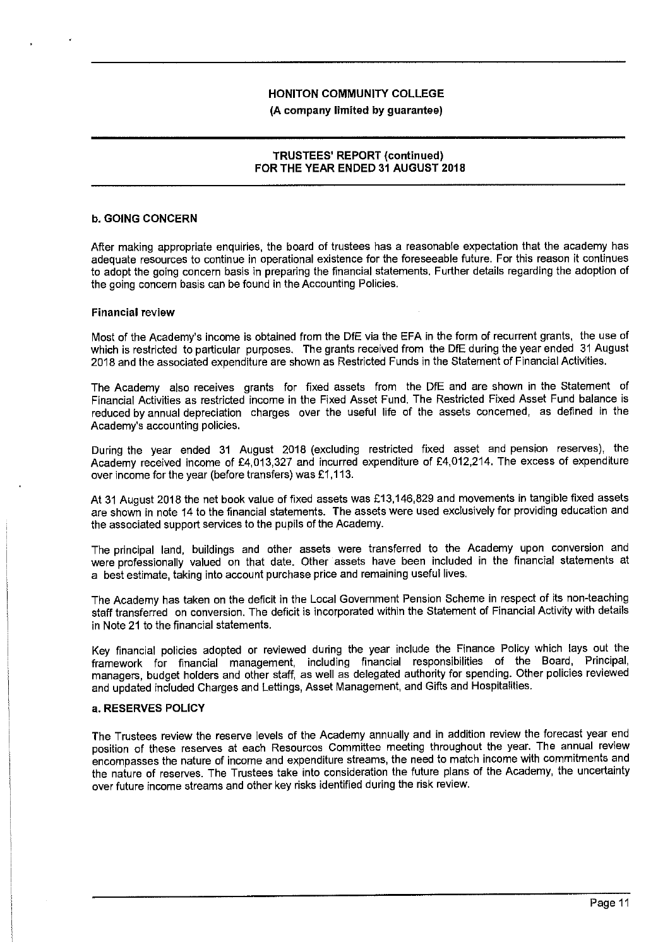## **TRUSTEES' REPORT (continued) FOR THE YEAR ENDED 31 AUGUST 2018**

#### **b. GOING CONCERN**

After making appropriate enquiries, the board of trustees has a reasonable expectation that the academy has adequate resources to continue in operational existence for the foreseeable future. For this reason it continues to adopt the going concern basis in preparing the financial statements. Further details regarding the adoption of the going concern basis can be found in the Accounting Policies.

#### **Financial review**

Most of the Academy's income is obtained from the DIE via the EFA in the form of recurrent grants, the use of which is restricted to particular purposes. The grants received from the DfE during the year ended 31 August 2018 and the associated expenditure are shown as Restricted Funds in the Statement of Financial Activities.

The Academy also receives grants for fixed assets from the DfE and are shown in the Statement of Financial Activities as restricted income in the Fixed Asset Fund. The Restricted Fixed Asset Fund balance is reduced by annual depreciation charges over the useful life of the assets concerned, as defined in the Academy's accounting policies.

During the year ended 31 August 2018 (excluding restricted fixed asset and pension reserves), the Academy received income of £4,013,327 and incurred expenditure of £4,012,214. The excess of expenditure over income for the year (before transfers) was £1,113.

At 31 August 2018 the net book value of fixed assets was £13,146,829 and movements in tangible fixed assets are shown in note 14 to the financial statements. The assets were used exclusively for providing education and the associated support services to the pupils of the Academy.

The principal land, buildings and other assets were transferred to the Academy upon conversion and were professionally valued on that date. Other assets have been included in the financial statements at a best estimate, taking into account purchase price and remaining useful lives.

The Academy has taken on the deficit in the Local Government Pension Scheme in respect of its non-teaching staff transferred on conversion. The deficit is incorporated within the Statement of Financial Activity with details in Note 21 to the financial statements.

Key financial policies adopted or reviewed during the year include the Finance Policy which lays out the framework for financial management, including financial responsibilities of the Board, Principal, managers, budget holders and other staff, as well as delegated authority for spending. Other policies reviewed and updated included Charges and Lettings, Asset Management, and Gifts and Hospitalities.

#### **a. RESERVES POLICY**

The Trustees review the reserve levels of the Academy annually and in addition review the forecast year end position of these reserves at each Resources Committee meeting throughout the year. The annual review encompasses the nature of income and expenditure streams, the need to match income with commitments and the nature of reserves. The Trustees take into consideration the future plans of the Academy, the uncertainty over future income streams and other key risks identified during the risk review.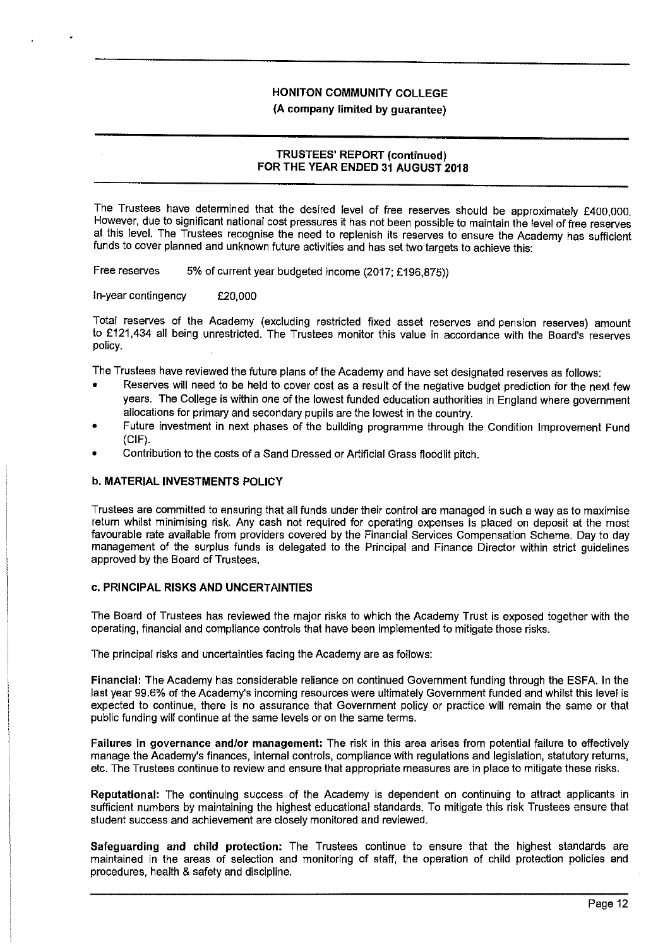**(A company limited by guarantee)** 

#### **TRUSTEES' REPORT (continued) FOR THE YEAR ENDED 31 AUGUST 2018**

The Trustees have determined that the desired level of free reserves should be approximately £400,000. However, due to significant national cost pressures it has not been possible to maintain the level of free reserves at this level. The Trustees recognise the need to replenish its reserves to ensure the Academy has sufficient funds to cover planned and unknown future activities and has set two targets to achieve this:

Free reserves 5% of current year budgeted income (2017; £196,875))

In-year contingency £20,000

Total reserves of the Academy (excluding restricted fixed asset reserves and pension reserves) amount to £121,434 all being unrestricted. The Trustees monitor this value in accordance with the Board's reserves policy.

The Trustees have reviewed the future plans of the Academy and have set designated reserves as follows:

- Reserves will need to be held to cover cost as a result of the negative budget prediction for the next few years. The College is within one of the lowest funded education authorities in England where government allocations for primary and secondary pupils are the lowest in the country.
- Future investment in next phases of the building programme through the Condition Improvement Fund (CIF).
- Contribution to the costs of a Sand Dressed or Artificial Grass floodlit pitch.

#### **b. MATERIAL INVESTMENTS POLICY**

Trustees are committed to ensuring that all funds under their control are managed in such a way as to maximise return whilst minimising risk. Any cash not required for operating expenses is placed on deposit at the most favourable rate available from providers covered by the Financial Services Compensation Scheme. Day to day management of the surplus funds is delegated to the Principal and Finance Director within strict guidelines approved by the Board of Trustees.

#### **c. PRINCIPAL RISKS AND UNCERTAINTIES**

The Board of Trustees has reviewed the major risks to which the Academy Trust is exposed together with the operating, financial and compliance controls that have been implemented lo mitigate those risks.

The principal risks and uncertainties facing the Academy are as follows:

**Financial:** The Academy has considerable reliance on continued Government funding through the ESFA. In the last year 99.6% of the Academy's incoming resources were ultimately Government funded and whilst this level is expected to continue, there is no assurance that Government policy or practice will remain the same or that public funding will continue at the same levels or on the same terms.

**Failures in governance and/or management:** The risk in this area arises from potential failure to effectively manage the Academy's finances, internal controls, compliance with regulations and legislation, statutory returns, etc. The Trustees continue to review and ensure that appropriate measures are in place to mitigate these risks.

**Reputational:** The continuing success of the Academy is dependent on continuing to attract applicants in sufficient numbers by maintaining the highest educational standards. To mitigate this risk Trustees ensure that student success and achievement are closely monitored and reviewed.

**Safeguarding and child protection:** The Trustees continue to ensure that the highest standards are maintained in the areas of selection and monitoring of staff, the operation of child protection policies and procedures, health & safety and discipline.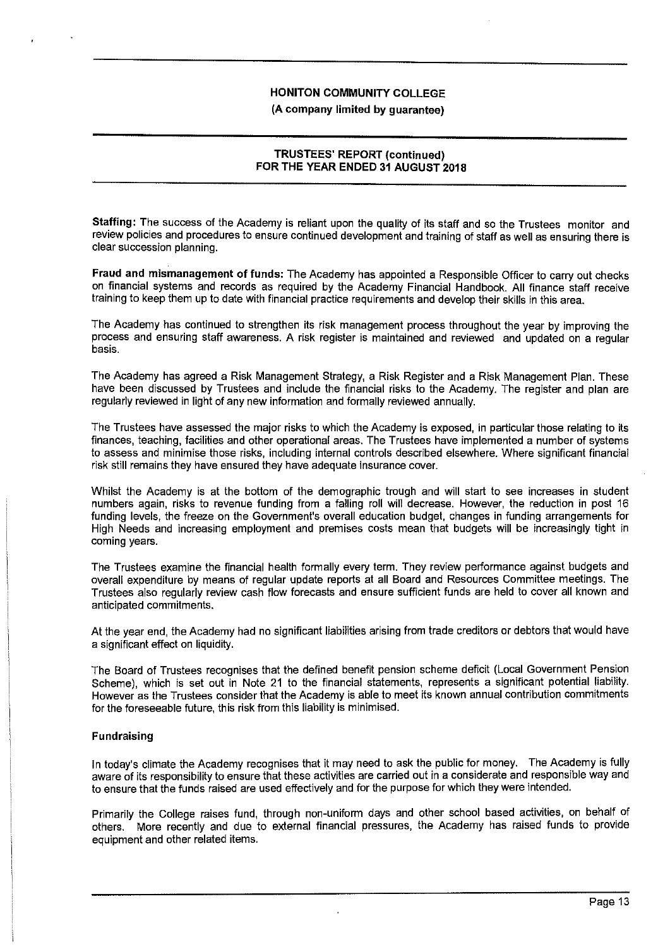# **TRUSTEES' REPORT (continued) FOR THE YEAR ENDED 31 AUGUST 2018**

**Staffing:** The success of the Academy **is** reliant upon the quality of its staff and so the Trustees monitor and review policies and procedures to ensure continued development and training of staff as well as ensuring there is clear succession planning.

**Fraud and mismanagement of funds:** The Academy has appointed a Responsible Officer to carry out checks on financial systems and records as required by the Academy Financial Handbook. All finance staff receive training to keep them up to date with financial practice requirements and develop their skills in this area.

The Academy has continued to strengthen its risk management process throughout the year by improving the process and ensuring staff awareness. A risk register is maintained and reviewed and updated on a regular basis.

The Academy has agreed a Risk Management Strategy, a Risk Register and a Risk Management Plan. These have been discussed by Trustees and include the financial risks to the Academy. The register and plan are regularly reviewed in light of any new information and formally reviewed annually.

The Trustees have assessed the major risks to which the Academy is exposed, in particular those relating to its finances, teaching, facilities and other operational areas. The Trustees have implemented a number of systems to assess and minimise those risks, including internal controls described elsewhere. Where significant financial risk still remains they have ensured they have adequate insurance cover.

Whilst the Academy is at the bottom of the demographic trough and will start to see increases in student numbers again, risks to revenue funding from a falling roll will decrease. However, the reduction in post 16 funding levels, the freeze on the Government's overall education budget, changes in funding arrangements for High Needs and increasing employment and premises costs mean that budgets will be increasingly tight in coming years.

The Trustees examine the financial health formally every term. They review performance against budgets and overall expenditure by means of regular update reports at all Board and Resources Committee meetings. The Trustees also regularly review cash flow forecasts and ensure sufficient funds are held to cover all known and anticipated commitments.

At the year end, the Academy had no significant liabilities arising from trade creditors or debtors that would have a significant effect on liquidity.

The Board of Trustees recognises that the defined benefit pension scheme deficit (Local Government Pension Scheme), which is set out in Note 21 to the financial statements, represents a significant potential liability. However as the Trustees consider that the Academy is able to meet its known annual contribution commitments for the foreseeable future, this risk from this liability is minimised.

#### **Fundraising**

In today's climate the Academy recognises that it may need to ask the public for money. The Academy is fully aware of its responsibility to ensure that these activities are carried out in a considerate and responsible way and to ensure that the funds raised are used effectively and for the purpose for which they were intended.

Primarily the College raises fund, through non-uniform days and other school based activities, on behalf of others. More recently and due to external financial pressures, the Academy has raised funds to provide equipment and other related items.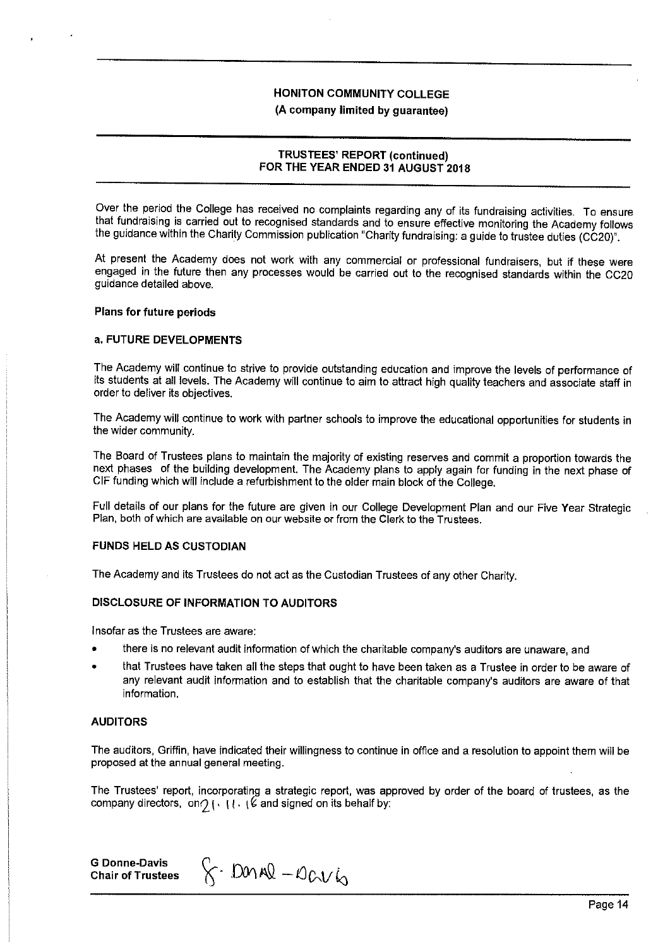## **TRUSTEES' REPORT (continued) FOR THE YEAR ENDED 31 AUGUST 2018**

Over the period the College has received no complaints regarding any of its fundraising activities. To ensure that fundraising is carried out to recognised standards and to ensure effective monitoring the Academy follows the guidance within the Charity Commission publication "Charity fundraising: a guide to trustee duties (CC20)".

At present the Academy does not work with any commercial or professional fundraisers, but if these were engaged in the future then any processes would be carried out to the recognised standards within the CC20 guidance detailed above.

#### **Plans for future periods**

#### **a. FUTURE DEVELOPMENTS**

The Academy **will** continue to strive to provide outstanding education and improve the levels of performance of its students at all levels. The Academy will continue to aim to attract high quality teachers and associate staff in order to deliver its objectives.

The Academy will continue to work with partner schools to improve the educational opportunities for students in the wider community.

The Board of Trustees plans to maintain the majority of existing reserves and commit a proportion towards the next phases of the building development. The Academy plans to apply again for funding in the next phase of CIF funding which will include a refurbishment to the older main block of the College.

Full details of our plans for the future are given in our College Development Plan and our Five Year Strategic Plan, both of which are available on our website or from the Clerk to the Trustees.

#### **FUNDS HELD AS CUSTODIAN**

The Academy and its Trustees do not act as the Custodian Trustees of any other Charity.

#### **DISCLOSURE OF INFORMATION TO AUDITORS**

Insofar as the Trustees are aware:

- there is no relevant audit information of which the charitable company's auditors are unaware, and
- that Trustees have taken all the steps that ought to have been taken as a Trustee in order to be aware of any relevant audit information and to establish that the charitable company's auditors are aware of that information.

### **AUDITORS**

The auditors, Griffin, have indicated their willingness to continue in office and a resolution to appoint them will be proposed at the annual general meeting.

The Trustees' report, incorporating a strategic report, was approved by order of the board of trustees, as the company directors, on  $\gamma \, \cdot \, \cdot \, \cdot \, \cdot \, \cdot \,$  and signed on its behalf by:

**G Donne-Davis Chair of Trustees** 

 $8 -$  DOMAR - OGV6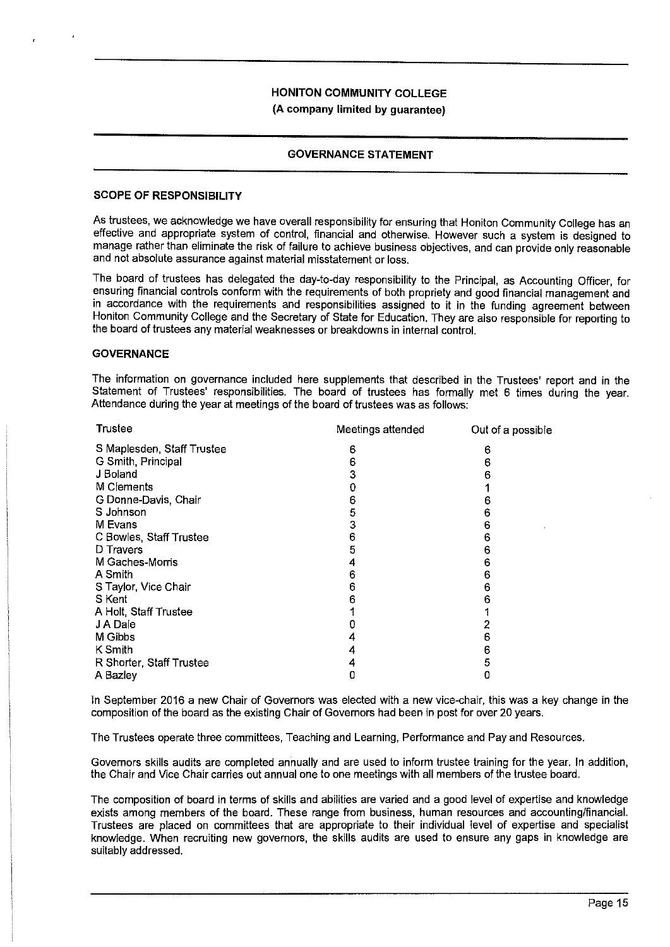**(A company limited by guarantee)** 

### **GOVERNANCE STATEMENT**

#### **SCOPE OF RESPONSIBILITY**

As trustees, we acknowledge we have overall responsibility for ensuring that Honiton Community College has an effective and appropriate system of control, financial and otherwise. However such a system is designed to manage rather than eliminate the risk of failure to achieve business objectives, and can provide only reasonable and not absolute assurance against material misstatement or loss.

The board of trustees has delegated the day-to-day responsibility to the Principal, as Accounting Officer, for ensuring financial controls conform with the requirements of both propriety and good financial management and in accordance with the requirements and responsibilities assigned to it in the funding agreement between Honiton Community College and the Secretary of State for Education. They are also responsible for reporting to the board of trustees any material weaknesses or breakdowns in internal control.

#### **GOVERNANCE**

The information on governance included here supplements that described in the Trustees' report and in the Statement of Trustees' responsibilities. The board of trustees has formally met 6 times during the year. Attendance during the year at meetings of the board of trustees was as follows:

| Trustee                    | Meetings attended | Out of a possible |
|----------------------------|-------------------|-------------------|
| S Maplesden, Staff Trustee | 6                 | 6                 |
| G Smith, Principal         | 6                 | 6                 |
| J Boland                   | з                 |                   |
| M Clements                 |                   |                   |
| G Donne-Davis, Chair       | 6                 |                   |
| S Johnson                  | 5                 | 6                 |
| M Evans                    | 3                 | 6                 |
| C Bowles, Staff Trustee    | 6                 | 6                 |
| D Travers                  | 5                 | 6                 |
| M Gaches-Morris            |                   | 6                 |
| A Smith                    | 6                 | 6                 |
| S Taylor, Vice Chair       | 6                 | 6                 |
| S Kent                     |                   |                   |
| A Holt, Staff Trustee      |                   |                   |
| J A Dale                   |                   |                   |
| M Gibbs                    |                   | 6                 |
| K Smith                    |                   | 6                 |
| R Shorter, Staff Trustee   |                   | 5                 |
| A Bazley                   |                   |                   |

In September 2016 a new Chair of Governors was elected with a new vice-chair, this was a key change in the composition of the board as the existing Chair of Governors had been in post for over 20 years.

The Trustees operate three committees, Teaching and Learning, Performance and Pay and Resources.

Governors skills audits are completed annually and are used to inform trustee training for the year. In addition, the Chair and Vice Chair carries out annual one to one meetings with all members of the trustee board.

The composition of board in terms of skills and abilities are varied and a good level of expertise and knowledge exists among members of the board. These range from business, human resources and accounting/financial. Trustees are placed on committees that are appropriate to their individual level of expertise and specialist knowledge. When recruiting new governors, the skills audits are used to ensure any gaps in knowledge are suitably addressed.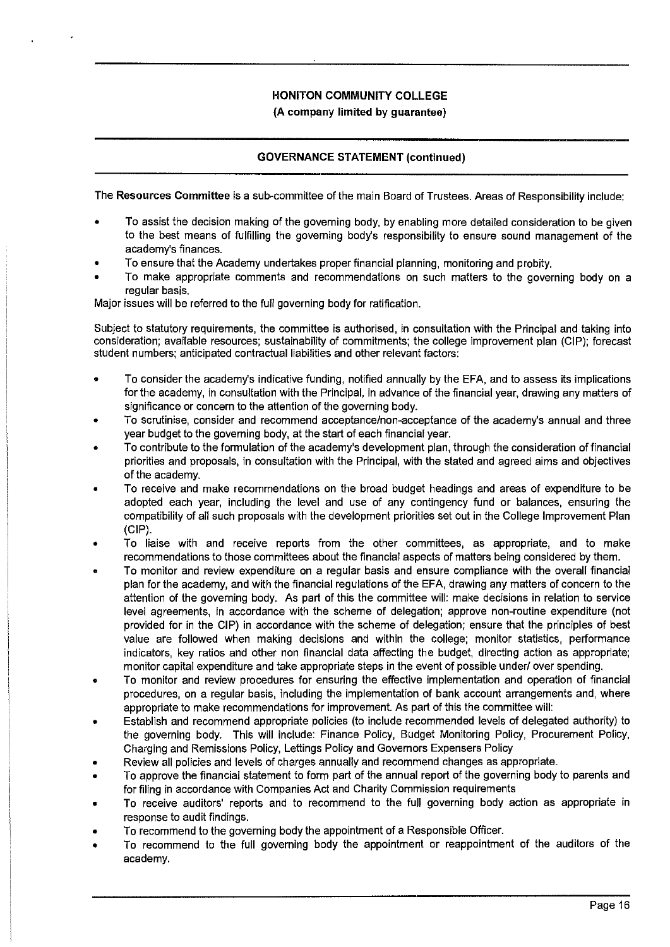# **GOVERNANCE STATEMENT (continued)**

The **Resources Committee** is a sub-committee of the main Board of Trustees. Areas of Responsibility include:

- To assist the decision making of the governing body, by enabling more detailed consideration to be given to the best means of fulfilling the governing body's responsibility to ensure sound management of the academy's finances.
- To ensure that the Academy undertakes proper financial planning, monitoring and probity.
- To make appropriate comments and recommendations on such matters to the governing body on a regular basis.

Major issues will be referred to the full governing body for ratification.

Subject to statutory requirements, the committee is authorised, in consultation with the Principal and taking into consideration; available resources; sustainability of commitments; the college improvement plan (CIP); forecast student numbers; anticipated contractual liabilities and other relevant factors:

- To consider the academy's indicative funding, notified annually by the EFA, and to assess its implications for the academy, in consultation with the Principal, in advance of the financial year, drawing any matters of significance or concern to the attention of the governing body.
- To scrutinise, consider and recommend acceptance/non-acceptance of the academy's annual and three year budget to the governing body, at the start of each financial year.
- To contribute to the formulation of the academy's development plan, through the consideration of financial priorities and proposals, in consultation with the Principal, with the stated and agreed aims and objectives of the academy.
- To receive and make recommendations on the broad budget headings and areas of expenditure to be adopted each year, including the level and use of any contingency fund or balances, ensuring the compatibility of all such proposals with the development priorities set out in the College Improvement Plan (GIP).
- To liaise with and receive reports from the other committees, as appropriate, and to make recommendations to those committees about the financial aspects of matters being considered by them.
- To monitor and review expenditure on a regular basis and ensure compliance with the overall financial plan for the academy, and with the financial regulations of the EFA, drawing any matters of concern to the attention of the governing body. As part of this the committee will: make decisions in relation to service level agreements, in accordance with the scheme of delegation; approve non-routine expenditure (not provided for in the GIP) in accordance with the scheme of delegation; ensure that the principles of best value are followed when making decisions and within the college; monitor statistics, performance indicators, key ratios and other non financial data affecting the budget, directing action as appropriate; monitor capital expenditure and take appropriate steps in the event of possible under/ over spending.
- To monitor and review procedures for ensuring the effective implementation and operation of financial procedures, on a regular basis, including the implementation of bank account arrangements and, where appropriate to make recommendations for improvement. As part of this the committee will:
- Establish and recommend appropriate policies (to include recommended levels of delegated authority) to the governing body. This will include: Finance Policy, Budget Monitoring Policy, Procurement Policy, Charging and Remissions Policy, Lettings Policy and Governors Expensers Policy
- Review all policies and levels of charges annually and recommend changes as appropriate.
- To approve the financial statement to form part of the annual report of the governing body to parents and for filing in accordance with Companies Act and Charity Commission requirements
- To receive auditors' reports and to recommend to the full governing body action as appropriate in response to audit findings.
- To recommend to the governing body the appointment of a Responsible Officer.
- To recommend to the full governing body the appointment or reappointment of the auditors of the academy.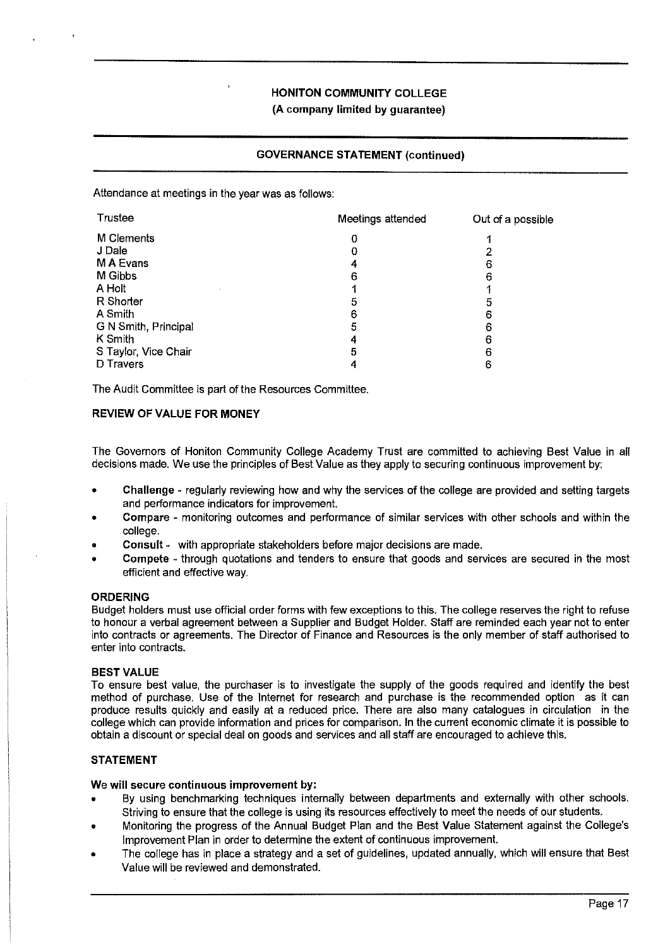### **GOVERNANCE STATEMENT (continued)**

Attendance at meetings in the year was as follows:

| Trustee              | Meetings attended | Out of a possible |
|----------------------|-------------------|-------------------|
| M Clements           | 0                 |                   |
| J Dale               |                   |                   |
| M A Evans            |                   | 6                 |
| M Gibbs              | 6                 | 6                 |
| A Holt               |                   |                   |
| R Shorter            | 5                 |                   |
| A Smith              | 6                 | 6                 |
| G N Smith, Principal | 5                 | 6                 |
| K Smith              |                   | 6                 |
| S Taylor, Vice Chair | 5                 |                   |
| <b>D</b> Travers     |                   |                   |

The Audit Committee is part of the Resources Committee.

#### **REVIEW OF VALUE FOR MONEY**

The Governors of Honiton Community College Academy Trust are committed to achieving Best Value in all decisions made. We use the principles of Best Value as they apply to securing continuous improvement by:

- Challenge regularly reviewing how and why the services of the college are provided and setting targets and performance indicators for improvement.
- Compare monitoring outcomes and performance of similar services with other schools and within the college.
- **Consult**  with appropriate stakeholders before major decisions are made.
- **Compete**  through quotations and tenders to ensure that goods and seivices are secured in the most efficient and effective way.

#### **ORDERING**

Budget holders must use official order forms with few exceptions to this. The college reserves the right to refuse to honour a verbal agreement between a Supplier and Budget Holder. Staff are reminded each year not to enter into contracts or agreements. The Director of Finance and Resources is the only member of staff authorised to enter into contracts.

#### **BEST VALUE**

To ensure best value, the purchaser is to investigate the supply of the goods required and identify the best method of purchase. Use of the Internet for research and purchase is the recommended option as it can produce results quickly and easily at a reduced price. There are also many catalogues in circulation in the college which can provide information and prices for comparison. In the current economic climate it is possible to obtain a discount or special deal on goods and services and all staff are encouraged to achieve this.

#### **STATEMENT**

#### **We will secure continuous improvement by:**

- By using benchmarking techniques internally between departments and externally with other schools. Striving to ensure that the college is using its resources effectively to meet the needs of our students.
- Monitoring the progress of the Annual Budget Plan and the Best Value Statement against the College's Improvement Plan in order to determine the extent of continuous improvement.
- The college has in place a strategy and a set of guidelines, updated annually, which will ensure that Best Value **will** be reviewed and demonstrated.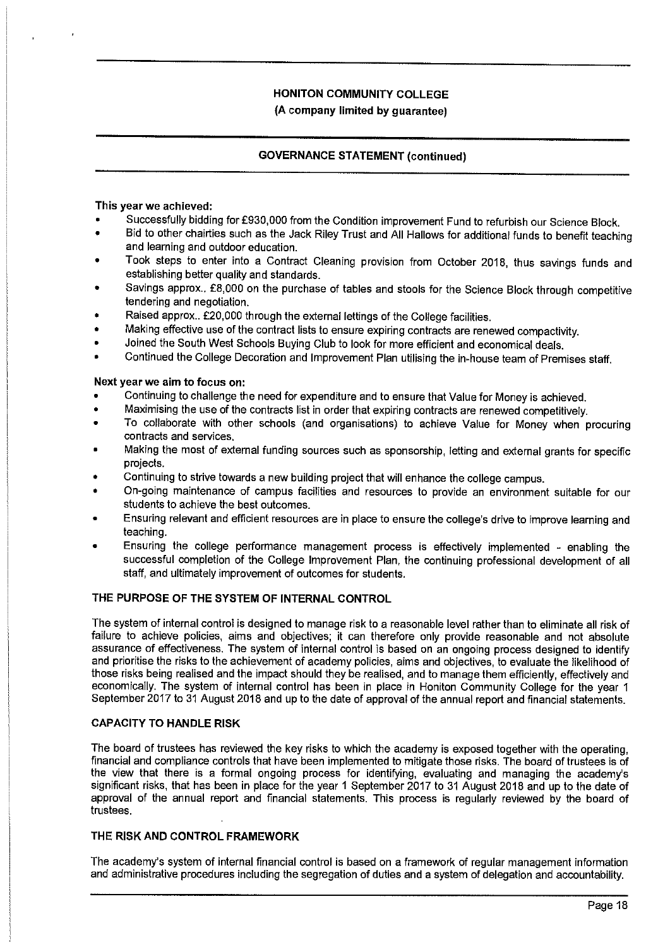# **GOVERNANCE STATEMENT (continued)**

#### **This year we achieved:**

- Successfully bidding for £930,000 from the Condition improvement Fund to refurbish our Science Block.
- Bid to other chairties such as the Jack Riley Trust and All Hallows for additional funds to benefit teaching and learning and outdoor education.
- Took steps to enter into a Contract Cleaning provision from October 2018, thus savings funds and establishing better quality and standards.
- Savings approx., £8,000 on the purchase of tables and stools for the Science Block through competitive tendering and negotiation.
- Raised approx.. £20,000 through the external lettings of the College facilities.
- Making effective use of the contract lists to ensure expiring contracts are renewed compactivity.
- Joined the South West Schools Buying Club to look for more efficient and economical deals.
- Continued the College Decoration and Improvement Plan utilising the in-house team of Premises staff.

### **Next year we aim to focus on:**

- Continuing to challenge the need for expenditure and to ensure that Value for Money is achieved.
- Maximising the use of the contracts list in order that expiring contracts are renewed competitively.
- To collaborate with other schools (and organisations) to achieve Value for Money when procuring contracts and services.
- Making the most of external funding sources such as sponsorship, letting and external grants for specific projects.
- Continuing to strive towards a new building project that will enhance the college campus.
- On-going maintenance of campus facilities and resources to provide an environment suitable for our students to achieve the best outcomes.
- Ensuring relevant and efficient resources are in place to ensure the college's drive to improve learning and teaching.
- Ensuring the college performance management process is effectively implemented enabling the successful completion of the College Improvement Plan, the continuing professional development of all staff, and ultimately improvement of outcomes for students.

# **THE PURPOSE OF THE SYSTEM OF INTERNAL CONTROL**

The system of internal control is designed to manage risk to a reasonable level rather than to eliminate all risk of failure to achieve policies, aims and objectives; it can therefore only provide reasonable and not absolute assurance of effectiveness. The system of internal control is based on an ongoing process designed to identify and prioritise the risks to the achievement of academy policies, aims and objectives, to evaluate the likelihood of those risks being realised and the impact should they be realised, and to manage them efficiently, effectively and economically. The system of internal control has been in place in Honiton Community College for the year 1 September 2017 to 31 August 2018 and up to the date of approval of the annual report and financial statements.

#### **CAPACITY TO HANDLE RISK**

The board of trustees has reviewed the key risks to which the academy is exposed together with the operating, financial and compliance controls that have been implemented to mitigate those risks. The board of trustees is of the view that there is a formal ongoing process for identifying, evaluating and managing the academy's significant risks, that has been in place for the year 1 September 2017 to 31 August 2018 and up to the date of approval of the annual report and financial statements. This process is regularly reviewed by the board of trustees.

#### **THE RISK AND CONTROL FRAMEWORK**

The academy's system of internal financial control is based on a framework of regular management information and administrative procedures including the segregation of duties and a system of delegation and accountability.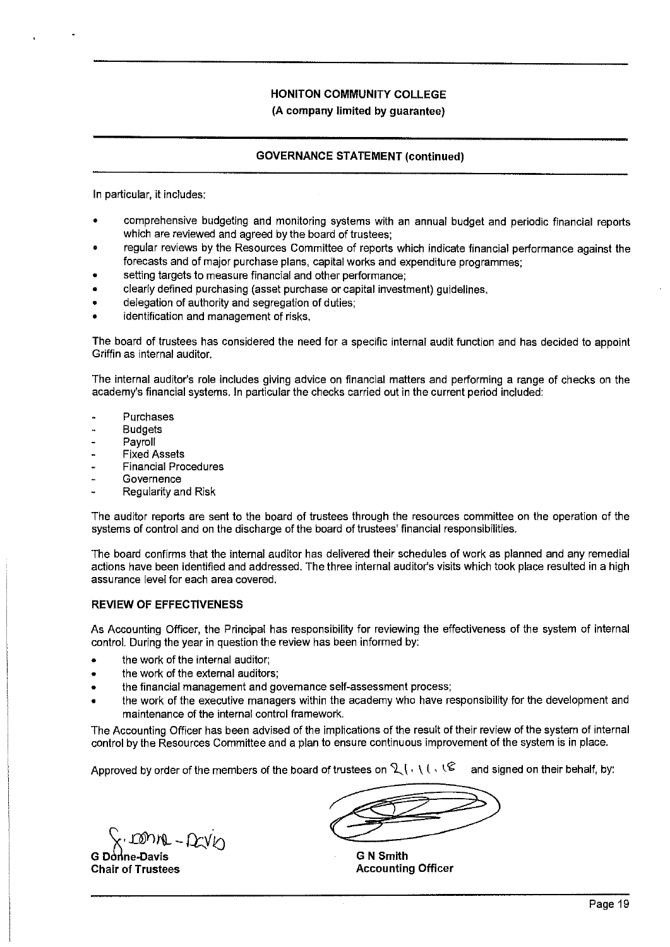# **GOVERNANCE STATEMENT (continued)**

In particular, it includes:

- comprehensive budgeting and monitoring systems with an annual budget and periodic financial reports which are reviewed and agreed by the board of trustees;
- regular reviews by the Resources Committee of reports which indicate financial performance against the forecasts and of major purchase plans, capital works and expenditure programmes;
- setting targets to measure financial and other performance;
- clearly defined purchasing (asset purchase or capital investment) guidelines.
- delegation of authority and segregation of duties;
- identification and management of risks.

The board of trustees has considered the need for a specific internal audit function and has decided to appoint Griffin as internal auditor.

The internal auditor's role includes giving advice on financial matters and performing a range of checks on the academy's financial systems. In particular the checks carried out in the current period included:

- Purchases
- Budgets
- Payroll
- Fixed Assets
- Financial Procedures
- Governence
- Regularity and Risk

The auditor reports are sent to the board of trustees through the resources committee on the operation of the systems of control and on the discharge of the board of trustees' financial responsibilities.

The board confirms that the internal auditor has delivered their schedules of work as planned and any remedial actions have been identified and addressed. The three internal auditor's visits which took place resulted in a high assurance level for each area covered.

# **REVIEW OF EFFECTIVENESS**

As Accounting Officer, the Principal has responsibility for reviewing the effectiveness of the system of internal control. During the year in question the review has been informed by:

- the work of the internal auditor;
- the work of the external auditors;
- the financial management and governance self-assessment process;
- the work of the executive managers within the academy who have responsibility for the development and maintenance of the internal control framework.

The Accounting Officer has been advised of the implications of the result of their review of the system of internal control by the Resources Committee and a plan to ensure continuous improvement of the system is in place.

Approved by order of the members of the board of trustees on  $2 \cdot | \cdot | \cdot | \cdot |$  and signed on their behalf, by:

 $\left\{\begin{array}{l}\right\}.\text{IDNN} - \Omega xV\text{N} \end{array} \right.$ G Donne-Davis

**Chair of Trustees** 

**G N Smith Accounting Officer**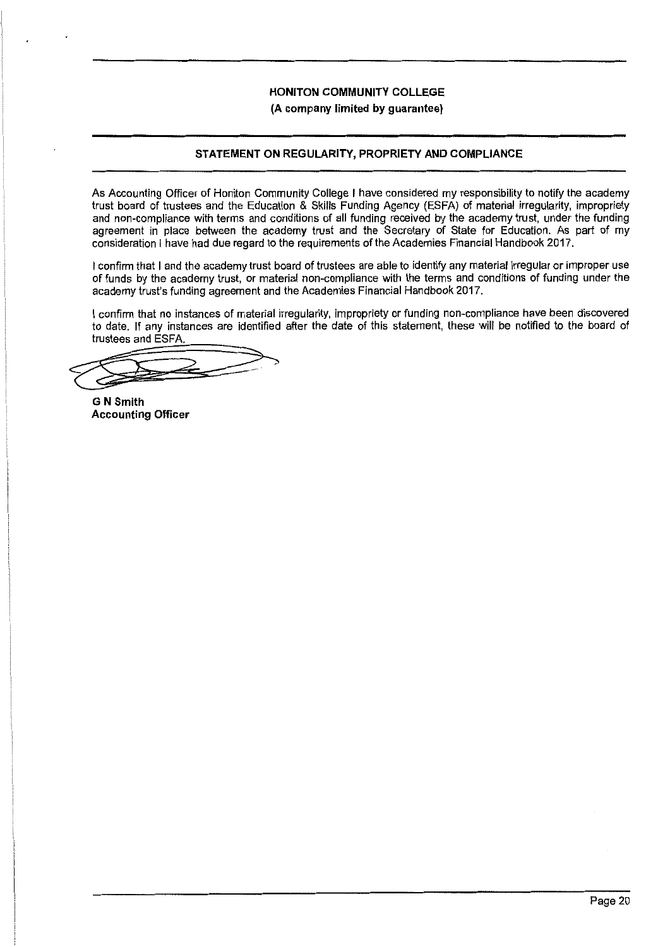**(A company limited by guarantee)** 

# **STATEMENT ON REGULARITY, PROPRIETY AND COMPLIANCE**

As Accounting Officer of Honiton Community College I have considered my responsibility to notify the academy trust board of trustees and the Education & Skills Funding Agency (ESFA) of material irregularity, impropriety and non-compliance with terms and conditions of all funding received by the academy trust, under the funding agreement in place between the academy trust and the Secretary of State for Education. As part of my consideration I have had due regard to the requirements of the Academies Financial Handbook 2017.

I confirm that I and the academy trust board of trustees are able to identify any material irregular or improper use of funds by the academy trust, or material non-compliance with the terms and conditions of funding under the academy trust's funding agreement and the Academies Financial Handbook 2017.

I confirm that no instances of material irregularity, impropriety or funding non-compliance have been discovered to date. If any instances are identified after the date of this statement, these will be notified to the board of trustees and ESFA.

to date. If any instances are identified after the date<br>trustees and ESFA.

**G N Smith Accounting Officer**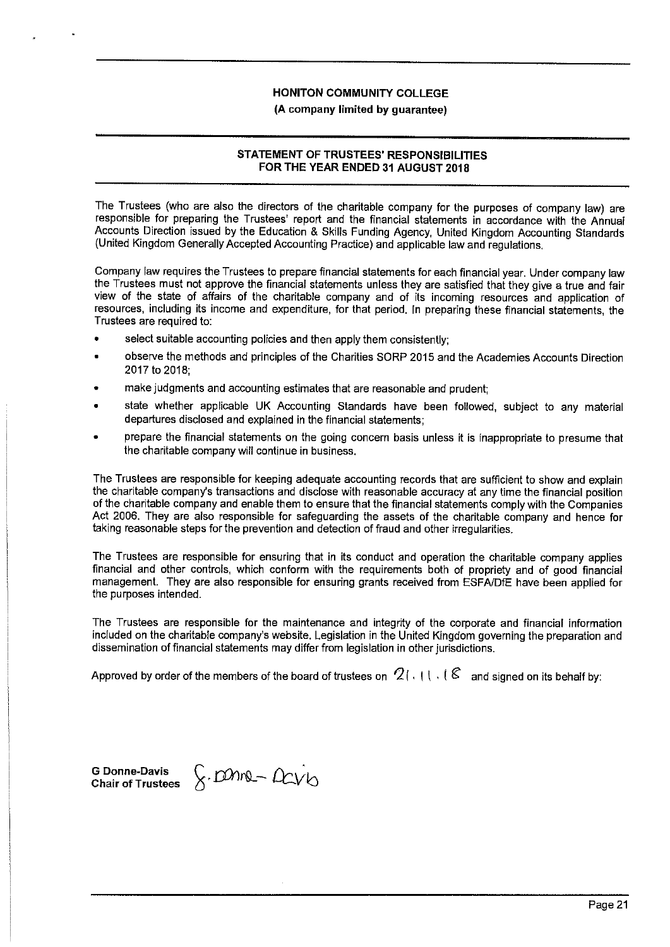**(A company limited by guarantee)** 

# **STATEMENT OF TRUSTEES' RESPONSIBILITIES FOR THE YEAR ENDED 31 AUGUST 2018**

The Trustees (who are also the directors of the charitable company for the purposes of company law) are responsible for preparing the Trustees' report and the financial statements in accordance with the Annual Accounts Direction issued by the Education & Skills Funding Agency, United Kingdom Accounting Standards (United Kingdom Generally Accepted Accounting Practice) and applicable law and regulations.

Company law requires the Trustees to prepare financial statements for each financial year. Under company law the Trustees must not approve the financial statements unless they are satisfied that they give a true and fair view of the state of affairs of the charitable company and of its incoming resources and application of resources, including its income and expenditure, for that period. In preparing these financial statements, the Trustees are required to:

- select suitable accounting policies and then apply them consistently:
- observe the methods and principles of the Charities SORP 2015 and the Academies Accounts Direction 2017 to 2018;
- make judgments and accounting estimates that are reasonable and prudent;
- state whether applicable UK Accounting Standards have been followed, subject to any material departures disclosed and explained in the financial statements;
- prepare the financial statements on the going concern basis unless it is inappropriate to presume that the charitable company will continue in business.

The Trustees are responsible for keeping adequate accounting records that are sufficient to show and explain the charitable company's transactions and disclose with reasonable accuracy at any time the financial position of the charitable company and enable them to ensure that the financial statements comply with the Companies Act 2006. They are also responsible for safeguarding the assets of the charitable company and hence for taking reasonable steps for the prevention and detection of fraud and other irregularities.

The Trustees are responsible for ensuring that in its conduct and operation the charitable company applies financial and other controls, which conform with the requirements both of propriety and of good financial management. They are also responsible for ensuring grants received from ESFA/DfE have been applied for the purposes intended.

The Trustees are responsible for the maintenance and integrity of the corporate and financial information included on the charitable company's website. Legislation in the United Kingdom governing the preparation and dissemination of financial statements may differ from legislation in other jurisdictions.

Approved by order of the members of the board of trustees on  $\mathcal{Q}$  (,  $\mathfrak{t}$  t,  $\mathfrak{t}$  & and signed on its behalf by:

**G Donne-Davis Chair of Trustees**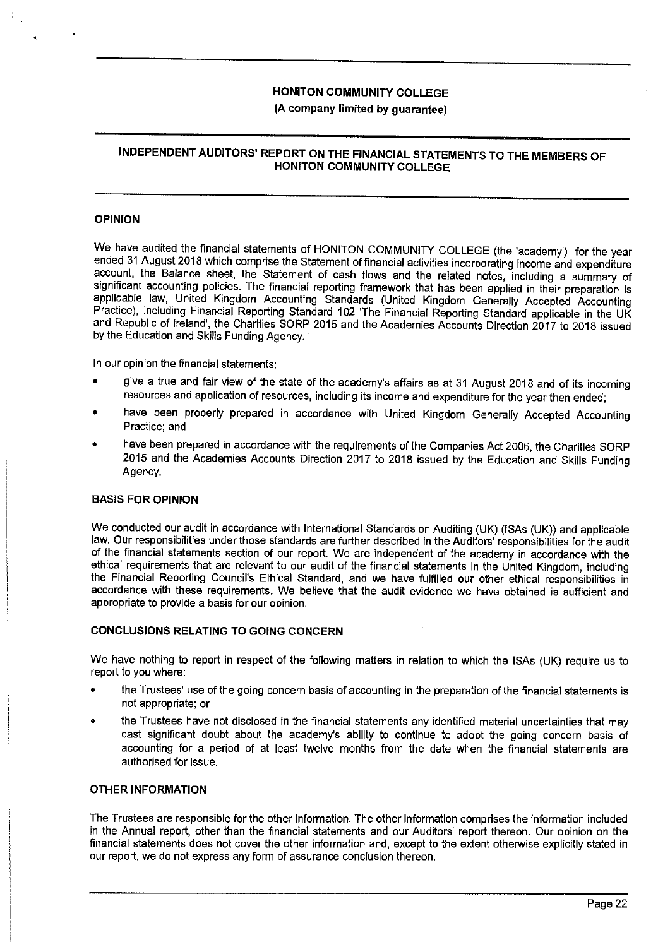# **(A company limited by guarantee)**

# **INDEPENDENT AUDITORS' REPORT ON THE FINANCIAL STATEMENTS TO THE MEMBERS OF HONITON COMMUNITY COLLEGE**

#### **OPINION**

We have audited the financial statements of HONITON COMMUNITY COLLEGE (the 'academy') for the year ended 31 August 2018 which comprise the Statement of financial activities incorporating income and expenditure account, the Balance sheet, the Statement of cash flows and the related notes, including a summary of significant accounting policies. The financial reporting framework that has been applied in their preparation is applicable law, United Kingdom Accounting Standards (United Kingdom Generally Accepted Accounting Practice), including Financial Reporting Standard 102 'The Financial Reporting Standard applicable in the UK and Republic of Ireland', the Charities SORP 2015 and the Academies Accounts Direction 2017 to 2018 issued by the Education and Skills Funding Agency.

In our opinion the financial statements:

- give a true and fair view of the state of the academy's affairs as at 31 August 2018 and of its incoming resources and application of resources, including its income and expenditure for the year then ended;
- have been properly prepared in accordance with United Kingdom Generally Accepted Accounting Practice; and
- have been prepared in accordance with the requirements of the Companies Act 2006, the Charities SORP 2015 and the Academies Accounts Direction 2017 to 2018 issued by the Education and Skills Funding Agency.

#### **BASIS FOR OPINION**

We conducted our audit in accordance with International Standards on Auditing (UK) (ISAs (UK)) and applicable law. Our responsibilities under those standards are further described in the Auditors' responsibilities for the audit of the financial statements section of our report. We are independent of the academy in accordance with the ethical requirements that are relevant to our audit of the financial statements in the United Kingdom, including the Financial Reporting Council's Ethical Standard, and we have fulfilled our other ethical responsibilities in accordance with these requirements. We believe that the audit evidence we have obtained is sufficient and appropriate to provide a basis for our opinion.

#### **CONCLUSIONS RELATING TO GOING CONCERN**

We have nothing to report in respect of the following matters in relation to which the ISAs (UK) require us to report to you where:

- the Trustees' use of the going concern basis of accounting in the preparation of the financial statements is not appropriate; or
- the Trustees have not disclosed in the financial statements any identified material uncertainties that may cast significant doubt about the academy's ability to continue to adopt the going concern basis of accounting for a period of at least twelve months from the date when the financial statements are authorised for issue.

#### **OTHER INFORMATION**

The Trustees are responsible for the other information. The other information comprises the information included in the Annual report, other than the financial statements and our Auditors' report thereon. Our opinion on the financial statements does not cover the other information and, except to the extent otherwise explicitly stated in our report, we do not express any form of assurance conclusion thereon.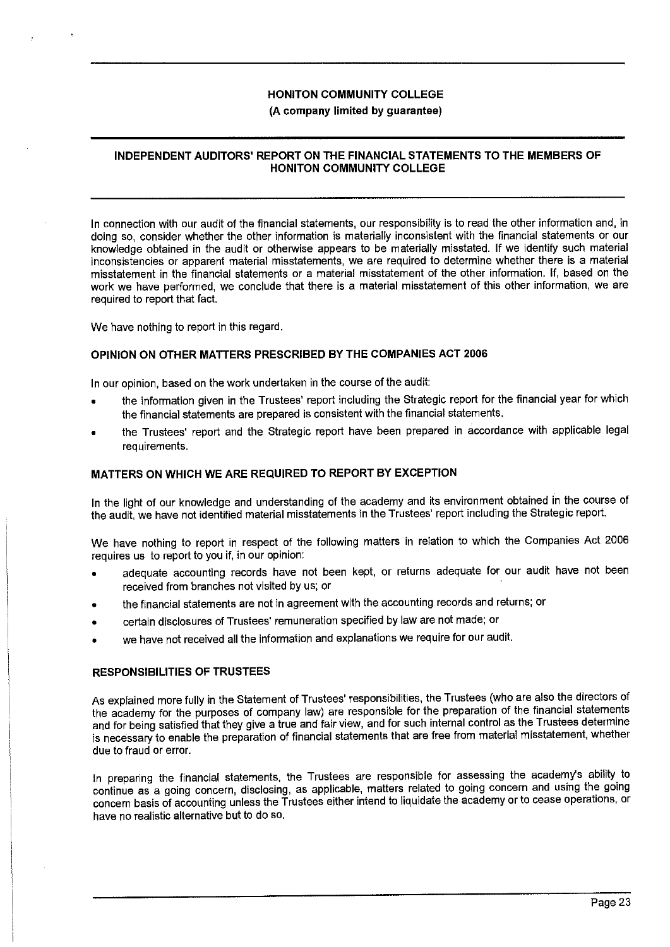#### **(A company limited by guarantee)**

### **INDEPENDENT AUDITORS' REPORT ON THE FINANCIAL STATEMENTS TO THE MEMBERS OF HONITON COMMUNITY COLLEGE**

In connection with our audit of the financial statements, our responsibility is to read the other information and, in doing so, consider whether the other information is materially inconsistent with the financial statements or our knowledge obtained in the audit or otherwise appears to be materially misstated. If we identify such material inconsistencies or apparent material misstatements, we are required to determine whether there is a material misstatement in the financial statements or a material misstatement of the other information. If, based on the work we have performed, we conclude that there is a material misstatement of this other information, we are required to report that fact.

We have nothing to report in this regard.

#### **OPINION ON OTHER MATTERS PRESCRIBED BY THE COMPANIES ACT 2006**

In our opinion, based on the work undertaken in the course of the audit:

- the information given in the Trustees' report including the Strategic report for the financial year for which the financial statements are prepared is consistent with the financial statements.
- the Trustees' report and the Strategic report have been prepared in accordance with applicable legal requirements.

#### **MATTERS ON WHICH WE ARE REQUIRED TO REPORT BY EXCEPTION**

In the light of our knowledge and understanding of the academy and its environment obtained in the course of the audit, we have not identified material misstatements in the Trustees' report including the Strategic report.

We have nothing to report in respect of the following matters in relation to which the Companies Act 2006 requires us to report to you if, in our opinion:

- adequate accounting records have not been kept, or returns adequate for our audit have not been received from branches not visited by us; or
- the financial statements are not in agreement with the accounting records and returns; or
- certain disclosures of Trustees' remuneration specified by law are not made; or
- we have not received all the information and explanations we require for our audit.

#### **RESPONSIBILITIES OF TRUSTEES**

As explained more fully in the Statement of Trustees' responsibilities, the Trustees (who are also the directors of the academy for the purposes of company law) are responsible for the preparation of the financial statements and for being satisfied that they give a true and fair view, and for such internal control as the Trustees determine is necessary to enable the preparation of financial statements that are free from material misstatement, whether due to fraud or error.

In preparing the financial statements, the Trustees are responsible for assessing the academy's ability to continue as a going concern, disclosing, as applicable, matters related to going concern and using the going concern basis of accounting unless the Trustees either intend to liquidate the academy or to cease operations, or have no realistic alternative but to do so.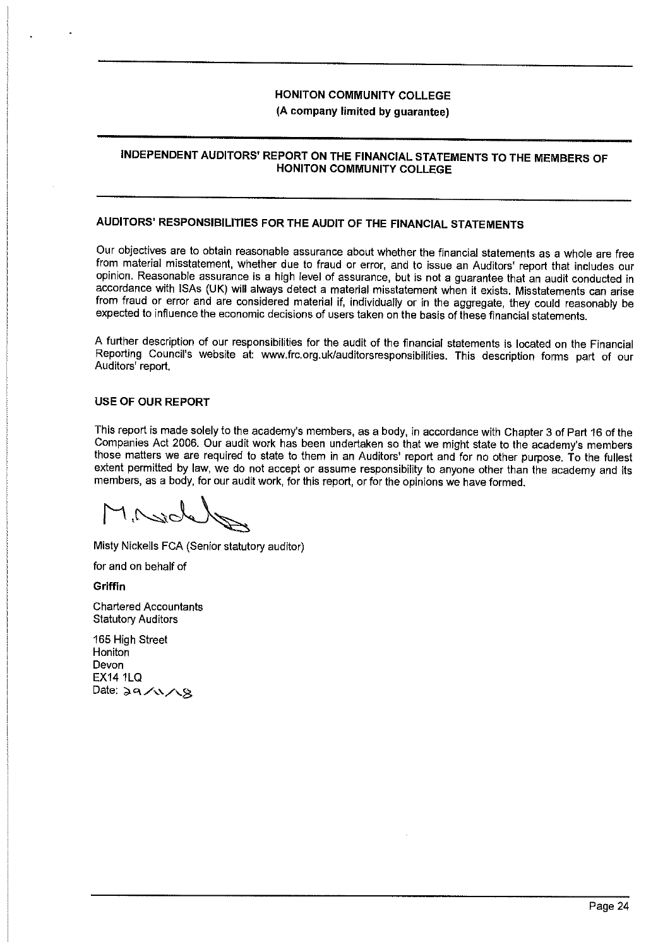# **(A company limited by guarantee)**

# **INDEPENDENT AUDITORS' REPORT ON THE FINANCIAL STATEMENTS TO THE MEMBERS OF HONITON COMMUNITY COLLEGE**

# **AUDITORS' RESPONSIBILITIES FOR THE AUDIT OF THE FINANCIAL STATEMENTS**

Our objectives are to obtain reasonable assurance about whether the financial statements as a whole are free from material misstatement, whether due to fraud or error, and to issue an Auditors' report that includes our opinion. Reasonable assurance is a high level of assurance, but is not a guarantee that an audit conducted in accordance with ISAs (UK) will always detect a material misstatement when it exists. Misstatements can arise from fraud or error and are considered material if, individually or in the aggregate, they could reasonably be expected to influence the economic decisions of users taken on the basis of these financial statements.

A further description of our responsibilities for the audit of the financial statements is located on the Financial Reporting Council's website at: www.frc.org.uk/auditorsresponsibilities. This description forms part of our Auditors' report.

#### **USE OF OUR REPORT**

This report is made solely to the academy's members, as a body, in accordance with Chapter 3 of Part 16 of the Companies Act 2006. Our audit work has been undertaken so that we might state to the academy's members those matters we are required to state to them in an Auditors' report and for no other purpose. To the fullest extent permitted by law, we do not accept or assume responsibility to anyone other than the academy and its members, as a body, for our audit work, for this report, or for the opinions we have formed.

つんし

Misty Nickells FCA (Senior statutory auditor)

for and on behalf of

**Griffin** 

Chartered Accountants Statutory Auditors

165 High Street Honiton Devon EX14 1LQ Date:  $29/\sqrt{3}$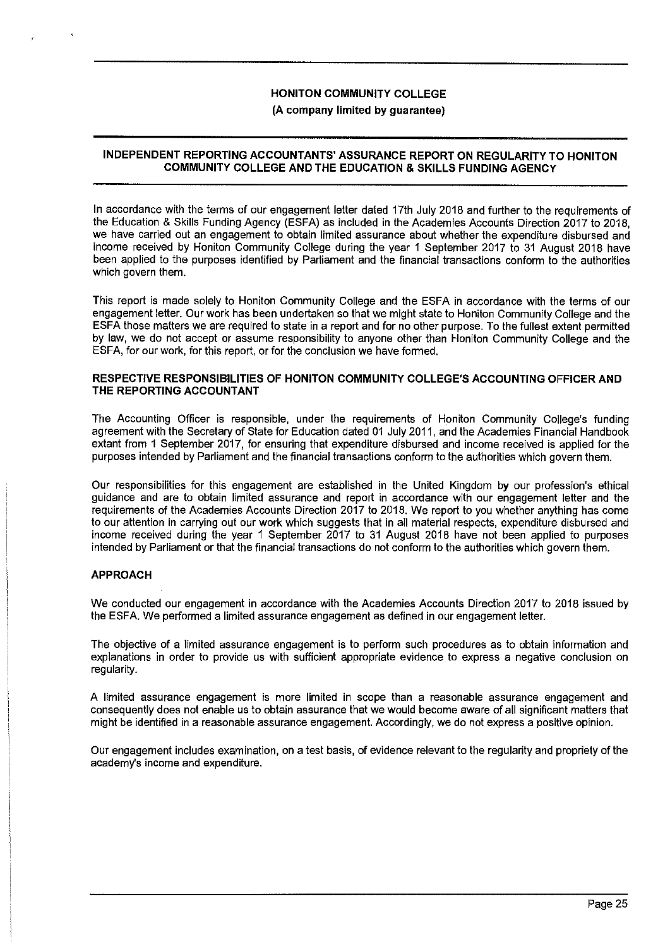#### **INDEPENDENT REPORTING ACCOUNTANTS' ASSURANCE REPORT ON REGULARITY TO HONITON COMMUNITY COLLEGE AND THE EDUCATION & SKILLS FUNDING AGENCY**

In accordance with the terms of our engagement letter dated 17th July 2018 and further to the requirements of the Education & Skills Funding Agency (ESFA) as included in the Academies Accounts Direction 2017 to 2018, we have carried out an engagement to obtain limited assurance about whether the expenditure disbursed and income received by Honiton Community College during the year 1 September 2017 to 31 August 2018 have been applied to the purposes identified by Parliament and the financial transactions conform to the authorities which govern them.

This report is made solely to Honiton Community College and the ESFA in accordance with the terms of our engagement letter. Our work has been undertaken so that we might state to Honiton Community College and the ESFA those matters we are required to state in a report and for no other purpose. To the fullest extent permitted by law, we do not accept or assume responsibility to anyone other than Honiton Community College and the ESFA, for our work, for this report, or for the conclusion we have formed.

#### **RESPECTIVE RESPONSIBILITIES OF HONITON COMMUNITY COLLEGE'S ACCOUNTING OFFICER AND THE REPORTING ACCOUNTANT**

The Accounting Officer is responsible, under the requirements of Honiton Community College's funding agreement with the Secretary of State for Education dated 01 July 2011, and the Academies Financial Handbook extant from 1 September 2017, for ensuring that expenditure disbursed and income received is applied for the purposes intended by Parliament and the financial transactions conform to the authorities which govern them.

Our responsibilities for this engagement are established in the United Kingdom by our profession's ethical guidance and are to obtain limited assurance and report in accordance with our engagement letter and tha requirements of the Academies Accounts Direction 2017 to 2018. We report to you whether anything has come to our attention in carrying out our work which suggests that in all material respects, expenditure disbursed and income received during the year 1 September 2017 to 31 August 2018 have not been applied to purposes intended by Parliament or that the financial transactions do not conform to the authorities which govern them.

#### **APPROACH**

We conducted our engagement in accordance with the Academies Accounts Direction 2017 to 2018 issued by the ESFA. We performed a limited assurance engagement as defined in our engagement letter.

The objective of a limited assurance engagement is to perform such procedures as to obtain information and explanations in order to provide us with sufficient appropriate evidence to express a negative conclusion on regularity.

A limited assurance engagement is more limited in scope than a reasonable assurance engagement and consequently does not enable us to obtain assurance that we would become aware of all significant matters that might be identified in a reasonable assurance engagement. Accordingly, we do not express a positive opinion.

Our engagement includes examination, on a test basis, of evidence relevant to the regularity and propriety of the academy's income and expenditure.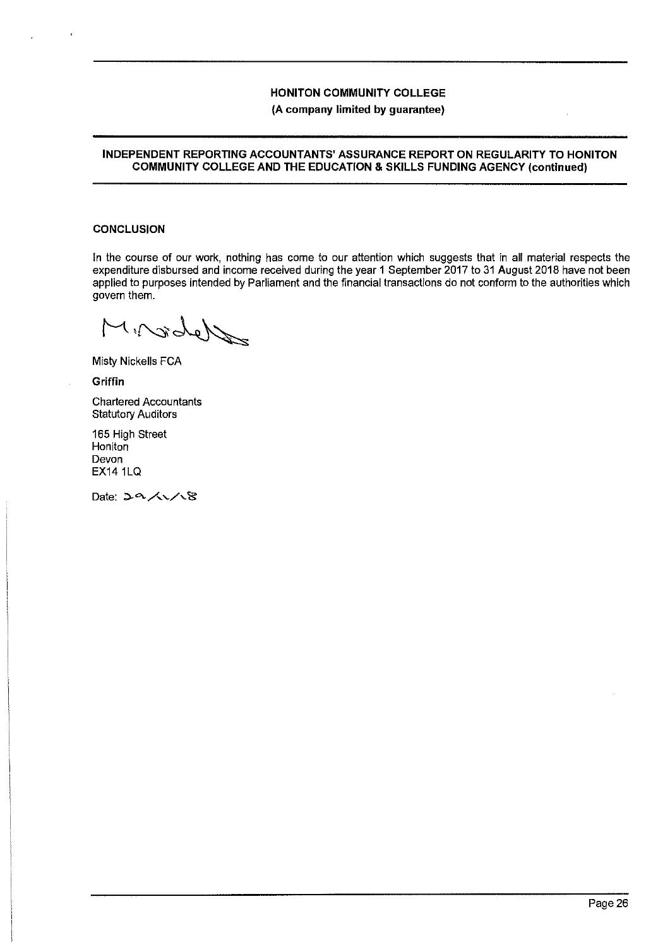#### **INDEPENDENT REPORTING ACCOUNTANTS' ASSURANCE REPORT ON REGULARITY TO HONITON COMMUNITY COLLEGE AND THE EDUCATION & SKILLS FUNDING AGENCY (continued)**

## **CONCLUSION**

In the course of our work, nothing has come to our attention which suggests that in all material respects the expenditure disbursed and income received during the year 1 September 2017 to 31 August 2018 have not been applied to purposes intended by Parliament and the financial transactions do not conform to the authorities which govern them.

World in

Misty Nickells FCA

**Griffin** 

Chartered Accountants Statutory Auditors

165 High Street **Honiton** Devon EX14 1LQ

Date: 29/1/8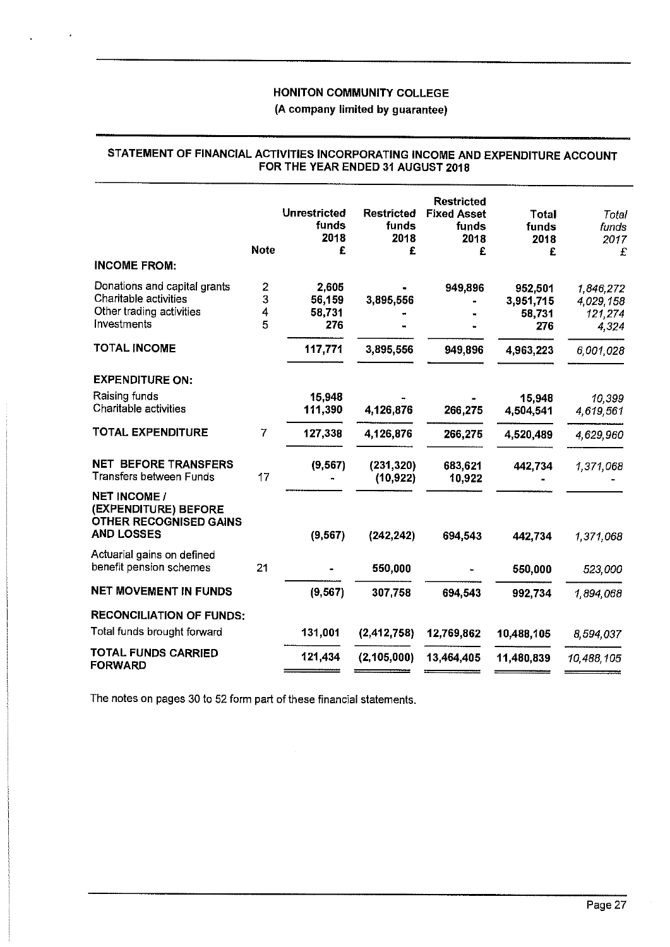# **STATEMENT OF FINANCIAL ACTIVITIES INCORPORATING INCOME AND EXPENDITURE ACCOUNT FOR THE YEAR ENDED 31 AUGUST 2018**

| <b>INCOME FROM:</b>                                                                               | <b>Note</b>                  | <b>Unrestricted</b><br>funds<br>2018<br>£ | <b>Restricted</b><br>funds<br>2018<br>£ | <b>Restricted</b><br><b>Fixed Asset</b><br>funds<br>2018<br>£ | Total<br>funds<br>2018<br>£ | Total<br>funds<br>2017<br>£ |
|---------------------------------------------------------------------------------------------------|------------------------------|-------------------------------------------|-----------------------------------------|---------------------------------------------------------------|-----------------------------|-----------------------------|
|                                                                                                   |                              |                                           |                                         |                                                               |                             |                             |
| Donations and capital grants<br>Charitable activities                                             | $\overline{\mathbf{c}}$<br>3 | 2,605                                     |                                         | 949,896                                                       | 952,501                     | 1,846,272                   |
| Other trading activities                                                                          | 4                            | 56,159<br>58,731                          | 3,895,556                               |                                                               | 3,951,715<br>58,731         | 4,029,158                   |
| Investments                                                                                       | 5                            | 276                                       |                                         |                                                               | 276                         | 121,274<br>4,324            |
| <b>TOTAL INCOME</b>                                                                               |                              | 117,771                                   | 3,895,556                               | 949,896                                                       | 4,963,223                   | 6,001,028                   |
| <b>EXPENDITURE ON:</b>                                                                            |                              |                                           |                                         |                                                               |                             |                             |
| Raising funds                                                                                     |                              | 15,948                                    |                                         |                                                               | 15,948                      | 10,399                      |
| Charitable activities                                                                             |                              | 111,390                                   | 4,126,876                               | 266,275                                                       | 4,504,541                   | 4,619,561                   |
| <b>TOTAL EXPENDITURE</b>                                                                          | $\overline{7}$               | 127,338                                   | 4,126,876                               | 266,275                                                       | 4,520,489                   | 4,629,960                   |
| <b>NET BEFORE TRANSFERS</b><br>Transfers between Funds                                            | 17                           | (9, 567)                                  | (231, 320)<br>(10, 922)                 | 683,621<br>10,922                                             | 442,734                     | 1,371,068                   |
| <b>NET INCOME /</b><br>(EXPENDITURE) BEFORE<br><b>OTHER RECOGNISED GAINS</b><br><b>AND LOSSES</b> |                              | (9, 567)                                  | (242, 242)                              | 694,543                                                       | 442,734                     | 1,371,068                   |
| Actuarial gains on defined                                                                        |                              |                                           |                                         |                                                               |                             |                             |
| benefit pension schemes                                                                           | 21                           |                                           | 550,000                                 |                                                               | 550,000                     | 523,000                     |
| <b>NET MOVEMENT IN FUNDS</b>                                                                      |                              | (9, 567)                                  | 307,758                                 | 694,543                                                       | 992,734                     | 1,894,068                   |
| <b>RECONCILIATION OF FUNDS:</b>                                                                   |                              |                                           |                                         |                                                               |                             |                             |
| Total funds brought forward                                                                       |                              | 131,001                                   | (2,412,758)                             | 12,769,862                                                    | 10,488,105                  | 8,594,037                   |
| TOTAL FUNDS CARRIED<br><b>FORWARD</b>                                                             |                              | 121,434                                   | (2, 105, 000)                           | 13,464,405                                                    | 11,480,839                  | 10,488,105                  |
|                                                                                                   |                              |                                           |                                         |                                                               |                             |                             |

The notes on pages 30 to 52 form part of these financial statements.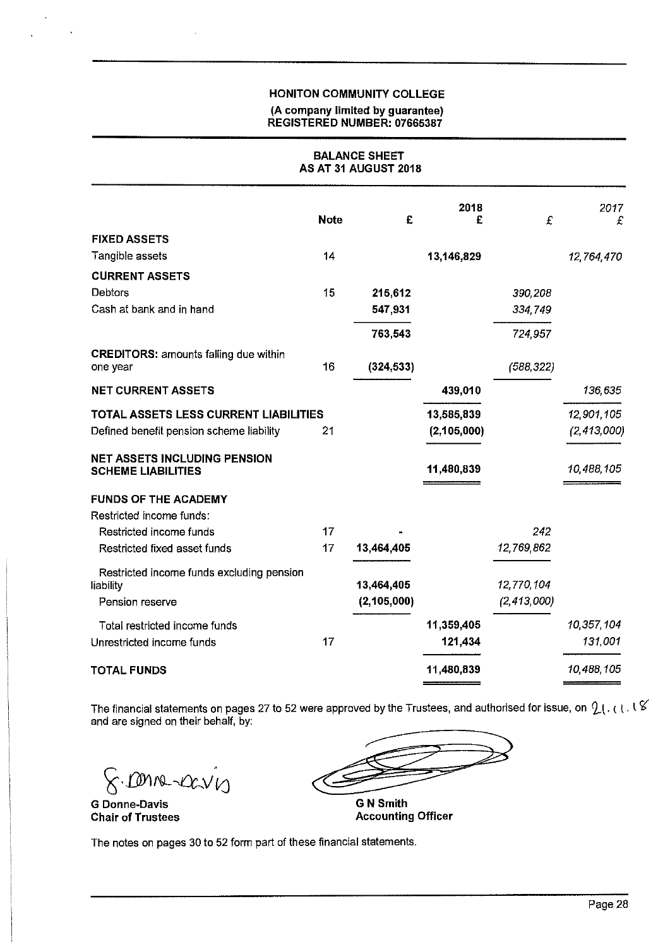# HONITON COMMUNITY COLLEGE (A company limited by guarantee) REGISTERED NUMBER: 07665387

## **BALANCE SHEET AS AT 31 AUGUST 2018**

|                                                                  | <b>Note</b> | £             | 2018<br>£     | £             | 2017<br>£     |
|------------------------------------------------------------------|-------------|---------------|---------------|---------------|---------------|
| <b>FIXED ASSETS</b>                                              |             |               |               |               |               |
| Tangible assets                                                  | 14          |               | 13,146,829    |               | 12,764,470    |
| <b>CURRENT ASSETS</b>                                            |             |               |               |               |               |
| Debtors                                                          | 15          | 215,612       |               | 390,208       |               |
| Cash at bank and in hand                                         |             | 547,931       |               | 334,749       |               |
|                                                                  |             | 763,543       |               | 724,957       |               |
| <b>CREDITORS: amounts falling due within</b><br>one year         | 16          | (324, 533)    |               | (588, 322)    |               |
| <b>NET CURRENT ASSETS</b>                                        |             |               | 439,010       |               | 136,635       |
| TOTAL ASSETS LESS CURRENT LIABILITIES                            |             |               | 13,585,839    |               | 12,901,105    |
| Defined benefit pension scheme liability                         | 21          |               | (2, 105, 000) |               | (2, 413, 000) |
| <b>NET ASSETS INCLUDING PENSION</b><br><b>SCHEME LIABILITIES</b> |             |               | 11,480,839    |               | 10,488,105    |
| <b>FUNDS OF THE ACADEMY</b>                                      |             |               |               |               |               |
| Restricted income funds:                                         |             |               |               |               |               |
| Restricted income funds                                          | 17          |               |               | 242           |               |
| Restricted fixed asset funds                                     | 17          | 13,464,405    |               | 12,769,862    |               |
| Restricted income funds excluding pension                        |             |               |               |               |               |
| liability                                                        |             | 13,464,405    |               | 12,770,104    |               |
| Pension reserve                                                  |             | (2, 105, 000) |               | (2, 413, 000) |               |
| Total restricted income funds                                    |             |               | 11,359,405    |               | 10,357,104    |
| Unrestricted income funds                                        | 17          |               | 121,434       |               | 131,001       |
| <b>TOTAL FUNDS</b>                                               |             |               | 11,480,839    |               | 10,488,105    |

The financial statements on pages 27 to 52 were approved by the Trustees, and authorised for issue, on  $2$  (, ( ), l  $6$ and are signed on their behalf, by:

 $8.0000-0000$ 

**G Donne-Davis Chair of Trustees** 

**G N Smith** 

**Accounting Officer** 

The notes on pages 30 to 52 form part of these financial statements.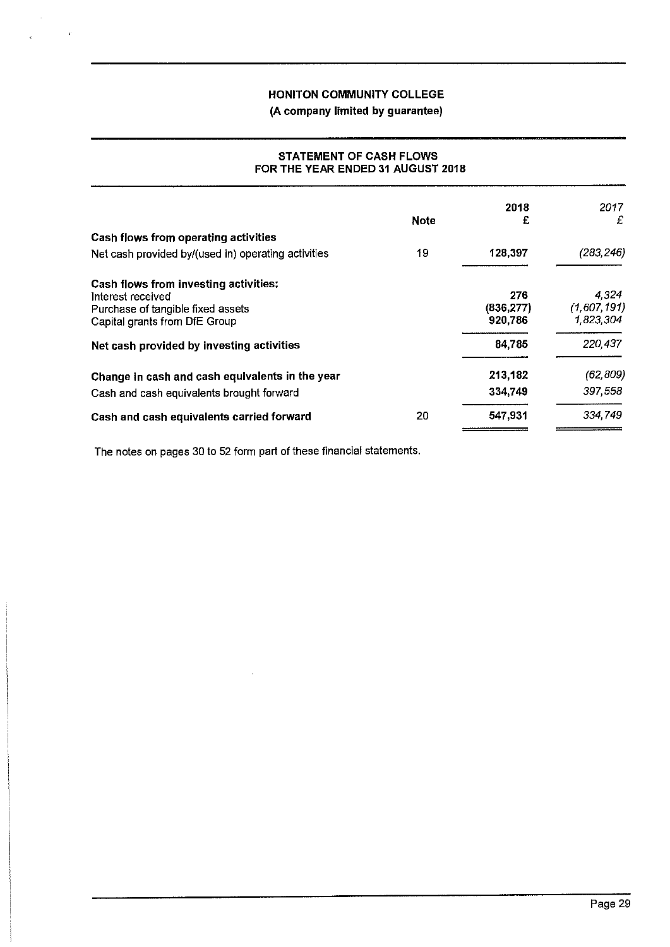# **(A company limited by guarantee)**

## **STATEMENT OF CASH FLOWS FOR THE YEAR ENDED 31 AUGUST 2018**

| <b>Note</b>                                                                                                                      | 2018<br>£                    | 2017<br>£                         |
|----------------------------------------------------------------------------------------------------------------------------------|------------------------------|-----------------------------------|
| Cash flows from operating activities                                                                                             |                              |                                   |
| 19<br>Net cash provided by/(used in) operating activities                                                                        | 128,397                      | (283, 246)                        |
| Cash flows from investing activities:<br>Interest received<br>Purchase of tangible fixed assets<br>Capital grants from DfE Group | 276<br>(836, 277)<br>920,786 | 4.324<br>(1,607,191)<br>1,823,304 |
| Net cash provided by investing activities                                                                                        | 84,785                       | 220,437                           |
| Change in cash and cash equivalents in the year                                                                                  | 213,182                      | (62, 809)                         |
| Cash and cash equivalents brought forward                                                                                        | 334,749                      | 397,558                           |
| 20<br>Cash and cash equivalents carried forward                                                                                  | 547,931                      | 334.749                           |

The notes on pages 30 to 52 form part of these financial statements.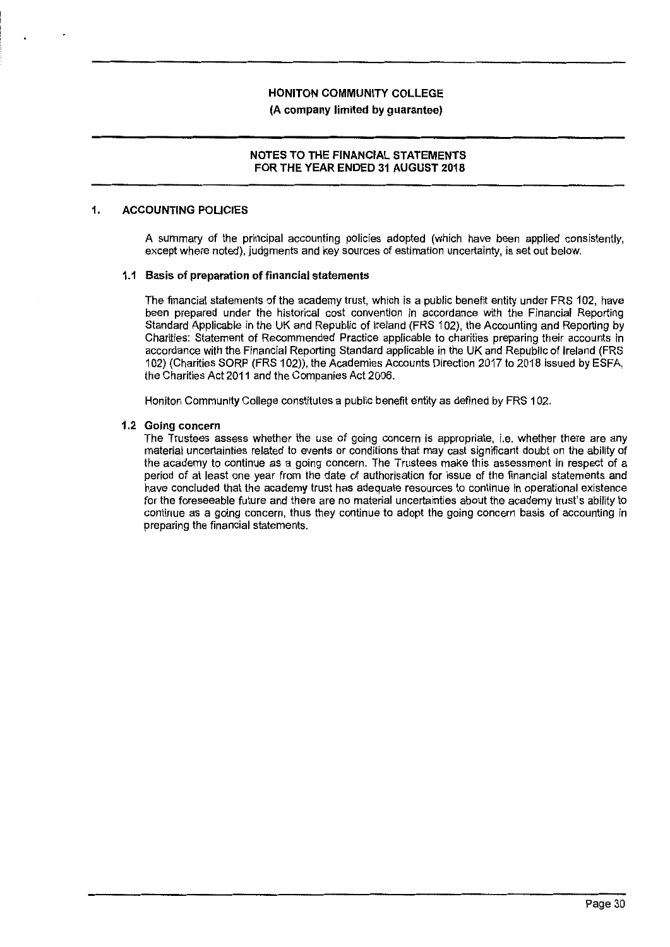## **NOTES TO THE FINANCIAL STATEMENTS FOR THE YEAR ENDED 31 AUGUST 2018**

#### **1. ACCOUNTING POLICIES**

A summary of the principal accounting policies adopted (which have been applied consistently, except where noted), judgments and key sources of estimation uncertainty, is set out below.

#### **1.1 Basis of preparation of financial statements**

The financial statements of the academy trust, which is a public benefit entity under FRS 102, have been prepared under the historical cost convention in accordance with the Financial Reporting Standard Applicable in the UK and Republic of Ireland (FRS 102), the Accounting and Reporting by Charities: Statement of Recommended Practice applicable to charities preparing their accounts in accordance with the Financial Reporting Standard applicable in the UK and Republic of Ireland (FRS 102) (Charities SORP (FRS 102)), the Academies Accounts Direction 2017 to 2018 issued by ESFA, the Charities Act 2011 and the Companies Act 2006.

Honiton Community College constitutes a public benefit entity as defined by FRS 102.

#### **1.2 Going concern**

The Trustees assess whether the use of going concern is appropriate, i.e. whether there are any material uncertainties related to events or conditions that may cast significant doubt on the ability of the academy to continue as a going concern. The Trustees make this assessment in respect of a period of at least one year from the date of authorisation for issue of the financial statements and have concluded that the academy trust has adequate resources to continue in operational existence for the foreseeable future and there are no material uncertainties about the academy trust's ability to continue as a going concern, thus they continue to adopt the going concern basis of accounting in preparing the financial statements.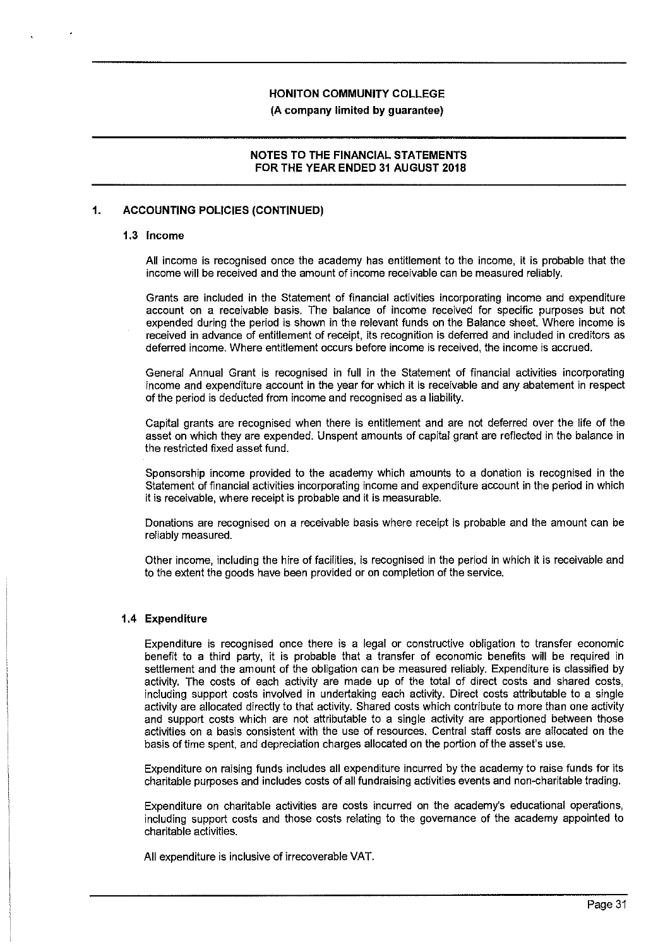#### **NOTES TO THE FINANCIAL STATEMENTS FOR THE YEAR ENDED 31 AUGUST 2018**

## **1. ACCOUNTING POLICIES (CONTINUED)**

#### **1.3 Income**

All income is recognised once the academy has entitlement to the income, it is probable that the income **will** be received and the amount of income receivable can be measured reliably.

Grants are included in the Statement of financial activities incorporating income and expenditure account on a receivable basis. The balance of income received for specific purposes but not expended during the period is shown in the relevant funds on the Balance sheet. Where income is received in advance of entitlement of receipt, its recognition is deferred and included in creditors as deferred income. Where entitlement occurs before income is received, the income is accrued.

General Annual Grant is recognised in full in the Statement of financial activities incorporating income and expenditure account in the year for which it is receivable and any abatement in respect of the period is deducted from income and recognised as a liability.

Capital grants are recognised when there is entitlement and are not deferred over the life of the asset on which they are expended. Unspent amounts of capital grant are reflected in the balance in the restricted fixed asset fund.

Sponsorship income provided to the academy which amounts to a donation is recognised in the Statement of financial activities incorporating income and expenditure account in the period in which it is receivable, where receipt is probable and it is measurable.

Donations are recognised on a receivable basis where receipt is probable and the amount can be reliably measured.

other income, including the hire of facilities, is recognised in the period in which it is receivable and to the extent the goods have been provided or on completion of the service.

#### **1.4 Expenditure**

Expenditure is recognised once there is a legal or constructive obligation to transfer economic benefit to a third party, it is probable that a transfer of economic benefits will be required in settlement and the amount of the obligation can be measured reliably. Expenditure is classified by activity. The costs of each activity are made up of the total of direct costs and shared costs, including support costs involved in undertaking each activity. Direct costs attributable to a single activity are allocated directly to that activity. Shared costs which contribute to more than one activity and support costs which are not attributable to a single activity are apportioned between those activities on a basis consistent with the use of resources. Central staff costs are allocated on the basis of time spent, and depreciation charges allocated on the portion of the asset's use.

Expenditure on raising funds includes all expenditure incurred by the academy to raise funds for its charitable purposes and includes costs of all fundraising activities events and non-charitable trading.

Expenditure on charitable activities are costs incurred on the academy's educational operations, including support costs and those costs relating to the governance of the academy appointed to charitable activities.

All expenditure is inclusive of irrecoverable VAT.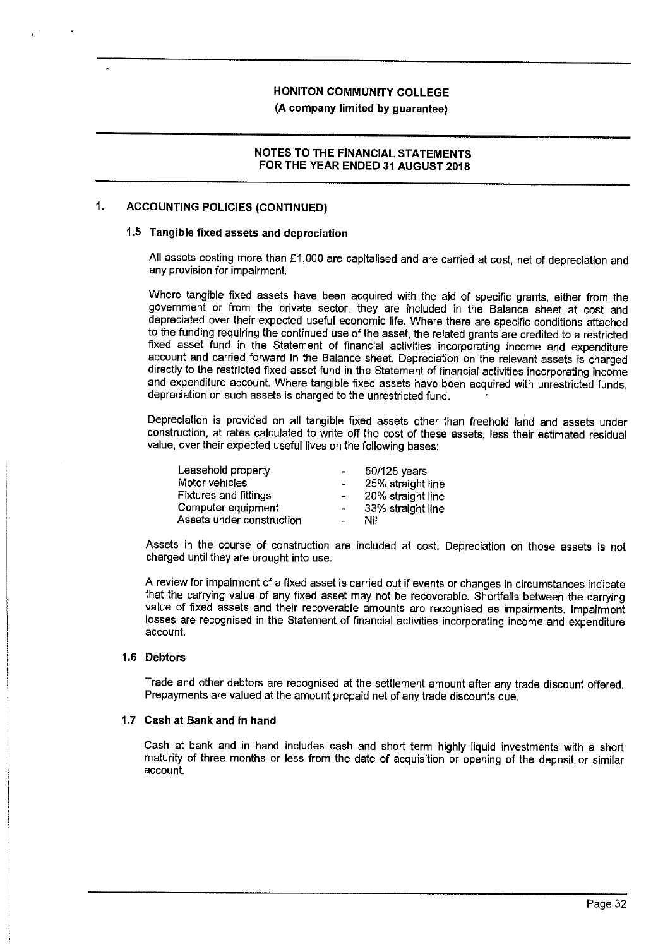# **(A company limited by guarantee)**

## **NOTES TO THE FINANCIAL STATEMENTS FOR THE YEAR ENDED 31 AUGUST 2018**

## **1. ACCOUNTING POLICIES (CONTINUED)**

#### **1.5 Tangible fixed assets and depreciation**

All assets costing more than £1,000 are capitalised and are carried at cost, net of depreciation and any provision for impairment.

Where tangible fixed assets have been acquired with the aid of specific grants, either from the government or from the private sector, they are included in the Balance sheet at cost and depreciated over their expected useful economic life. Where there are specific conditions attached to the funding requiring the continued use of the asset, the related grants are credited to a restricted fixed asset fund in the Statement of financial activities incorporating income and expenditure account and carried forward in the Balance sheet. Depreciation on the relevant assets is charged directly to the restricted fixed asset fund in the Statement of financial activities incorporating income and expenditure account. Where tangible fixed assets have been acquired with unrestricted funds, depreciation on such assets is charged to the unrestricted fund.

Depreciation is provided on all tangible fixed assets other than freehold land and assets under construction, at rates calculated to write off the cost of these assets, less their estimated residual value, over their expected useful lives on the following bases:

| Leasehold property           | $\blacksquare$       | 50/125 years      |
|------------------------------|----------------------|-------------------|
| Motor vehicles               | $\blacksquare$       | 25% straight line |
| <b>Fixtures and fittings</b> | $\ddot{\phantom{a}}$ | 20% straight line |
| Computer equipment           | $\sim$               | 33% straight line |
| Assets under construction    | $\sim$               | Nil               |

Assets in the course of construction are included at cost. Depreciation on these assets is not charged until they are brought into use.

A review for impairment of a fixed asset is carried out if events or changes in circumstances indicate that the carrying value of any fixed asset may not be recoverable. Shortfalls between the carrying value of fixed assets and their recoverable amounts are recognised as impairments. Impairment losses are recognised in the Statement of financial activities incorporating income and expenditure account.

#### **1.6 Debtors**

Trade and other debtors are recognised at the settlement amount after any trade discount offered. Prepayments are valued at the amount prepaid net of any trade discounts due.

#### **1.7 Cash at Bank and in hand**

Cash at bank and in hand includes cash and short term highly liquid investments with a short maturity of three months or less from the date of acquisition or opening of the deposit or similar account.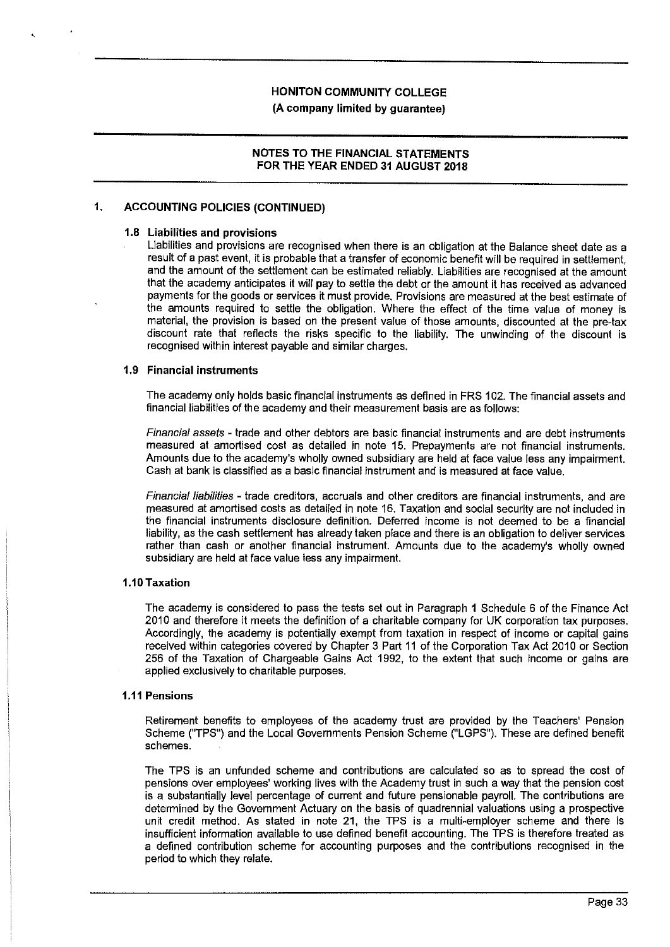**(A company limited by guarantee)** 

#### **NOTES TO THE FINANCIAL STATEMENTS FOR THE YEAR ENDED 31 AUGUST 2018**

## **1. ACCOUNTING POLICIES (CONTINUED)**

#### **1.8 Liabilities and provisions**

Liabilities and provisions are recognised when there is an obligation at the Balance sheet date as a result of a past event, it is probable that a transfer of economic benefit will be required in settlement, and the amount of the settlement can be estimated reliably. Liabilities are recognised at the amount that the academy anticipates it will pay to settle the debt or the amount it has received as advanced payments for the goods or services it must provide. Provisions are measured at the best estimate of the amounts required to settle the obligation. Where the effect of the time value of money is material, the provision is based on the present value of those amounts, discounted at the pre-tax discount rate that reflects the risks specific to the liability. The unwinding of the discount is recognised within interest payable and similar charges.

#### **1.9 Financial instruments**

The academy only holds basic financial instruments as defined in FRS 102. The financial assets and financial liabilities of the academy and their measurement basis are as follows:

Financial assets - trade and other debtors are basic financial instruments and are debt instruments measured at amortised cost as detailed in note 15. Prepayments are not financial instruments. Amounts due to the academy's wholly owned subsidiary are held at face value less any impairment. Cash at bank is classified as a basic financial instrument and is measured at face value.

Financial liabilities - trade creditors, accruals and other creditors are financial instruments, and are measured at amortised costs as detailed in note 16. Taxation and social security are not included in the financial instruments disclosure definition. Deferred income is not deemed to be a financial liability, as the cash settlement has already taken place and there is an obligation to deliver services rather than cash or another financial instrument. Amounts due to the academy's wholly owned subsidiary are held at face value less any impairment.

#### **1.10 Taxation**

The academy is considered to pass the tests set out in Paragraph 1 Schedule 6 of the Finance Act 2010 and therefore it meets the definition of a charitable company for UK corporation tax purposes. Accordingly, the academy is potentially exempt from taxation in respect of income or capital gains received within categories covered by Chapter 3 Part 11 of the Corporation Tax Act 2010 or Section 256 of the Taxation of Chargeable Gains Act 1992, to the extent that such income or gains are applied exclusively to charitable purposes.

#### **1.11 Pensions**

Retirement benefits to employees of the academy trust are provided by the Teachers' Pension Scheme ("TPS") and the Local Governments Pension Scheme ("LGPS"). These are defined benefit schemes.

The TPS is an unfunded scheme and contributions are calculated so as to spread the cost of pensions over employees' working lives with the Academy trust in such a way that the pension cost is a substantially level percentage of current and future pensionable payroll. The contributions are determined by the Government Actuary on the basis of quadrennial valuations using a prospective unit credit method. As stated in note 21, the TPS is a multi-employer scheme and there is insufficient information available to use defined benefit accounting. The TPS is therefore treated as a defined contribution scheme for accounting purposes and the contributions recognised in the period to which they relate.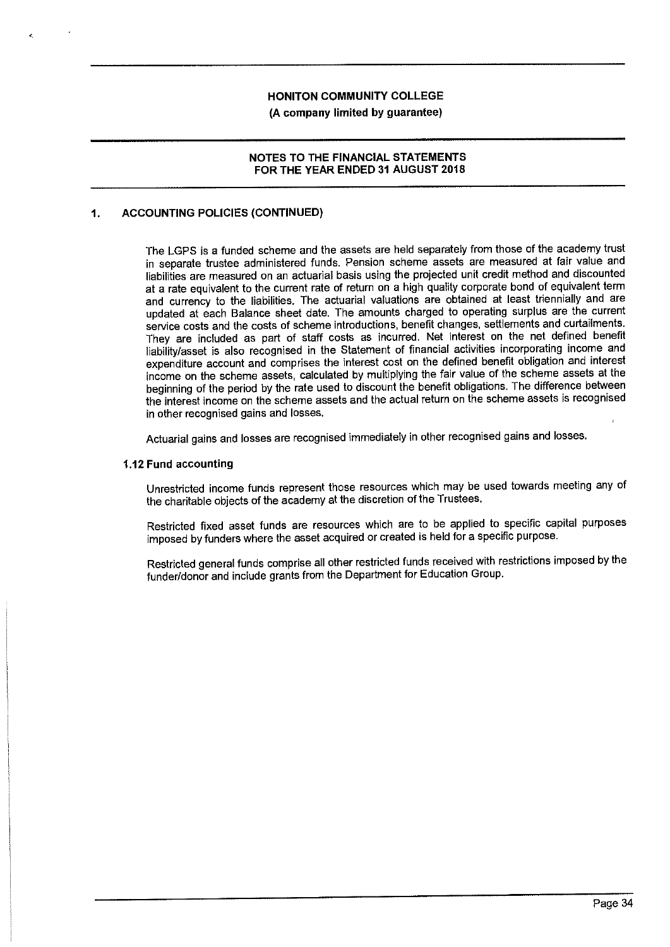#### **(A company limited by guarantee)**

#### **NOTES TO THE FINANCIAL STATEMENTS FOR THE YEAR ENDED 31 AUGUST 2018**

# **1. ACCOUNTING POLICIES (CONTINUED)**

'·

The LGPS is a funded scheme and the assets are held separately from those of the academy trust in separate trustee administered funds. Pension scheme assets are measured at fair value and liabilities are measured on an actuarial basis using the projected unit credit method and discounted at a rate equivalent to the current rate of return on a high quality corporate bond of equivalent term and currency to the liabilities. The actuarial valuations are obtained at least triennially and are updated at each Balance sheet date. The amounts charged to operating surplus are the current service costs and the costs of scheme introductions, benefit changes, settlements and curtailments. They are included as part of staff costs as incurred. Net interest on the net defined benefit liability/asset is also recognised in the Statement of financial activities incorporating income and expenditure account and comprises the interest cost on the defined benefit obligation and interest income on the scheme assets, calculated by multiplying the fair value of the scheme assets at the beginning of the period by the rate used to discount the benefit obligations. The difference between the interest income on the scheme assets and the actual return on the scheme assets is recognised in other recognised gains and losses.

Actuarial gains and losses are recognised immediately in other recognised gains and losses.

### **1.12 Fund accounting**

Unrestricted income funds represent those resources which may be used towards meeting any of the charitable objects of the academy at the discretion of the Trustees.

Restricted fixed asset funds are resources which are to be applied to specific capital purposes imposed by funders where the asset acquired or created is held for a specific purpose.

Restricted general funds comprise all other restricted funds received with restrictions imposed by the funder/donor and include grants from the Department for Education Group.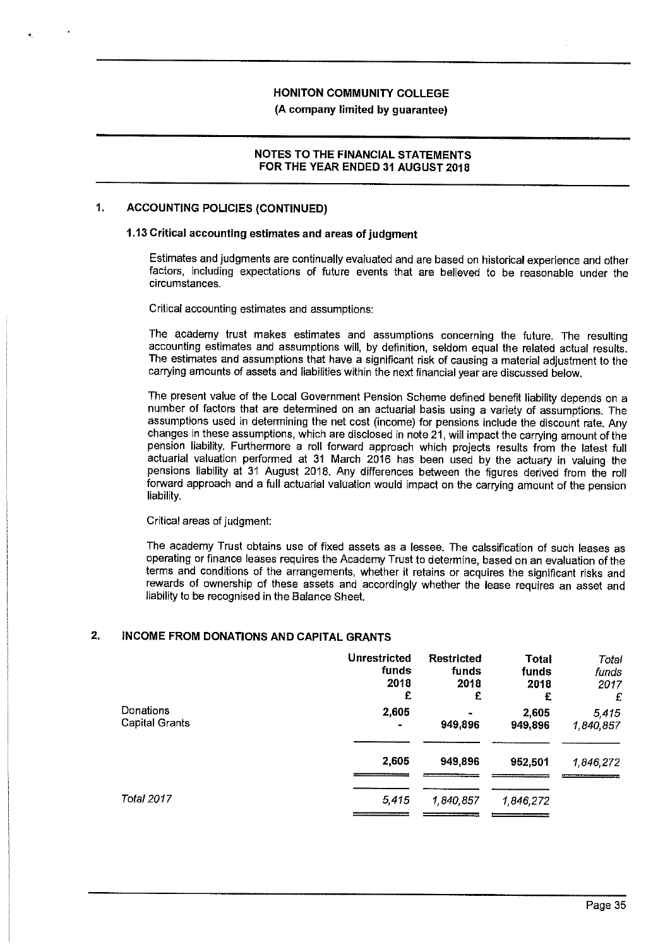#### **NOTES TO THE FINANCIAL STATEMENTS FOR THE YEAR ENDED 31 AUGUST 2018**

#### **1. ACCOUNTING POLICIES (CONTINUED)**

#### **1.13 Critical accounting estimates and areas of judgment**

Estimates and judgments are continually evaluated and are based on historical experience and other factors, including expectations of future events that are believed to be reasonable under the circumstances.

Critical accounting estimates and assumptions:

The academy trust makes estimates and assumptions concerning the future. The resulting accounting estimates and assumptions will, by definition, seldom equal the related actual results. The estimates and assumptions that have a significant risk of causing a material adjustment to the carrying amounts of assets and liabilities within the next financial year are discussed below.

The present value of the Local Government Pension Scheme defined benefit liability depends on a number of factors that are determined on an actuarial basis using a variety of assumptions. The assumptions used in determining the net cost (income) for pensions include the discount rate. Any changes in these assumptions, which are disclosed in note 21, will impact the carrying amount of the pension liability. Furthermore a roll forward approach which projects results from the latest full actuarial valuation performed at 31 March 2016 has been used by the actuary in valuing the pensions liability at 31 August 2018. Any differences between the figures derived from the roll forward approach and a full actuarial valuation would impact on the carrying amount of the pension liability.

Critical areas of judgment:

The academy Trust obtains use of fixed assets as a lessee. The calssification of such leases as operating or finance leases requires the Academy Trust to determine, based on an evaluation of the terms and conditions of the arrangements, whether it retains or acquires the significant risks and rewards of ownership of these assets and accordingly whether the lease requires an asset and liability to be recognised in the Balance Sheet.

#### **2. INCOME FROM DONATIONS AND CAPITAL GRANTS**

|                       | <b>Unrestricted</b> | <b>Restricted</b> | <b>Total</b> | Total     |
|-----------------------|---------------------|-------------------|--------------|-----------|
|                       | funds               | funds             | funds        | funds     |
|                       | 2018                | 2018              | 2018         | 2017      |
|                       | £                   | £                 | £            | £         |
| Donations             | 2,605               |                   | 2,605        | 5.415     |
| <b>Capital Grants</b> | ۰                   | 949,896           | 949,896      | 1840,857  |
|                       | 2,605               | 949,896           | 952,501      | 1.846,272 |
| Total 2017            | 5,415               | 1,840,857         | 1,846,272    |           |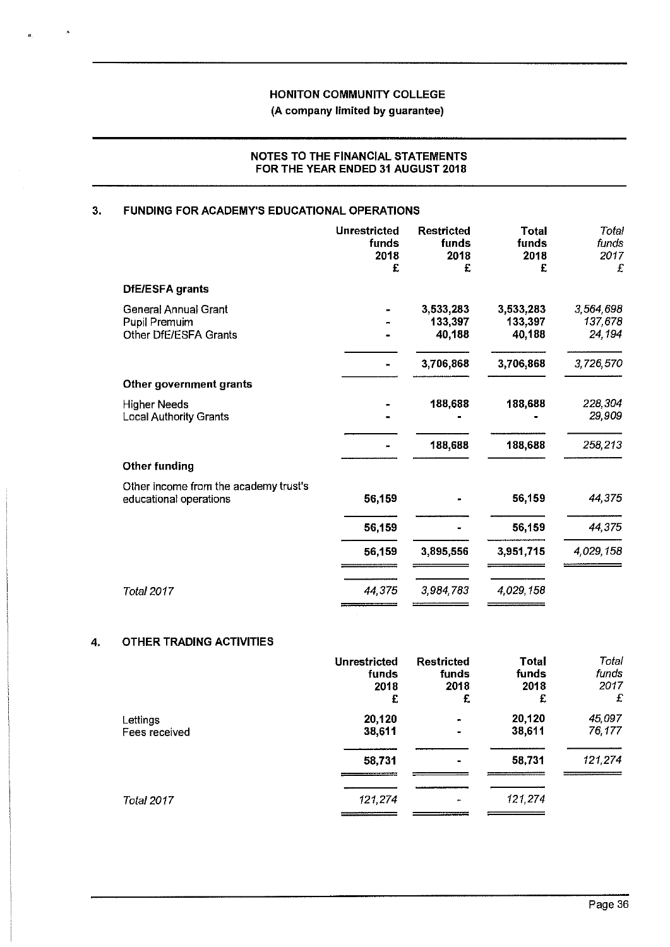**(A company limited by guarantee)** 

## **NOTES TO THE FINANCIAL STATEMENTS FOR THE YEAR ENDED 31 AUGUST 2018**

# **3. FUNDING FOR ACADEMY'S EDUCATIONAL OPERATIONS**

|                                                                       | <b>Unrestricted</b><br>funds<br>2018<br>£ | <b>Restricted</b><br>funds<br>2018<br>£ | <b>Total</b><br>funds<br>2018<br>£ | Total<br>funds<br>2017<br>£    |
|-----------------------------------------------------------------------|-------------------------------------------|-----------------------------------------|------------------------------------|--------------------------------|
| <b>DfE/ESFA grants</b>                                                |                                           |                                         |                                    |                                |
| <b>General Annual Grant</b><br>Pupil Premuim<br>Other DfE/ESFA Grants |                                           | 3,533,283<br>133,397<br>40,188          | 3,533,283<br>133,397<br>40,188     | 3,564,698<br>137,678<br>24,194 |
|                                                                       |                                           | 3,706,868                               | 3,706,868                          | 3,726,570                      |
| Other government grants                                               |                                           |                                         |                                    |                                |
| <b>Higher Needs</b><br><b>Local Authority Grants</b>                  |                                           | 188,688                                 | 188,688                            | 228,304<br>29,909              |
|                                                                       |                                           | 188,688                                 | 188,688                            | 258,213                        |
| <b>Other funding</b>                                                  |                                           |                                         |                                    |                                |
| Other income from the academy trust's<br>educational operations       | 56,159                                    |                                         | 56,159                             | 44,375                         |
|                                                                       | 56,159                                    |                                         | 56,159                             | 44,375                         |
|                                                                       | 56,159                                    | 3,895,556                               | 3,951,715                          | 4,029,158                      |
| <b>Total 2017</b>                                                     | 44,375                                    | 3,984,783                               | 4,029,158                          |                                |

### **4. OTHER TRADING ACTIVITIES**

|                   | <b>Unrestricted</b> | <b>Restricted</b> | <b>Total</b> | Total   |
|-------------------|---------------------|-------------------|--------------|---------|
|                   | funds               | funds             | funds        | funds   |
|                   | 2018                | 2018              | 2018         | 2017    |
|                   | £                   | £                 | £            | £       |
| Lettings          | 20,120              |                   | 20,120       | 45,097  |
| Fees received     | 38,611              |                   | 38,611       | 76,177  |
|                   | 58,731              |                   | 58,731       | 121,274 |
| <b>Total 2017</b> | 121,274             | $\bullet$         | 121,274      |         |
|                   |                     |                   |              |         |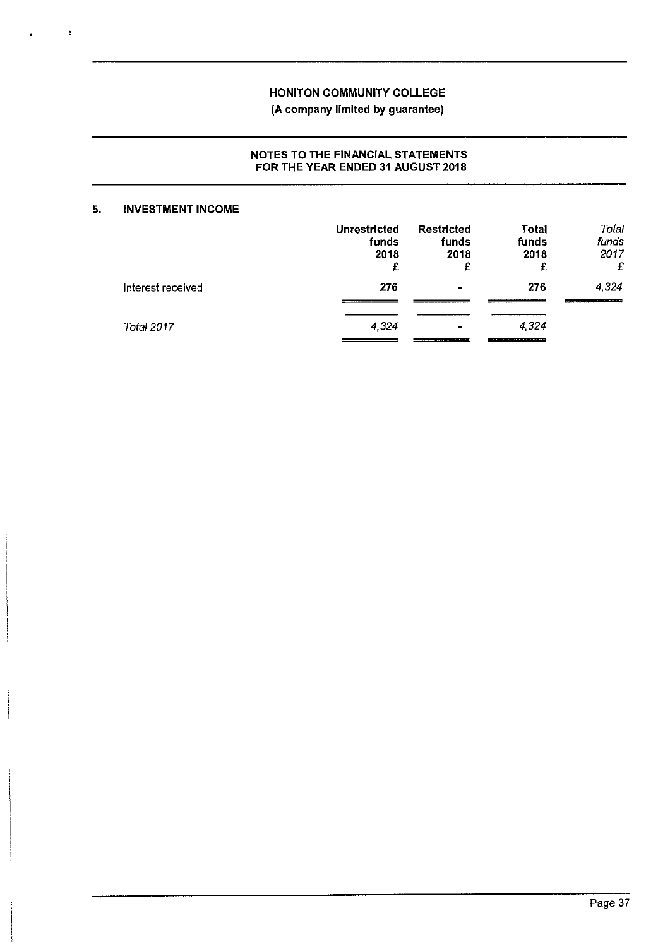# NOTES TO THE FINANCIAL STATEMENTS FOR THE YEAR ENDED 31 AUGUST 2018

## **5. INVESTMENT INCOME**

 $\tilde{\phi}$ 

|                   | <b>Unrestricted</b><br>funds<br>2018<br>£ | <b>Restricted</b><br>funds<br>2018<br>£ | <b>Total</b><br>funds<br>2018<br>£ | Total<br>funds<br>2017<br>£ |
|-------------------|-------------------------------------------|-----------------------------------------|------------------------------------|-----------------------------|
| Interest received | 276                                       | $\sim$                                  | 276                                | 4,324                       |
| Total 2017        | 4,324                                     | $\sim$                                  | 4,324                              |                             |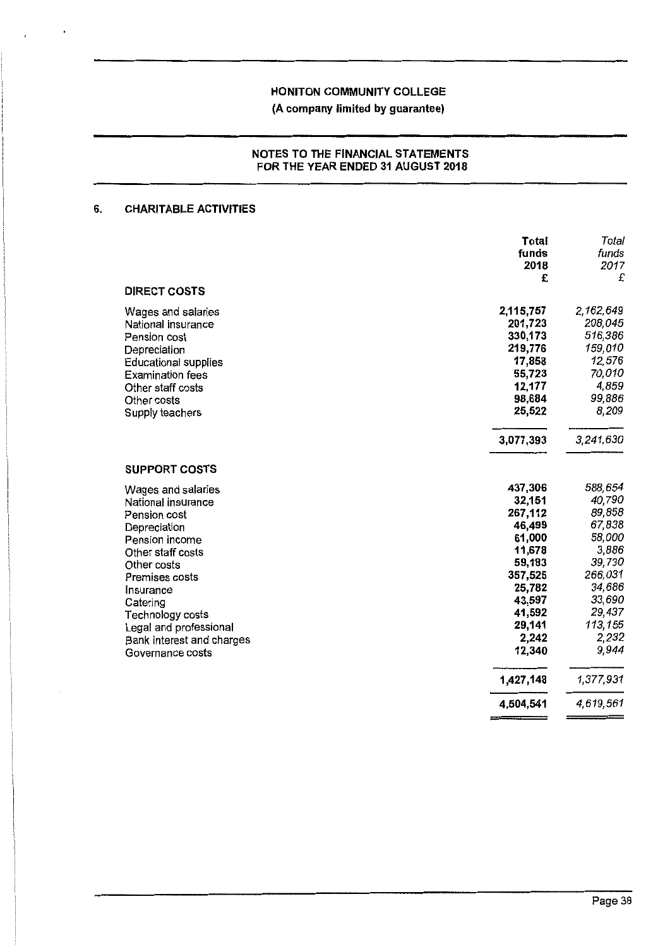**(A company limited by guarantee)** 

#### **NOTES TO THE FINANCIAL STATEMENTS FOR THE YEAR ENDED 31 AUGUST 2018**

## **6. CHARITABLE ACTIVITIES**

|                                                                                                                                                                                                                                                                          | Total<br>funds<br>2018<br>£                                                                                                                | Total<br>funds<br>2017<br>£                                                                                                              |
|--------------------------------------------------------------------------------------------------------------------------------------------------------------------------------------------------------------------------------------------------------------------------|--------------------------------------------------------------------------------------------------------------------------------------------|------------------------------------------------------------------------------------------------------------------------------------------|
| <b>DIRECT COSTS</b>                                                                                                                                                                                                                                                      |                                                                                                                                            |                                                                                                                                          |
| Wages and salaries<br>National insurance<br>Pension cost<br>Depreciation<br><b>Educational supplies</b><br><b>Examination fees</b><br>Other staff costs<br>Other costs<br>Supply teachers                                                                                | 2,115,757<br>201,723<br>330,173<br>219,776<br>17,858<br>55,723<br>12,177<br>98,684<br>25,522                                               | 2,162,649<br>208,045<br>516,386<br>159,010<br>12,576<br>70,010<br>4,859<br>99,886<br>8,209                                               |
|                                                                                                                                                                                                                                                                          | 3,077,393                                                                                                                                  | 3,241,630                                                                                                                                |
| <b>SUPPORT COSTS</b>                                                                                                                                                                                                                                                     |                                                                                                                                            |                                                                                                                                          |
| Wages and salaries<br>National insurance<br>Pension cost<br>Depreciation<br>Pension income<br>Other staff costs<br>Other costs<br>Premises costs<br>Insurance<br>Catering<br>Technology costs<br>Legal and professional<br>Bank interest and charges<br>Governance costs | 437 306<br>32,151<br>267,112<br>46,499<br>61,000<br>11,678<br>59,183<br>357,525<br>25,782<br>43,597<br>41,592<br>29,141<br>2,242<br>12,340 | 588,654<br>40,790<br>89,858<br>67,838<br>58,000<br>3,886<br>39,730<br>266,031<br>34,686<br>33,690<br>29,437<br>113,155<br>2,232<br>9,944 |
|                                                                                                                                                                                                                                                                          | 1,427,148                                                                                                                                  | 1,377,931                                                                                                                                |
|                                                                                                                                                                                                                                                                          | 4,504,541                                                                                                                                  | 4,619,561                                                                                                                                |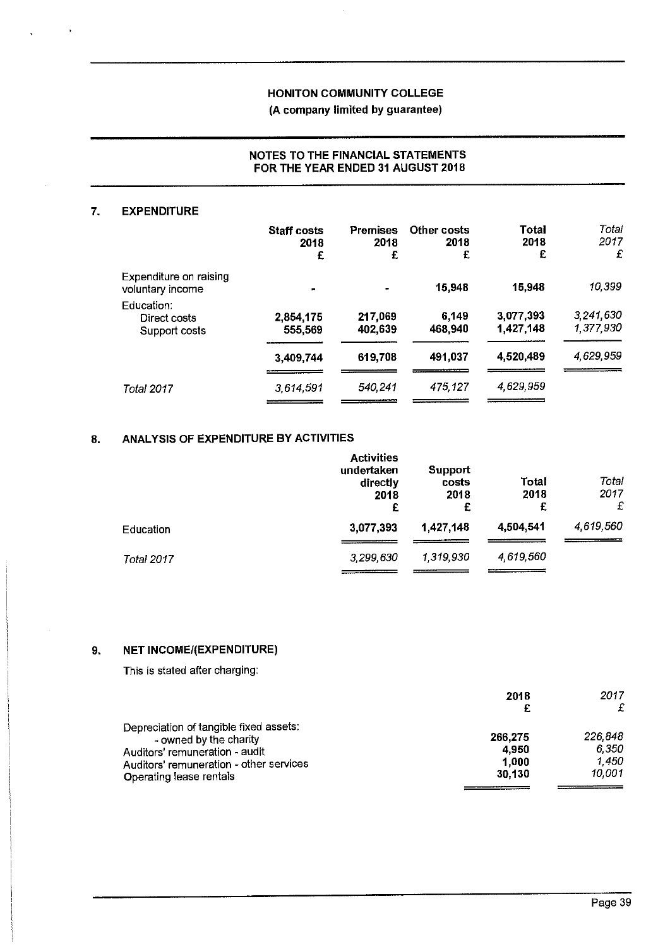### **NOTES TO THE FINANCIAL STATEMENTS FOR THE YEAR ENDED 31 AUGUST 2018**

#### **7. EXPENDITURE**

|                                             | Staff costs<br>2018<br>£ | <b>Premises</b><br>2018<br>£ | Other costs<br>2018<br>£ | Total<br>2018<br>£     | Total<br>2017<br>£     |
|---------------------------------------------|--------------------------|------------------------------|--------------------------|------------------------|------------------------|
| Expenditure on raising<br>voluntary income  | m                        | $\blacksquare$               | 15,948                   | 15,948                 | 10,399                 |
| Education:<br>Direct costs<br>Support costs | 2,854,175<br>555,569     | 217,069<br>402,639           | 6,149<br>468.940         | 3,077,393<br>1,427,148 | 3,241,630<br>1,377,930 |
|                                             | 3,409,744                | 619,708                      | 491,037                  | 4,520,489              | 4,629,959              |
| Total 2017                                  | 3,614,591                | 540,241                      | 475,127                  | 4,629,959              |                        |

# **8. ANALYSIS OF EXPENDITURE BY ACTIVITIES**

|            | <b>Activities</b><br>undertaken<br>directly<br>2018<br>£ | Support<br>costs<br>2018<br>£ | Total<br>2018<br>£ | Total<br>2017<br>£ |
|------------|----------------------------------------------------------|-------------------------------|--------------------|--------------------|
| Education  | 3,077,393                                                | 1,427,148                     | 4,504,541          | 4,619,560          |
| Total 2017 | 3,299,630                                                | 1,319,930                     | 4,619,560          |                    |

# **9. NET INCOMEl(EXPENDITURE)**

This is stated after charging:

|                                         | 2018    | 2017    |
|-----------------------------------------|---------|---------|
|                                         |         | £       |
| Depreciation of tangible fixed assets:  |         |         |
| - owned by the charity                  | 266,275 | 226,848 |
| Auditors' remuneration - audit          | 4.950   | 6.350   |
| Auditors' remuneration - other services | 1.000   | 1,450   |
| Operating lease rentals                 | 30.130  | 10.001  |
|                                         |         |         |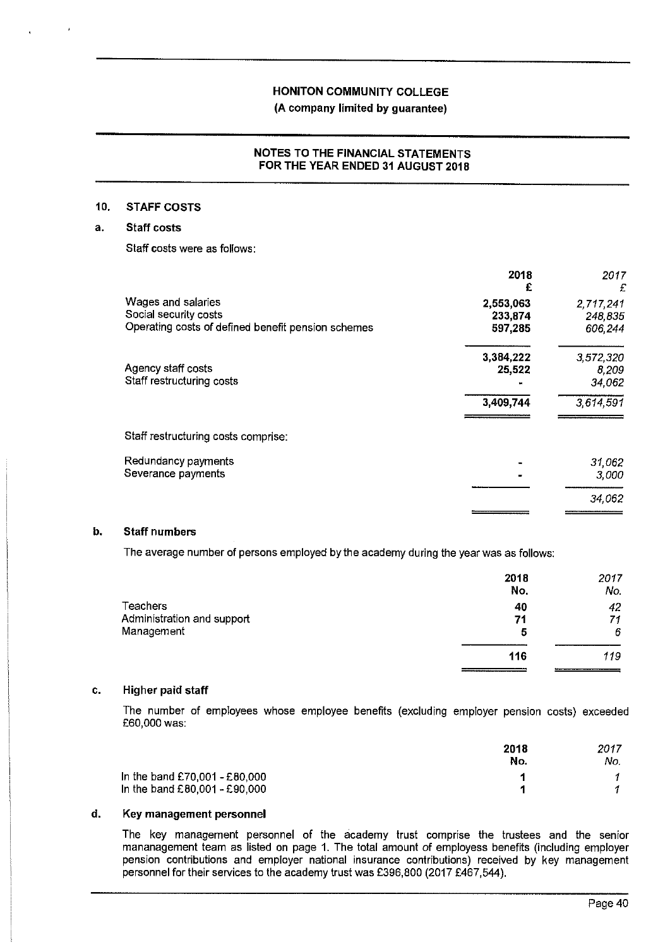# **(A company limited by guarantee)**

#### **NOTES TO THE FINANCIAL STATEMENTS FOR THE YEAR ENDED 31 AUGUST 2018**

#### **10. STAFF COSTS**

### **a. Staff costs**

Staff costs were as follows:

|                                                                                                   | 2018<br>£                       | 2017<br>£                       |
|---------------------------------------------------------------------------------------------------|---------------------------------|---------------------------------|
| Wages and salaries<br>Social security costs<br>Operating costs of defined benefit pension schemes | 2,553,063<br>233,874<br>597,285 | 2,717,241<br>248,835<br>606,244 |
| Agency staff costs<br>Staff restructuring costs                                                   | 3,384,222<br>25,522             | 3,572,320<br>8,209<br>34,062    |
|                                                                                                   | 3,409,744                       | 3,614,591                       |
| Staff restructuring costs comprise:                                                               |                                 |                                 |
| Redundancy payments<br>Severance payments                                                         |                                 | 31,062<br>3,000                 |
|                                                                                                   |                                 | 34,062                          |

## **b. Staff numbers**

The average number of persons employed by the academy during the year was as follows:

|                            | 2018<br>No,           | 2017<br>No. |
|----------------------------|-----------------------|-------------|
| Teachers                   | 40                    | 42          |
| Administration and support | 71                    | 71          |
| Management                 | 5                     | 6           |
|                            |                       |             |
|                            | 116                   | 119         |
|                            | _____________________ |             |

#### **c. Higher paid staff**

The number of employees whose employee benefits (excluding employer pension costs) exceeded £60,000 **was:** 

|                               | 2018<br>No. | 2017<br>No. |
|-------------------------------|-------------|-------------|
| In the band £70,001 - £80,000 |             |             |
| In the band £80,001 - £90,000 |             |             |

#### **d. Key management personnel**

The key management personnel of the academy trust comprise the trustees and the senior mananagement team as listed on page 1. The total amount of employess benefits (including employer pension contributions and employer national insurance contributions) received by key management personnel for their services to the academy trust was £396,800 (2017 £467,544).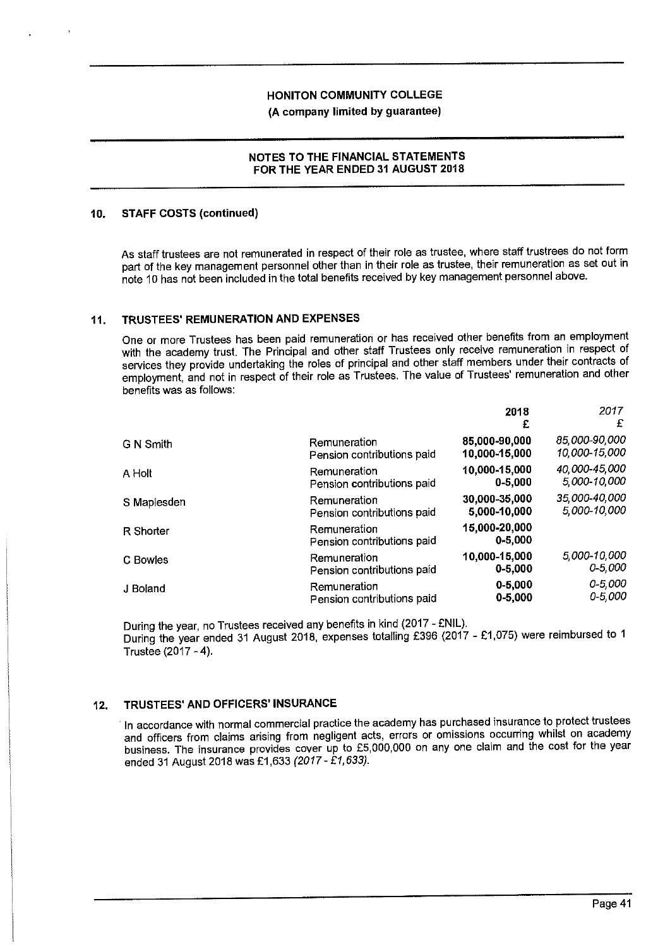**(A company limited by guarantee)** 

#### **NOTES TO THE FINANCIAL STATEMENTS FOR THE YEAR ENDED 31 AUGUST 2018**

#### **10. STAFF COSTS (continued)**

As staff trustees are not remunerated in respect of their role as trustee, where staff trustrees do not form part of the key management personnel other than in their role as trustee, their remuneration as set out in note 10 has not been included in the total benefits received by key management personnel above.

### **11. TRUSTEES' REMUNERATION AND EXPENSES**

One or more Trustees has been paid remuneration or has received other benefits from an employment with the academy trust. The Principal and other staff Trustees only receive remuneration in respect of services they provide undertaking the roles of principal and other staff members under their contracts of employment, and not in respect of their role as Trustees. The value of Trustees' remuneration and other benefits was as follows:

|             |                                            | 2018<br>£                    | 2017<br>£     |
|-------------|--------------------------------------------|------------------------------|---------------|
| G N Smith   | Remuneration                               | 85,000-90,000                | 85,000-90,000 |
|             | Pension contributions paid                 | 10,000-15,000                | 10,000-15,000 |
| A Holt      | Remuneration                               | 10,000-15,000                | 40,000-45,000 |
|             | Pension contributions paid                 | $0 - 5,000$                  | 5,000-10,000  |
| S Maplesden | Remuneration                               | 30,000-35,000                | 35 000-40,000 |
|             | Pension contributions paid                 | 5,000-10,000                 | 5,000-10,000  |
| R Shorter   | Remuneration<br>Pension contributions paid | 15,000-20,000<br>$0 - 5,000$ |               |
| C Bowles    | Remuneration                               | 10,000-15,000                | 5,000-10,000  |
|             | Pension contributions paid                 | $0 - 5,000$                  | $0 - 5,000$   |
| J Boland    | Remuneration                               | $0 - 5,000$                  | $0 - 5,000$   |
|             | Pension contributions paid                 | $0 - 5,000$                  | $0 - 5,000$   |

During the year, no Trustees received any benefits in kind (2017 - £NIL). During the year ended 31 August 2018, expenses totalling £396 (2017 - £1,075) were reimbursed to 1 Trustee (2017 - 4).

# **12. TRUSTEES' AND OFFICERS' INSURANCE**

· In accordance with normal commercial practice the academy has purchased insurance to protect trustees and officers from claims arising from negligent acts, errors or omissions occurring whilst on academy business. The insurance provides cover up to £5,000,000 on any one claim and the cost for the year ended 31 August 2018 was £1,633 *(2017* - *£1,633).*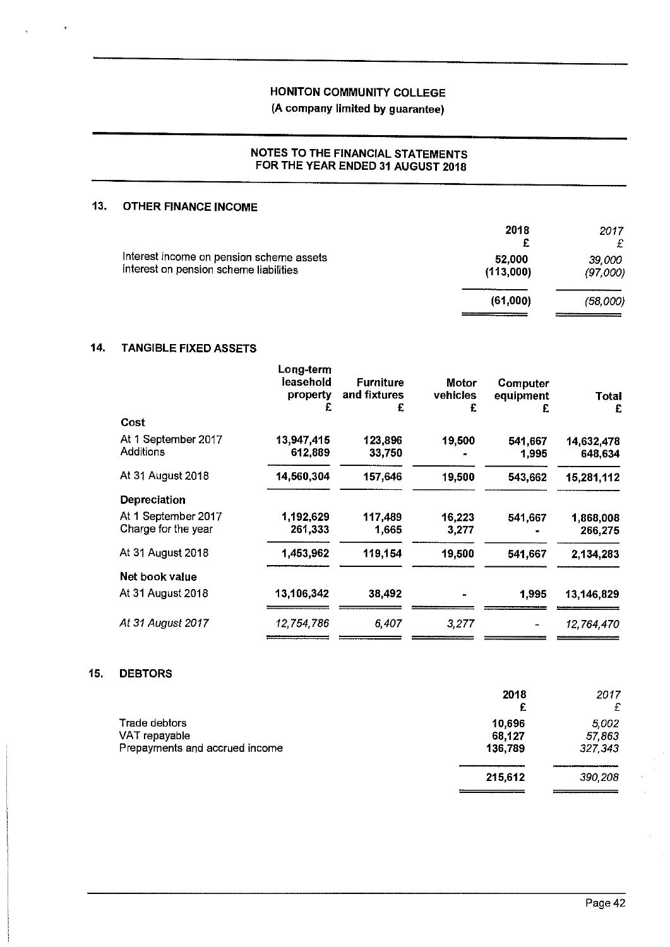# (A company limited by guarantee)

# NOTES TO THE FINANCIAL STATEMENTS FOR THE YEAR ENDED 31 AUGUST 2018

# **13. OTHER FINANCE INCOME**

|                                                                                    | 2018<br>£           | 2017<br>£          |
|------------------------------------------------------------------------------------|---------------------|--------------------|
| Interest income on pension scheme assets<br>interest on pension scheme liabilities | 52,000<br>(113,000) | 39,000<br>(97,000) |
|                                                                                    | (61,000)            | (58,000)           |

#### **14. TANGIBLE FIXED ASSETS**

|                                            | Long-term<br>leasehold<br>property<br>£ | <b>Furniture</b><br>and fixtures<br>£ | Motor<br>vehicles<br>£ | Computer<br>equipment<br>£ | Total<br>£            |
|--------------------------------------------|-----------------------------------------|---------------------------------------|------------------------|----------------------------|-----------------------|
| Cost                                       |                                         |                                       |                        |                            |                       |
| At 1 September 2017<br>Additions           | 13,947,415<br>612,889                   | 123,896<br>33,750                     | 19,500                 | 541,667<br>1.995           | 14,632,478<br>648,634 |
| At 31 August 2018                          | 14,560,304                              | 157,646                               | 19,500                 | 543,662                    | 15,281,112            |
| <b>Depreciation</b>                        |                                         |                                       |                        |                            |                       |
| At 1 September 2017<br>Charge for the year | 1,192,629<br>261,333                    | 117,489<br>1,665                      | 16,223<br>3,277        | 541,667                    | 1,868,008<br>266,275  |
| At 31 August 2018                          | 1,453,962                               | 119,154                               | 19,500                 | 541,667                    | 2,134,283             |
| Net book value                             |                                         |                                       |                        |                            |                       |
| At 31 August 2018                          | 13,106,342                              | 38,492                                | m                      | 1.995                      | 13,146,829            |
| At 31 August 2017                          | 12,754,786                              | 6,407                                 | 3,277                  |                            | 12,764,470            |
|                                            |                                         |                                       |                        |                            |                       |

#### **15. DEBTORS**

|                                | 2018    | 2017    |
|--------------------------------|---------|---------|
|                                | £       | £       |
| Trade debtors                  | 10.696  | 5.002   |
| VAT repayable                  | 68,127  | 57863   |
| Prepayments and accrued income | 136,789 | 327 343 |
|                                | 215,612 | 390,208 |
|                                |         |         |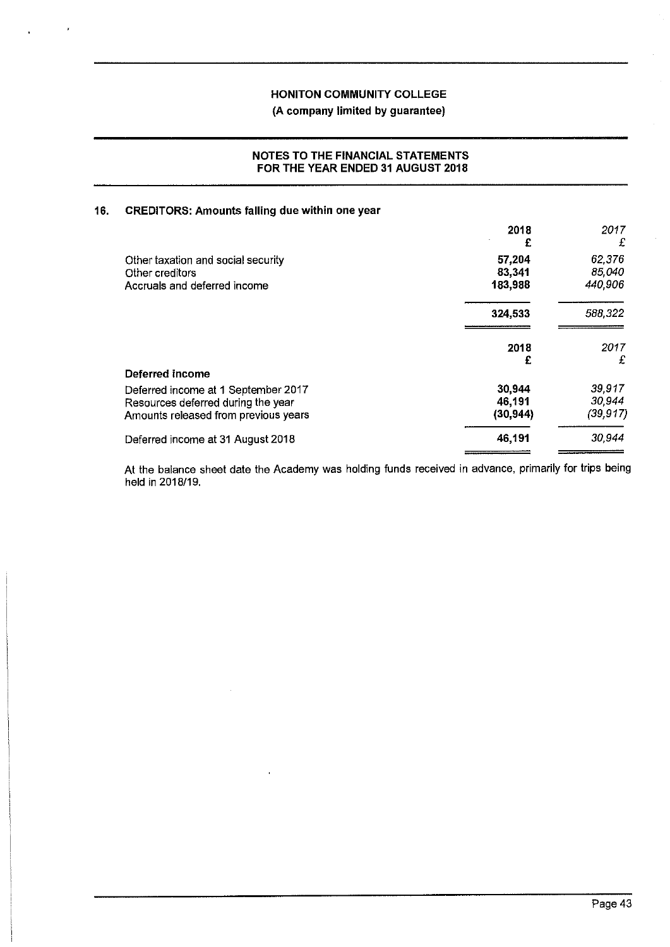#### **NOTES TO THE FINANCIAL STATEMENTS FOR THE YEAR ENDED 31 AUGUST 2018**

# **16. CREDITORS: Amounts falling due within one year**

|                                      | 2018<br>£ | 2017<br>£ |
|--------------------------------------|-----------|-----------|
| Other taxation and social security   | 57,204    | 62,376    |
| Other creditors                      | 83,341    | 85,040    |
| Accruals and deferred income         | 183,988   | 440,906   |
|                                      | 324,533   | 588,322   |
|                                      | 2018<br>£ | 2017<br>£ |
| Deferred income                      |           |           |
| Deferred income at 1 September 2017  | 30,944    | 39,917    |
| Resources deferred during the year   | 46,191    | 30,944    |
| Amounts released from previous years | (30, 944) | (39, 917) |
| Deferred income at 31 August 2018    | 46,191    | 30,944    |

At the balance sheet date the Academy was holding funds received in advance, primarily for trips being held in 2018/19.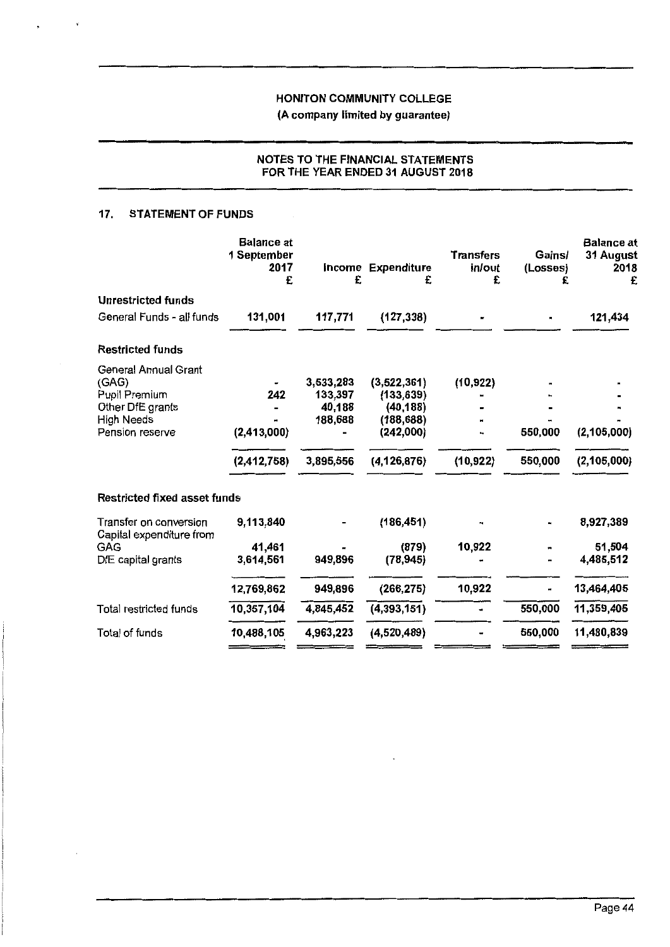# **(A company limited by guarantee)**

# **NOTES TO THE FINANCIAL STATEMENTS FOR THE YEAR ENDED 31 AUGUST 2018**

## **17. STATEMENT OF FUNDS**

|                                                    | <b>Balance</b> at<br>1 September<br>2017<br>£ | £         | <b>Income Expenditure</b><br>£ | <b>Transfers</b><br>in/out<br>£ | Gains/<br>(Losses) | <b>Balance</b> at<br>31 August<br>2018<br>£ |
|----------------------------------------------------|-----------------------------------------------|-----------|--------------------------------|---------------------------------|--------------------|---------------------------------------------|
| <b>Unrestricted funds</b>                          |                                               |           |                                |                                 |                    |                                             |
| General Funds - all funds                          | 131,001                                       | 117,771   | (127, 338)                     |                                 |                    | 121,434                                     |
| <b>Restricted funds</b>                            |                                               |           |                                |                                 |                    |                                             |
| <b>General Annual Grant</b>                        |                                               |           |                                |                                 |                    |                                             |
| (GAG)                                              |                                               | 3,533,283 | (3,522,361)                    | (10, 922)                       |                    |                                             |
| Pupil Premium                                      | 242                                           | 133,397   | (133, 639)                     |                                 |                    |                                             |
| Other DfE grants                                   |                                               | 40,188    | (40, 188)                      |                                 |                    |                                             |
| High Needs                                         |                                               | 188,688   | (188, 688)                     |                                 |                    |                                             |
| Pension reserve                                    | (2,413,000)                                   |           | (242,000)                      |                                 | 550,000            | (2, 105, 000)                               |
|                                                    | (2, 412, 758)                                 | 3,895,556 | (4, 126, 876)                  | (10, 922)                       | 550,000            | (2, 105, 000)                               |
| Restricted fixed asset funds                       |                                               |           |                                |                                 |                    |                                             |
| Transfer on conversion<br>Capital expenditure from | 9,113,840                                     |           | (186, 451)                     |                                 |                    | 8,927,389                                   |
| <b>GAG</b>                                         | 41,461                                        |           | (879)                          | 10,922                          |                    | 51,504                                      |
| DfE capital grants                                 | 3,614,561                                     | 949,896   | (78, 945)                      |                                 |                    | 4,485,512                                   |
|                                                    | 12,769,862                                    | 949,896   | (266, 275)                     | 10,922                          | ×.                 | 13,464,405                                  |
| Total restricted funds                             | 10,357,104                                    | 4,845,452 | (4,393,151)                    |                                 | 550,000            | 11,359,405                                  |
| Total of funds                                     | 10,488,105                                    | 4,963,223 | (4,520,489)                    |                                 | 550,000            | 11,480,839                                  |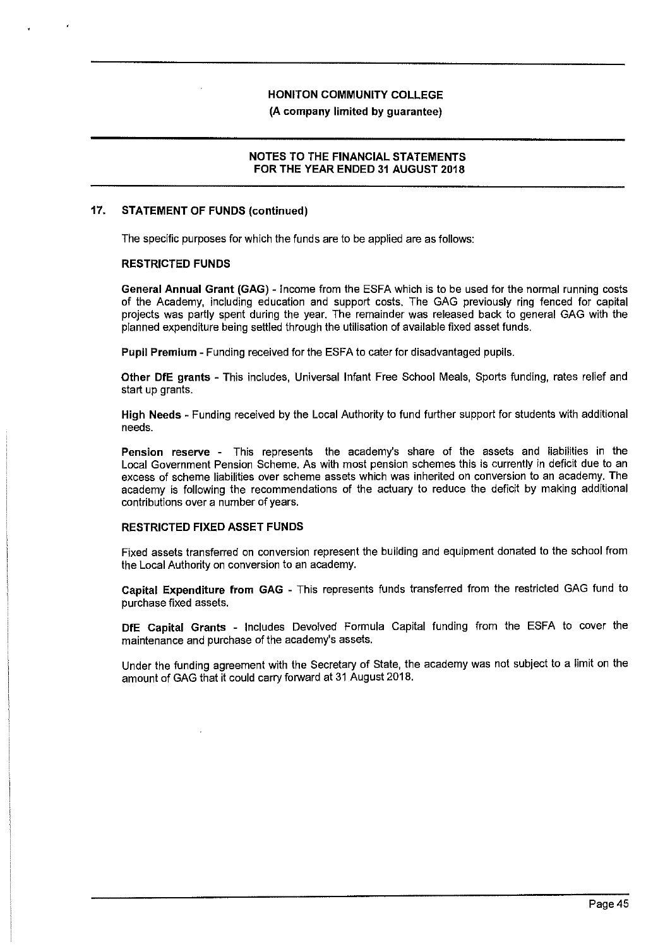#### **(A company limited by guarantee)**

#### **NOTES TO THE FINANCIAL STATEMENTS FOR THE YEAR ENDED 31 AUGUST 2018**

#### **17. STATEMENT OF FUNDS (continued)**

The specific purposes for which the funds are to be applied are as follows:

#### **RESTRICTED FUNDS**

**General Annual Grant (GAG)** - Income from the ESFA which is to be used for the normal running costs of the Academy, including education and support costs. The GAG previously ring fenced for capital projects was partly spent during the year. The remainder was released back to general GAG with the planned expenditure being settled through the utilisation of available fixed asset funds.

**Pupil Premium** - Funding received for the ESFA to cater for disadvantaged pupils.

**Other DfE grants** - This includes, Universal Infant Free School Meals, Sports funding, rates relief and start up grants.

**High Needs** - Funding received by the Local Authority to fund further support for students with additional needs.

**Pension reserve** - This represents the academy's share of the assets and liabilities in the Local Government Pension Scheme. As with most pension schemes this is currently in deficit due to an excess of scheme liabilities over scheme assets which was inherited on conversion to an academy. The academy is following the recommendations of the actuary to reduce the deficit by making additional contributions over a number of years.

#### **RESTRICTED FIXED ASSET FUNDS**

Fixed assets transferred on conversion represent the building and equipment donated to the school from the Local Authority on conversion to an academy.

**Capital Expenditure from GAG** - This represents funds transferred from the restricted GAG fund to purchase fixed assets.

**DfE Capital Grants** - Includes Devolved Formula Capital funding from the ESFA to cover the maintenance and purchase of the academy's assets.

Under the funding agreement with the Secretary of State, the academy was not subject to a limit on the amount of GAG that it could carry forward at 31 August 2018.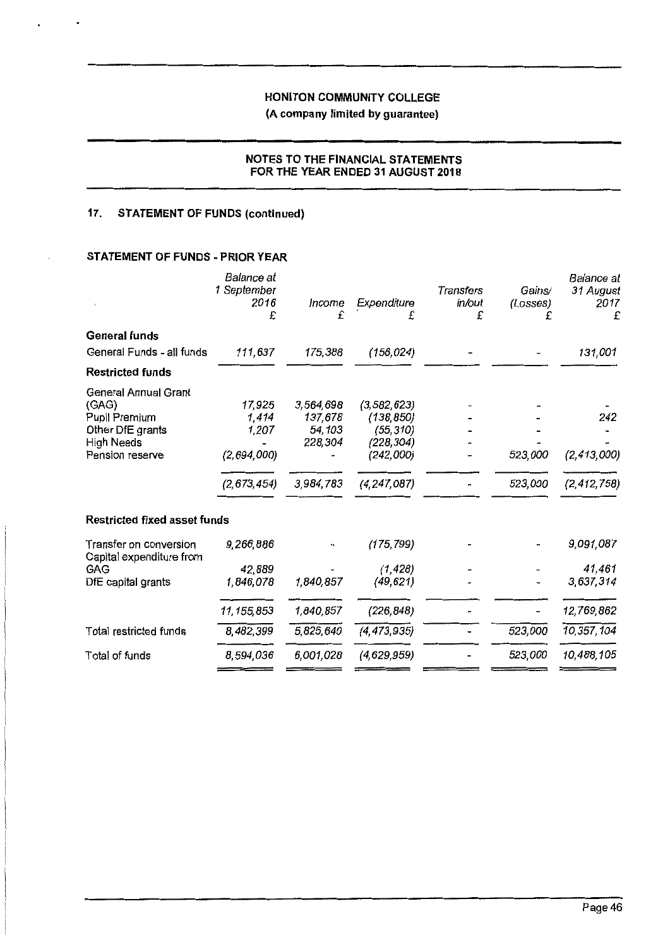# **(A company limited by guarantee)**

#### **NOTES TO THE FINANCIAL STATEMENTS FOR THE YEAR ENDED 31 AUGUST 2018**

# **17. STATEMENT OF FUNDS (continued)**

 $\mathbf{g}_i$  ,  $i=1,\ldots,n$  ,

# **STATEMENT OF FUNDS· PRIOR YEAR**

|                                                       | Balance at<br>1 September<br>2016<br>£ | Income<br>£          | Expenditure<br>£            | <b>Transfers</b><br>in/out<br>£ | Gains/<br>(Losses)<br>£ | Balance at<br>31 August<br>2017<br>£ |
|-------------------------------------------------------|----------------------------------------|----------------------|-----------------------------|---------------------------------|-------------------------|--------------------------------------|
| <b>General funds</b>                                  |                                        |                      |                             |                                 |                         |                                      |
| General Funds - all funds                             | 111,637                                | 175,388              | (156, 024)                  |                                 |                         | 131,001                              |
| <b>Restricted funds</b>                               |                                        |                      |                             |                                 |                         |                                      |
| <b>General Annual Grant</b><br>(GAG)<br>Pupil Premium | 17,925<br>1,414                        | 3,564,698<br>137,678 | (3, 582, 623)<br>(138, 850) |                                 |                         | 242                                  |
| Other DfE grants                                      | 1,207                                  | 54,103               | (55,310)                    |                                 |                         |                                      |
| High Needs<br>Pension reserve                         | (2,694,000)                            | 228,304              | (228,304)<br>(242,000)      |                                 | 523,000                 | (2, 413, 000)                        |
|                                                       | (2, 673, 454)                          | 3,984,783            | (4, 247, 087)               |                                 | 523,000                 | (2, 412, 758)                        |
| <b>Restricted fixed asset funds</b>                   |                                        |                      |                             |                                 |                         |                                      |
| Transfer on conversion<br>Capital expenditure from    | 9,266,886                              |                      | (175, 799)                  |                                 |                         | 9,091,087                            |
| GAG                                                   | 42,889                                 |                      | (1, 428)                    |                                 |                         | 41.461                               |
| DfE capital grants                                    | 1,846,078                              | 1,840,857            | (49, 621)                   |                                 |                         | 3,637,314                            |
|                                                       | 11, 155, 853                           | 1,840,857            | (226, 848)                  |                                 |                         | 12,769,862                           |
| Total restricted funds                                | 8,482,399                              | 5,825,640            | (4, 473, 935)               |                                 | 523,000                 | 10,357,104                           |
| Total of funds                                        | 8,594,036                              | 6,001,028            | (4,629,959)                 |                                 | 523,000                 | 10,488,105                           |
|                                                       |                                        |                      |                             |                                 |                         |                                      |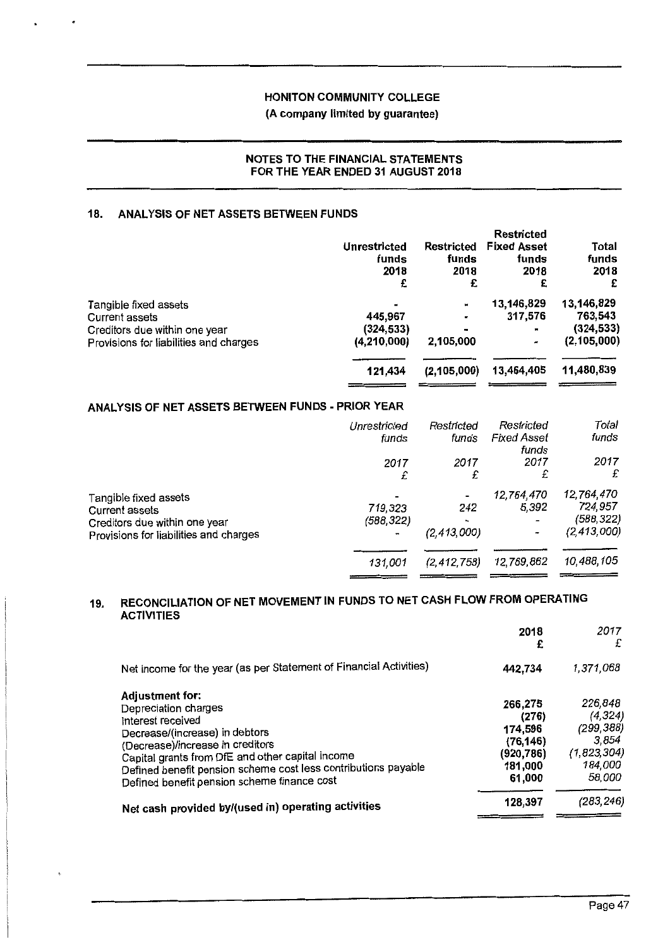# (A company limited by guarantee)

## NOTES TO THE FINANCIAL STATEMENTS FOR THE YEAR ENDED 31 AUGUST 2018

## **18. ANALYSIS OF NET ASSETS BETWEEN FUNDS**

|                                                 | <b>Unrestricted</b><br>funds<br>2018<br>£ | <b>Restricted</b><br>funds<br>2018<br>£ | <b>Restricted</b><br><b>Fixed Asset</b><br>funds<br>2018<br>£ | Total<br>funds<br>2018<br>£ |
|-------------------------------------------------|-------------------------------------------|-----------------------------------------|---------------------------------------------------------------|-----------------------------|
| Tangible fixed assets                           |                                           | ш                                       | 13,146,829                                                    | 13,146,829                  |
| Current assets<br>Creditors due within one year | 445,967<br>(324, 533)                     |                                         | 317,576<br>×                                                  | 763,543<br>(324, 533)       |
| Provisions for liabilities and charges          | (4,210,000)                               | 2,105,000                               | $\overline{\phantom{a}}$                                      | (2, 105, 000)               |
|                                                 | 121,434                                   | (2, 105, 000)                           | 13,464,405                                                    | 11,480,839                  |

# **ANALYSIS OF NET ASSETS BETWEEN FUNDS -PRIOR YEAR**

|                                        | Unrestricted   | Restricted     | Restricted                  | Total         |
|----------------------------------------|----------------|----------------|-----------------------------|---------------|
|                                        | funds          | funds          | <b>Fixed Asset</b><br>funds | funds         |
|                                        | 2017           | 2017           | 2017                        | 2017          |
|                                        | £              | £              | £                           | £             |
| Tangible fixed assets                  |                |                | 12,764,470                  | 12,764,470    |
| <b>Current assets</b>                  | 719,323        | 242            | 5,392                       | 724,957       |
| Creditors due within one year          | (588,322)      | $\blacksquare$ |                             | (588,322)     |
| Provisions for liabilities and charges | $\blacksquare$ | (2, 413, 000)  |                             | (2, 413, 000) |
|                                        |                |                |                             |               |
|                                        | 131,001        | (2, 412, 758)  | 12,769,862                  | 10,488,105    |
|                                        |                |                |                             |               |

# **19. RECONCILIATION OF NET MOVEMENT IN FUNDS TO NET CASH FLOW FROM OPERATING ACTIVITIES**

|                                                                                                                                                                                                                                                                                                         | 2018<br>£                                                                  | 2017<br>£                                                                      |
|---------------------------------------------------------------------------------------------------------------------------------------------------------------------------------------------------------------------------------------------------------------------------------------------------------|----------------------------------------------------------------------------|--------------------------------------------------------------------------------|
| Net income for the year (as per Statement of Financial Activities)                                                                                                                                                                                                                                      | 442,734                                                                    | 1,371,068                                                                      |
| Adjustment for:<br>Depreciation charges<br>Interest received<br>Decrease/(increase) in debtors<br>(Decrease)/increase in creditors<br>Capital grants from DfE and other capital income<br>Defined benefit pension scheme cost less contributions payable<br>Defined benefit pension scheme finance cost | 266,275<br>(276)<br>174,596<br>(76, 146)<br>(920,786)<br>181,000<br>61,000 | 226,848<br>(4, 324)<br>(299, 388)<br>3.854<br>(1,823,304)<br>184,000<br>58,000 |
| Net cash provided by/(used in) operating activities                                                                                                                                                                                                                                                     | 128,397                                                                    | (283, 246)                                                                     |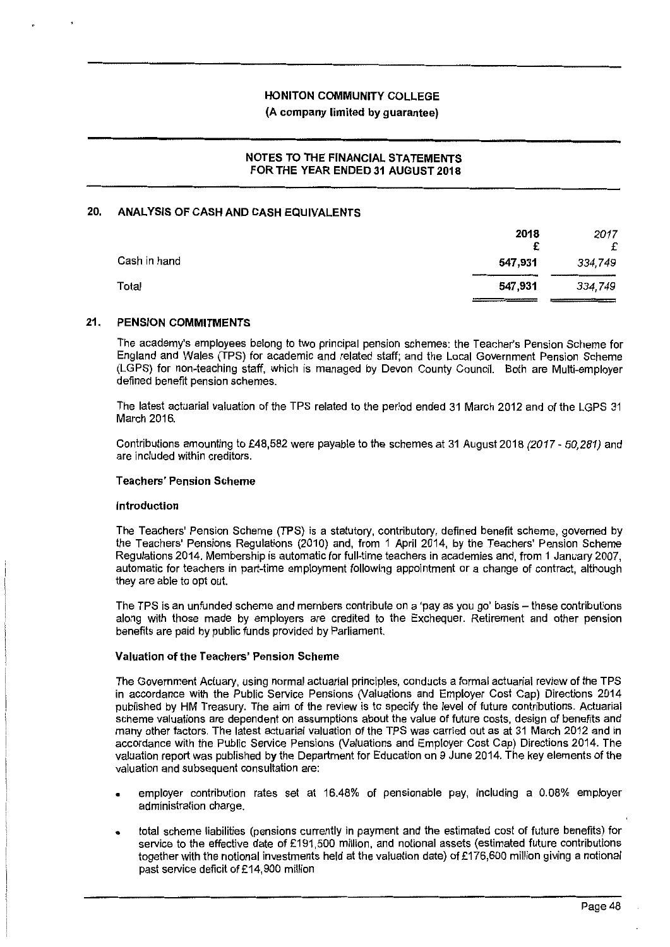### **(A company limited by guarantee)**

# **NOTES TO THE FINANCIAL STATEMENTS FOR THE YEAR ENDED 31 AUGUST 2018**

#### **20. ANALYSIS OF CASH AND CASH EQUIVALENTS**

|              | 2018    | 2017    |
|--------------|---------|---------|
|              | £       | £       |
| Cash in hand | 547,931 | 334,749 |
| Total        | 547,931 | 334,749 |
|              |         |         |

#### **21. PENSION COMMITMENTS**

The academy's employees belong to two principal pension schemes: the Teacher's Pension Scheme for England and Wales (TPS) for academic and related staff; and the Local Government Pension Scheme (LGPS) for non-teaching staff, which is managed by Devon County Council. Both are Multi-employer defined benefit pension schemes.

The latest actuarial valuation of the TPS related to the period ended 31 March 2012 and of the LGPS 31 March 2016.

Contributions amounting to £48,582 were payable to the schemes at 31 August 2018 (2017 - 50,281) and are included within creditors.

#### **Teachers' Pension Scheme**

#### **Introduction**

The Teachers' Pension Scheme (TPS) is a statutory, contributory, defined benefit scheme, governed by the Teachers' Pensions Regulations (2010) and, from 1 April 2014, by the Teachers' Pension Scheme Regulations 2014. Membership is automatic for full-time teachers in academies and, from 1 January 2007, automatic for teachers in part-time employment following appointment or a change of contract, although they are able to opt out.

The TPS is an unfunded scheme and members contribute on a 'pay as you go' basis - these contributions along with those made by employers are credited to the Exchequer. Retirement and other pension benefits are paid by public funds provided by Parliament.

#### **Valuation of the Teachers' Pension Scheme**

The Government Actuary, using normal actuarial principles, conducts a formal actuarial review of the TPS in accordance with the Public Service Pensions (Valuations and Employer Cost Cap) Directions 2014 published by HM Treasury. The aim of the review is to specify the level of future contributions. Actuarial scheme valuations are dependent on assumptions about the value of future costs, design of benefits and many other factors. The latest actuarial valuation of the TPS was carried out as at 31 March 2012 and in accordance with the Public Service Pensions (Valuations and Employer Cost Cap) Directions 2014. The valuation report was published by the Department for Education on 9 June 2014. The key elements of the valuation and subsequent consultation are:

- employer contribution rates set at 16.48% of pensionable pay, including a 0.08% employer administration charge.
- total scheme liabilities (pensions currently in payment and the estimated cost of future benefits) for service to the effective date of £191,500 million, and notional assets (estimated future contributions together with the notional investments held at the valuation date) of £176,600 million giving a notional past service deficit of £14,900 million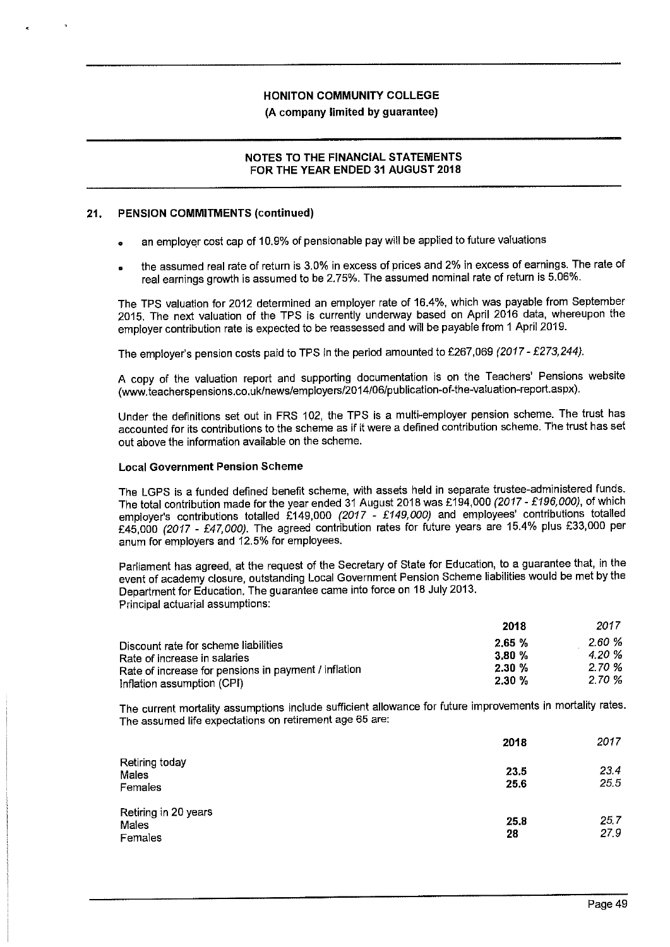#### **(A company limited by guarantee)**

#### **NOTES TO THE FINANCIAL STATEMENTS FOR THE YEAR ENDED 31 AUGUST 2018**

#### **21. PENSION COMMITMENTS (continued)**

- an employer cost cap of 10. 9% of pensionable pay will be applied to future valuations
- the assumed real rate of return is 3.0% in excess of prices and 2% in excess of earnings. The rate of real earnings growth is assumed to be 2.75%. The assumed nominal rate of return is 5.06%.

The TPS valuation for 2012 determined an employer rate of 16.4%, which was payable from September 2015. The next valuation of the TPS is currently underway based on April 2016 data, whereupon the employer contribution rate is expected to be reassessed and **will** be payable from 1 April 2019.

The employer's pension costs paid to TPS in the period amounted to £267,069 (2017 - £273,244).

A copy of the valuation report and supporting documentation is on the Teachers' Pensions website (www.teacherspensions.co. uk/news/employers/2014/06/publication-of-the-valuation-report.aspx).

Under the definitions set out in FRS 102, the TPS is a multi-employer pension scheme. The trust has accounted for its contributions to the scheme as if it were a defined contribution scheme. The trust has set out above the information available on the scheme.

#### **Local Government Pension Scheme**

The LGPS is a funded defined benefit scheme, with assets held in separate trustee-administered funds. The total contribution made for the year ended 31 August 2018 was £194,000 (2017 - £196,000), of which employer's contributions totalled £149,000 (2017 - £149,000) and employees' contributions totalled £45,000 (2017 - £47,000). The agreed contribution rates for future years are 15.4% plus £33,000 per anum for employers and 12.5% for employees.

Parliament has agreed, at the request of the Secretary of State for Education, to a guarantee that, in the event of academy closure, outstanding Local Government Pension Scheme liabilities would be met by the Department for Education. The guarantee came into force on 18 July 2013. Principal actuarial assumptions:

|                                                      | 2018  | 2017   |
|------------------------------------------------------|-------|--------|
| Discount rate for scheme liabilities                 | 2.65% | 2.60 % |
| Rate of increase in salaries                         | 3.80% | 4.20 % |
| Rate of increase for pensions in payment / inflation | 2.30% | 2.70 % |
| Inflation assumption (CPI)                           | 2.30% | 2.70 % |

The current mortality assumptions include sufficient allowance for future improvements in mortality rates. The assumed life expectations on retirement age 65 are:

|                                          | 2018         | 2017         |
|------------------------------------------|--------------|--------------|
| Retiring today<br>Males<br>Females       | 23.5<br>25.6 | 23.4<br>25.5 |
| Retiring in 20 years<br>Males<br>Females | 25.8<br>28   | 25.7<br>27.9 |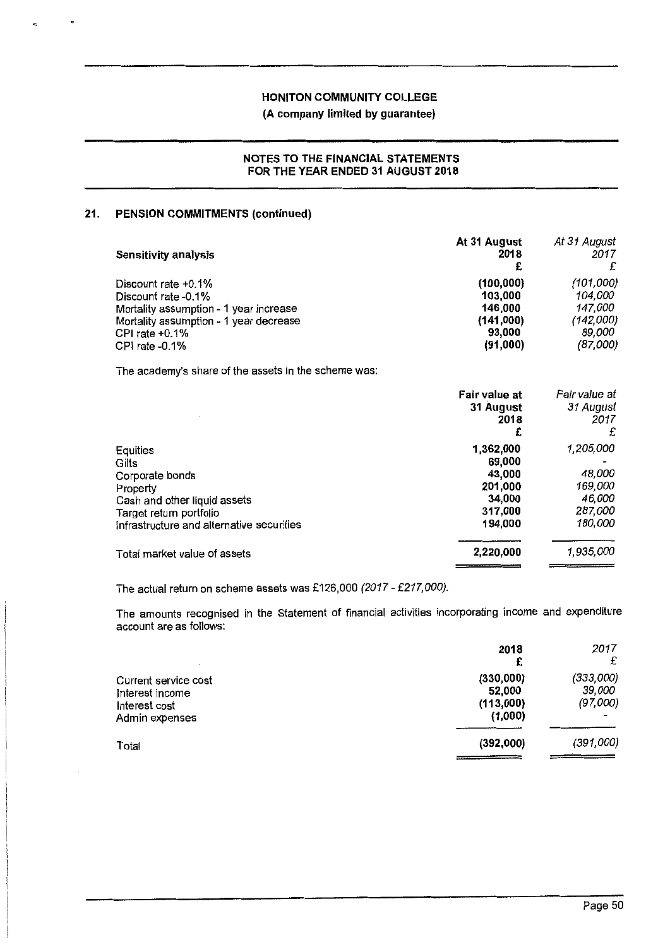# **(A company limited by guarantee)**

#### **NOTES TO THE FINANCIAL STATEMENTS FOR THE YEAR ENDED 31 AUGUST 2018**

## **21. PENSION COMMITMENTS (continued)**

| <b>Sensitivity analysis</b>                                                                                                                                              | At 31 August<br>2018<br>£                                           | At 31 August<br>2017<br>£                                          |
|--------------------------------------------------------------------------------------------------------------------------------------------------------------------------|---------------------------------------------------------------------|--------------------------------------------------------------------|
| Discount rate +0.1%<br>Discount rate -0.1%<br>Mortality assumption - 1 year increase<br>Mortality assumption - 1 year decrease<br>CPI rate $+0.1\%$<br>CPI rate $-0.1\%$ | (100, 000)<br>103.000<br>146,000<br>(141,000)<br>93,000<br>(91,000) | (101,000)<br>104,000<br>147,000<br>(142,000)<br>89,000<br>(87,000) |
| The academy's share of the assets in the scheme was:                                                                                                                     |                                                                     |                                                                    |
|                                                                                                                                                                          | Fair value at                                                       | Fair value at                                                      |

|                                                                                                                                                          | 31 August<br>2018<br>£                                                   | 31 August<br>2017<br>£                                         |
|----------------------------------------------------------------------------------------------------------------------------------------------------------|--------------------------------------------------------------------------|----------------------------------------------------------------|
| Equities<br>Gilts<br>Corporate bonds<br>Property<br>Cash and other liquid assets<br>Target return portfolio<br>Infrastructure and alternative securities | 1,362,000<br>69,000<br>43,000<br>201,000<br>34,000<br>317,000<br>194,000 | 1,205,000<br>48,000<br>169,000<br>46,000<br>287,000<br>180,000 |
| Total market value of assets                                                                                                                             | 2,220,000                                                                | 1,935,000                                                      |

The actual return on scheme assets was £126,000 (2017-£217,000).

The amounts recognised in the Statement of financial activities incorporating income and expenditure account are as follows:

|                                                                            | 2018<br>£                                   | 2017<br>£                       |
|----------------------------------------------------------------------------|---------------------------------------------|---------------------------------|
| Current service cost<br>Interest income<br>Interest cost<br>Admin expenses | (330,000)<br>52,000<br>(113,000)<br>(1,000) | (333,000)<br>39,000<br>(97,000) |
| Total                                                                      | (392,000)                                   | (391,000)                       |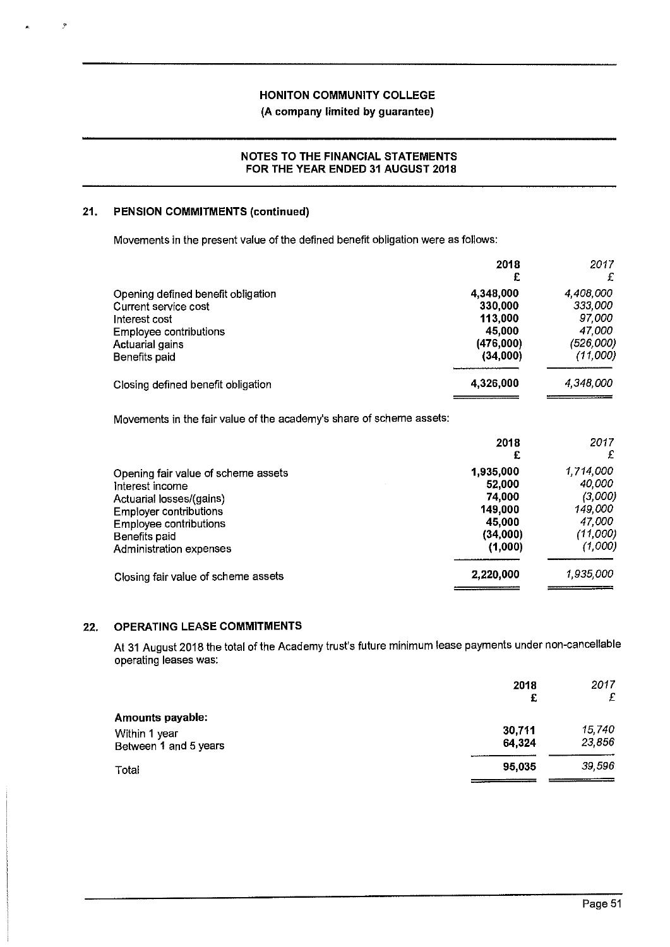## **NOTES TO THE FINANCIAL STATEMENTS FOR THE YEAR ENDED 31 AUGUST 2018**

## **21. PENSION COMMITMENTS (continued)**

 $\cdot$ 

Movements in the present value of the defined benefit obligation were as follows:

|                                    | 2018<br>£ | 2017<br>£ |
|------------------------------------|-----------|-----------|
| Opening defined benefit obligation | 4,348,000 | 4,408,000 |
| Current service cost               | 330,000   | 333,000   |
| Interest cost                      | 113,000   | 97,000    |
| Employee contributions             | 45.000    | 47.000    |
| Actuarial gains                    | (476,000) | (526,000) |
| Benefits paid                      | (34.000)  | (11,000)  |
| Closing defined benefit obligation | 4,326,000 | 4,348,000 |
|                                    |           |           |

Movements in the fair value of the academy's share of scheme assets:

|                                     | 2018<br>£ | 2017      |
|-------------------------------------|-----------|-----------|
| Opening fair value of scheme assets | 1,935,000 | 1,714,000 |
| Interest income                     | 52,000    | 40,000    |
| Actuarial losses/(gains)            | 74,000    | (3,000)   |
| <b>Employer contributions</b>       | 149,000   | 149,000   |
| Employee contributions              | 45,000    | 47,000    |
| Benefits paid                       | (34,000)  | (11,000)  |
| Administration expenses             | (1,000)   | (1,000)   |
| Closing fair value of scheme assets | 2,220,000 | 1,935,000 |
|                                     |           |           |

#### **22. OPERATING LEASE COMMITMENTS**

At 31 August 2018 the total of the Academy trust's future minimum lease payments under non-cancellable operating leases was:

|                       | 2018<br>£ | 2017<br>£ |
|-----------------------|-----------|-----------|
| Amounts payable:      |           |           |
| Within 1 year         | 30,711    | 15,740    |
| Between 1 and 5 years | 64.324    | 23,856    |
| Total                 | 95,035    | 39,596    |
|                       |           |           |